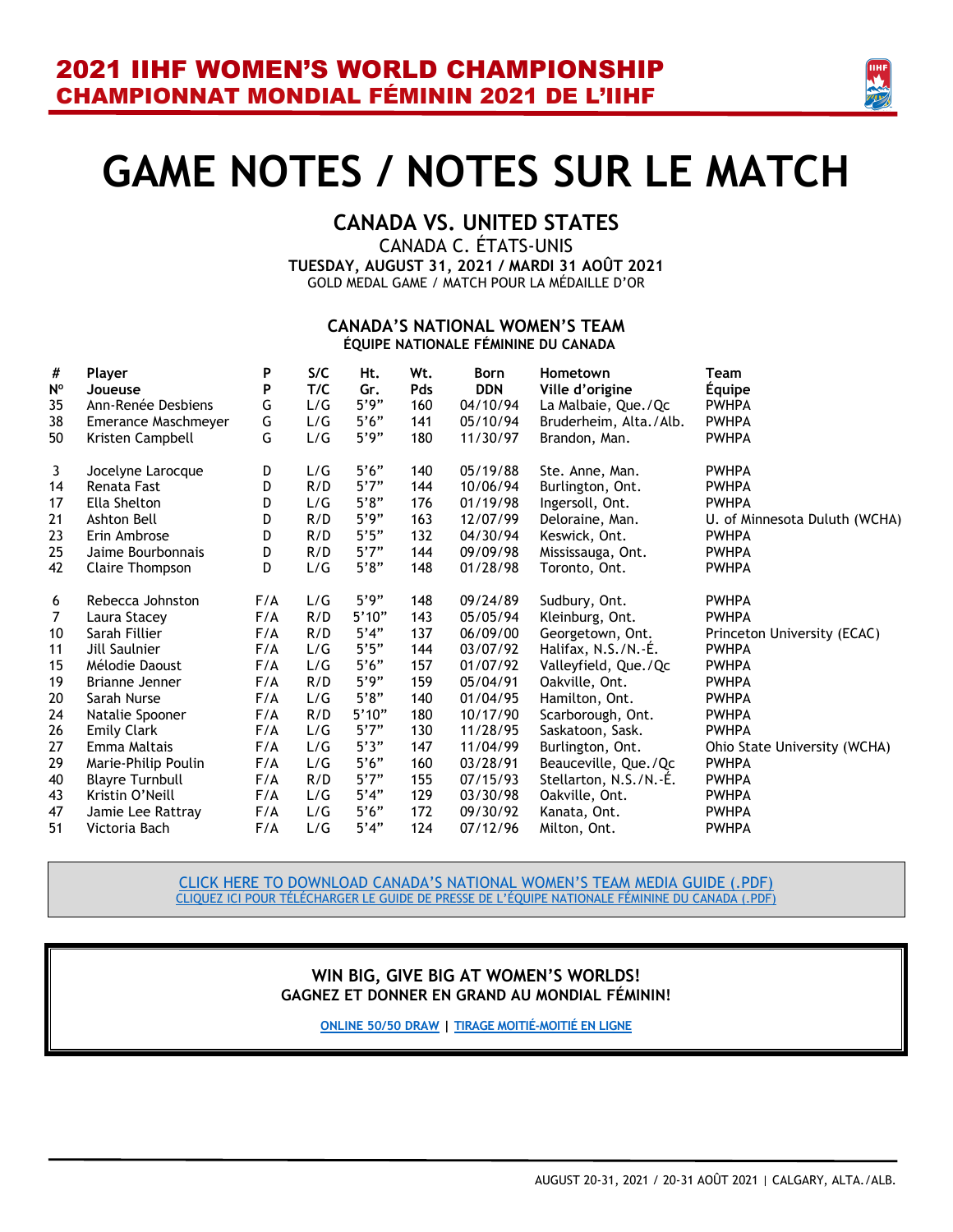

# **GAME NOTES / NOTES SUR LE MATCH**

### **CANADA VS. UNITED STATES**

CANADA C. ÉTATS-UNIS **TUESDAY, AUGUST 31, 2021 / MARDI 31 AOÛT 2021** GOLD MEDAL GAME / MATCH POUR LA MÉDAILLE D'OR

#### **CANADA'S NATIONAL WOMEN'S TEAM ÉQUIPE NATIONALE FÉMININE DU CANADA**

| #              | Player                 | P   | S/C | Ht.   | Wt.        | <b>Born</b> | Hometown               | <b>Team</b>                   |
|----------------|------------------------|-----|-----|-------|------------|-------------|------------------------|-------------------------------|
| $N^{\circ}$    | Joueuse                | P   | T/C | Gr.   | <b>Pds</b> | <b>DDN</b>  | Ville d'origine        | Equipe                        |
| 35             | Ann-Renée Desbiens     | G   | L/G | 5'9"  | 160        | 04/10/94    | La Malbaie, Que./Qc    | <b>PWHPA</b>                  |
| 38             | Emerance Maschmeyer    | G   | L/G | 5'6'' | 141        | 05/10/94    | Bruderheim, Alta./Alb. | <b>PWHPA</b>                  |
| 50             | Kristen Campbell       | G   | L/G | 5'9"  | 180        | 11/30/97    | Brandon, Man.          | <b>PWHPA</b>                  |
| 3              | Jocelyne Larocque      | D   | L/G | 5'6'' | 140        | 05/19/88    | Ste. Anne, Man.        | <b>PWHPA</b>                  |
| 14             | Renata Fast            | D   | R/D | 5'7'' | 144        | 10/06/94    | Burlington, Ont.       | <b>PWHPA</b>                  |
| 17             | Ella Shelton           | D   | L/G | 5'8"  | 176        | 01/19/98    | Ingersoll, Ont.        | <b>PWHPA</b>                  |
| 21             | Ashton Bell            | D   | R/D | 5'9'' | 163        | 12/07/99    | Deloraine, Man.        | U. of Minnesota Duluth (WCHA) |
| 23             | Erin Ambrose           | D   | R/D | 5'5"  | 132        | 04/30/94    | Keswick, Ont.          | <b>PWHPA</b>                  |
| 25             | Jaime Bourbonnais      | D   | R/D | 5'7'' | 144        | 09/09/98    | Mississauga, Ont.      | <b>PWHPA</b>                  |
| 42             | Claire Thompson        | D   | L/G | 5'8"  | 148        | 01/28/98    | Toronto, Ont.          | <b>PWHPA</b>                  |
| 6              | Rebecca Johnston       | F/A | L/G | 5'9"  | 148        | 09/24/89    | Sudbury, Ont.          | <b>PWHPA</b>                  |
| $\overline{7}$ | Laura Stacey           | F/A | R/D | 5'10" | 143        | 05/05/94    | Kleinburg, Ont.        | <b>PWHPA</b>                  |
| 10             | Sarah Fillier          | F/A | R/D | 5'4"  | 137        | 06/09/00    | Georgetown, Ont.       | Princeton University (ECAC)   |
| 11             | Jill Saulnier          | F/A | L/G | 5'5'' | 144        | 03/07/92    | Halifax, N.S./N.-É.    | <b>PWHPA</b>                  |
| 15             | Mélodie Daoust         | F/A | L/G | 5'6'' | 157        | 01/07/92    | Valleyfield, Que./Qc   | <b>PWHPA</b>                  |
| 19             | Brianne Jenner         | F/A | R/D | 5'9'' | 159        | 05/04/91    | Oakville, Ont.         | <b>PWHPA</b>                  |
| 20             | Sarah Nurse            | F/A | L/G | 5'8"  | 140        | 01/04/95    | Hamilton, Ont.         | <b>PWHPA</b>                  |
| 24             | Natalie Spooner        | F/A | R/D | 5'10" | 180        | 10/17/90    | Scarborough, Ont.      | <b>PWHPA</b>                  |
| 26             | <b>Emily Clark</b>     | F/A | L/G | 5'7'' | 130        | 11/28/95    | Saskatoon, Sask.       | <b>PWHPA</b>                  |
| 27             | Emma Maltais           | F/A | L/G | 5'3"  | 147        | 11/04/99    | Burlington, Ont.       | Ohio State University (WCHA)  |
| 29             | Marie-Philip Poulin    | F/A | L/G | 5'6'' | 160        | 03/28/91    | Beauceville, Que./Qc   | <b>PWHPA</b>                  |
| 40             | <b>Blayre Turnbull</b> | F/A | R/D | 5'7'' | 155        | 07/15/93    | Stellarton, N.S./N.-E. | <b>PWHPA</b>                  |
| 43             | Kristin O'Neill        | F/A | L/G | 5'4"  | 129        | 03/30/98    | Oakville, Ont.         | <b>PWHPA</b>                  |
| 47             | Jamie Lee Rattray      | F/A | L/G | 5'6'' | 172        | 09/30/92    | Kanata, Ont.           | <b>PWHPA</b>                  |

[CLICK HERE TO DOWNLOAD CANADA'S NATIONAL WOMEN'S TEAM](https://cdn.hockeycanada.ca/hockey-canada/Team-Canada/Women/National/2020-21/downloads/2021-wwc-can-media-guide.pdf) MEDIA GUIDE (.PDF) CLIQUEZ ICI POUR TÉLÉCHARGER LE GUIDE DE [PRESSE DE L'ÉQUIPE NATIONALE FÉMININE DU CANADA \(.PDF\)](https://cdn.hockeycanada.ca/hockey-canada/Team-Canada/Women/National/2020-21/downloads/2021-wwc-can-media-guide.pdf)

#### **WIN BIG, GIVE BIG AT WOMEN'S WORLDS! GAGNEZ ET DONNER EN GRAND AU MONDIAL FÉMININ!**

**[ONLINE 50/50 DRAW](https://hockeycanada.ca/en-ca/team-canada/women/national/2020-21/win/5050) | [TIRAGE MOITIÉ-MOITIÉ EN LIGNE](https://hockeycanada.ca/fr-ca/team-canada/women/national/2020-21/win/5050?twclid=11428395397169356800&utm_campaign=wwc-5050-21&utm_medium=paid-social&utm_source=twitter_ab&utm_content=card-ngd_wwc5050&utm_term=static-feed-col-m)**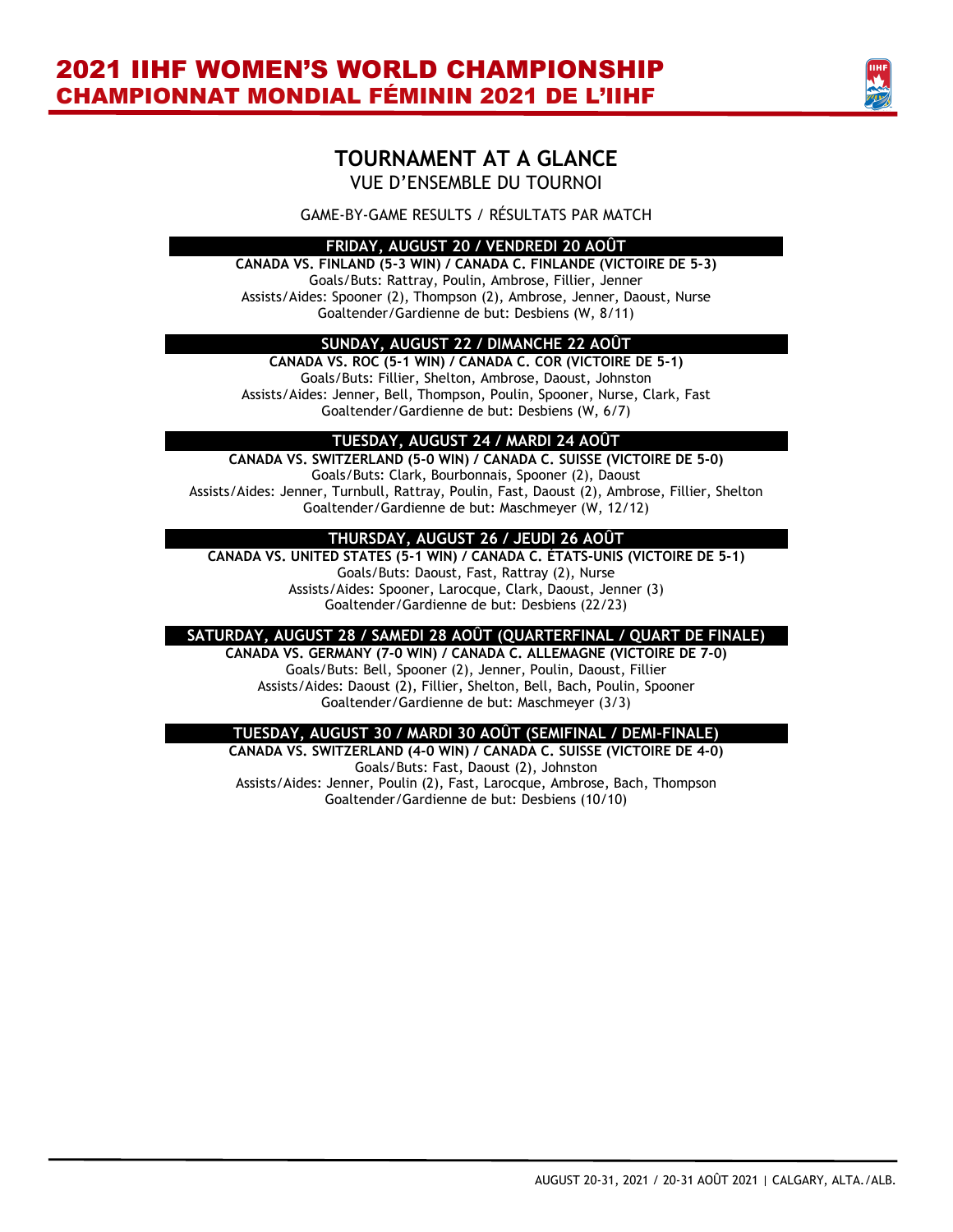

### **TOURNAMENT AT A GLANCE** VUE D'ENSEMBLE DU TOURNOI

GAME-BY-GAME RESULTS / RÉSULTATS PAR MATCH

#### **FRIDAY, AUGUST 20 / VENDREDI 20 AOÛT**

**CANADA VS. FINLAND (5-3 WIN) / CANADA C. FINLANDE (VICTOIRE DE 5-3)** Goals/Buts: Rattray, Poulin, Ambrose, Fillier, Jenner Assists/Aides: Spooner (2), Thompson (2), Ambrose, Jenner, Daoust, Nurse Goaltender/Gardienne de but: Desbiens (W, 8/11)

#### **SUNDAY, AUGUST 22 / DIMANCHE 22 AOÛT**

**CANADA VS. ROC (5-1 WIN) / CANADA C. COR (VICTOIRE DE 5-1)** Goals/Buts: Fillier, Shelton, Ambrose, Daoust, Johnston Assists/Aides: Jenner, Bell, Thompson, Poulin, Spooner, Nurse, Clark, Fast Goaltender/Gardienne de but: Desbiens (W, 6/7)

#### **TUESDAY, AUGUST 24 / MARDI 24 AOÛT**

**CANADA VS. SWITZERLAND (5-0 WIN) / CANADA C. SUISSE (VICTOIRE DE 5-0)** Goals/Buts: Clark, Bourbonnais, Spooner (2), Daoust Assists/Aides: Jenner, Turnbull, Rattray, Poulin, Fast, Daoust (2), Ambrose, Fillier, Shelton Goaltender/Gardienne de but: Maschmeyer (W, 12/12)

#### **THURSDAY, AUGUST 26 / JEUDI 26 AOÛT**

**CANADA VS. UNITED STATES (5-1 WIN) / CANADA C. ÉTATS-UNIS (VICTOIRE DE 5-1)** Goals/Buts: Daoust, Fast, Rattray (2), Nurse Assists/Aides: Spooner, Larocque, Clark, Daoust, Jenner (3) Goaltender/Gardienne de but: Desbiens (22/23)

#### **SATURDAY, AUGUST 28 / SAMEDI 28 AOÛT (QUARTERFINAL / QUART DE FINALE)**

**CANADA VS. GERMANY (7-0 WIN) / CANADA C. ALLEMAGNE (VICTOIRE DE 7-0)** Goals/Buts: Bell, Spooner (2), Jenner, Poulin, Daoust, Fillier Assists/Aides: Daoust (2), Fillier, Shelton, Bell, Bach, Poulin, Spooner Goaltender/Gardienne de but: Maschmeyer (3/3)

#### **TUESDAY, AUGUST 30 / MARDI 30 AOÛT (SEMIFINAL / DEMI-FINALE)**

**CANADA VS. SWITZERLAND (4-0 WIN) / CANADA C. SUISSE (VICTOIRE DE 4-0)** Goals/Buts: Fast, Daoust (2), Johnston Assists/Aides: Jenner, Poulin (2), Fast, Larocque, Ambrose, Bach, Thompson Goaltender/Gardienne de but: Desbiens (10/10)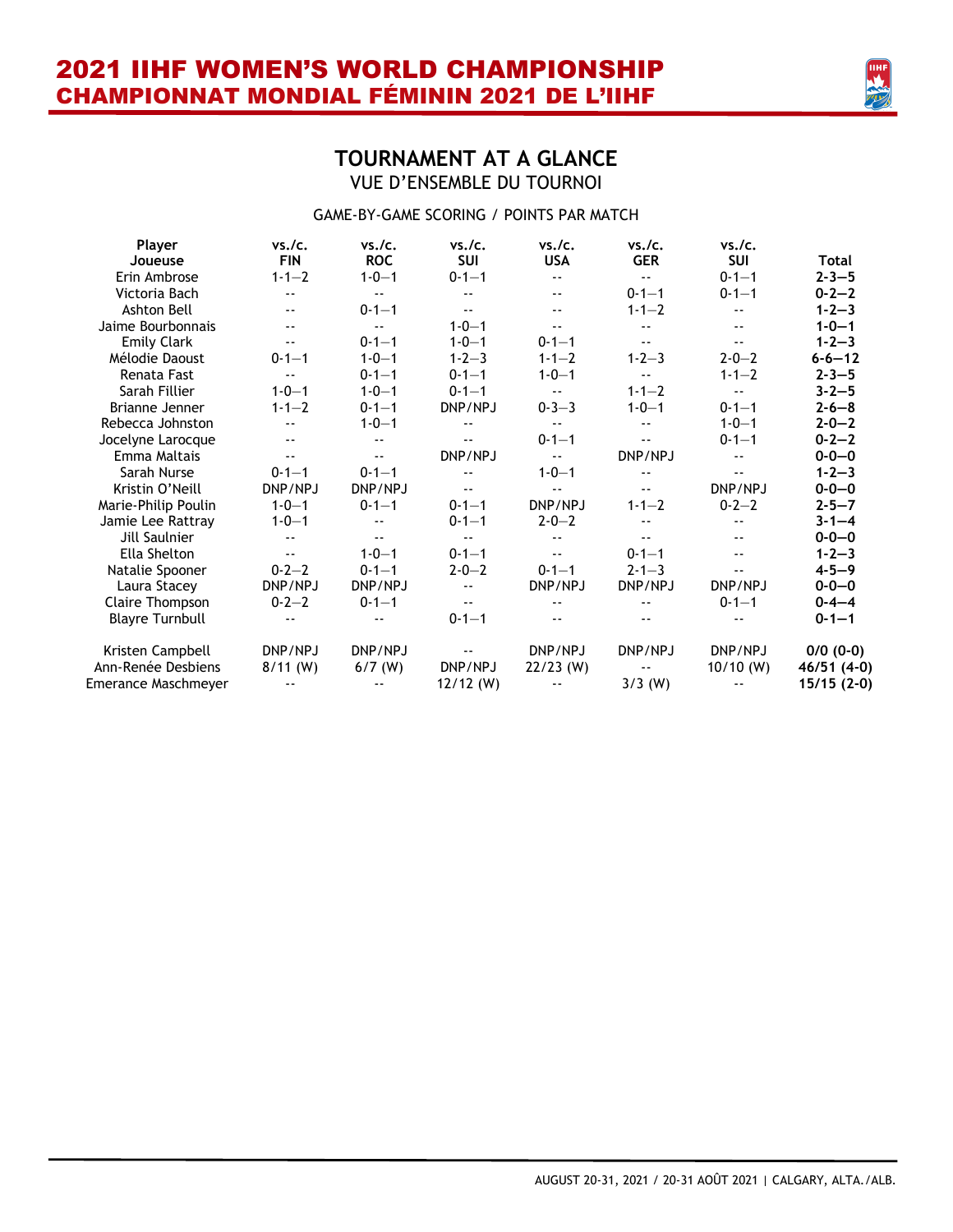

### **TOURNAMENT AT A GLANCE** VUE D'ENSEMBLE DU TOURNOI

#### GAME-BY-GAME SCORING / POINTS PAR MATCH

| Player                 | vs./c.                   | vs./c.        | vs./c.        | vs./c.        | vs./c.                     | vs./c.        |              |
|------------------------|--------------------------|---------------|---------------|---------------|----------------------------|---------------|--------------|
| Joueuse                | <b>FIN</b>               | <b>ROC</b>    | <b>SUI</b>    | <b>USA</b>    | <b>GER</b>                 | <b>SUI</b>    | Total        |
| Erin Ambrose           | $1 - 1 - 2$              | $1 - 0 - 1$   | $0 - 1 - 1$   | $\sim$ $\sim$ | $\sim$ $\sim$              | $0 - 1 - 1$   | $2 - 3 - 5$  |
| Victoria Bach          | --                       | $\sim$ $\sim$ | $- -$         |               | $0 - 1 - 1$                | $0 - 1 - 1$   | $0 - 2 - 2$  |
| Ashton Bell            | $\sim$ $\sim$            | $0 - 1 - 1$   | $\sim$ $\sim$ | $\sim$ $\sim$ | $1 - 1 - 2$                |               | $1 - 2 - 3$  |
| Jaime Bourbonnais      | --                       | $\sim$ $\sim$ | $1 - 0 - 1$   | $-$           | $\overline{\phantom{a}}$   | $- -$         | $1 - 0 - 1$  |
| <b>Emily Clark</b>     | $\sim$ $\sim$            | $0 - 1 - 1$   | $1 - 0 - 1$   | $0 - 1 - 1$   | $\sim$ $\sim$              | $-$           | $1 - 2 - 3$  |
| Mélodie Daoust         | $0 - 1 - 1$              | $1 - 0 - 1$   | $1 - 2 - 3$   | $1 - 1 - 2$   | $1 - 2 - 3$                | $2 - 0 - 2$   | $6 - 6 - 12$ |
| Renata Fast            | $\overline{\phantom{a}}$ | $0 - 1 - 1$   | $0 - 1 - 1$   | $1 - 0 - 1$   | $-$                        | $1 - 1 - 2$   | $2 - 3 - 5$  |
| Sarah Fillier          | $1 - 0 - 1$              | $1 - 0 - 1$   | $0 - 1 - 1$   | $\sim$ $\sim$ | $1 - 1 - 2$                | $\sim$ $\sim$ | $3 - 2 - 5$  |
| Brianne Jenner         | $1 - 1 - 2$              | $0 - 1 - 1$   | DNP/NPJ       | $0 - 3 - 3$   | $1 - 0 - 1$                | $0 - 1 - 1$   | $2 - 6 - 8$  |
| Rebecca Johnston       | --                       | $1 - 0 - 1$   | $- -$         | $\sim$ $\sim$ | $\sim$ $\sim$              | $1 - 0 - 1$   | $2 - 0 - 2$  |
| Jocelyne Larocque      | --                       |               |               | $0 - 1 - 1$   | $\overline{\phantom{a}}$   | $0 - 1 - 1$   | $0 - 2 - 2$  |
| Emma Maltais           | $\sim$ $\sim$            | $\sim$ $\sim$ | DNP/NPJ       | $\sim$ $\sim$ | DNP/NPJ                    |               | $0 - 0 - 0$  |
| Sarah Nurse            | $0 - 1 - 1$              | $0 - 1 - 1$   | $\sim$ $-$    | $1 - 0 - 1$   |                            |               | $1 - 2 - 3$  |
| Kristin O'Neill        | DNP/NPJ                  | DNP/NPJ       | $\sim$ $\sim$ | $\sim$ $\sim$ | $\overline{\phantom{a}}$ . | DNP/NPJ       | $0 - 0 - 0$  |
| Marie-Philip Poulin    | $1 - 0 - 1$              | $0 - 1 - 1$   | $0 - 1 - 1$   | DNP/NPJ       | $1 - 1 - 2$                | $0 - 2 - 2$   | $2 - 5 - 7$  |
| Jamie Lee Rattray      | $1 - 0 - 1$              |               | $0 - 1 - 1$   | $2 - 0 - 2$   |                            |               | $3 - 1 - 4$  |
| Jill Saulnier          | --                       | $-$           | $\sim$ $\sim$ | $ -$          | $\overline{a}$             | $- -$         | $0 - 0 - 0$  |
| Ella Shelton           | $\sim$ $\sim$            | $1 - 0 - 1$   | $0 - 1 - 1$   | $- -$         | $0 - 1 - 1$                | $- -$         | $1 - 2 - 3$  |
| Natalie Spooner        | $0 - 2 - 2$              | $0 - 1 - 1$   | $2 - 0 - 2$   | $0 - 1 - 1$   | $2 - 1 - 3$                |               | $4 - 5 - 9$  |
| Laura Stacey           | DNP/NPJ                  | DNP/NPJ       | $\sim$ $\sim$ | DNP/NPJ       | DNP/NPJ                    | DNP/NPJ       | $0 - 0 - 0$  |
| Claire Thompson        | $0 - 2 - 2$              | $0 - 1 - 1$   | $\sim$ $\sim$ |               | $\overline{\phantom{a}}$   | $0 - 1 - 1$   | $0 - 4 - 4$  |
| <b>Blayre Turnbull</b> |                          |               | $0 - 1 - 1$   |               | $- -$                      |               | $0 - 1 - 1$  |
| Kristen Campbell       | DNP/NPJ                  | DNP/NPJ       |               | DNP/NPJ       | DNP/NPJ                    | DNP/NPJ       | $0/0$ (0-0)  |
| Ann-Renée Desbiens     | $8/11$ (W)               | $6/7$ (W)     | DNP/NPJ       | $22/23$ (W)   | $ -$                       | $10/10$ (W)   | 46/51 (4-0)  |
| Emerance Maschmeyer    | $\sim$ $\sim$            |               | $12/12$ (W)   | $\sim$ $\sim$ | $3/3$ (W)                  | --            | $15/15(2-0)$ |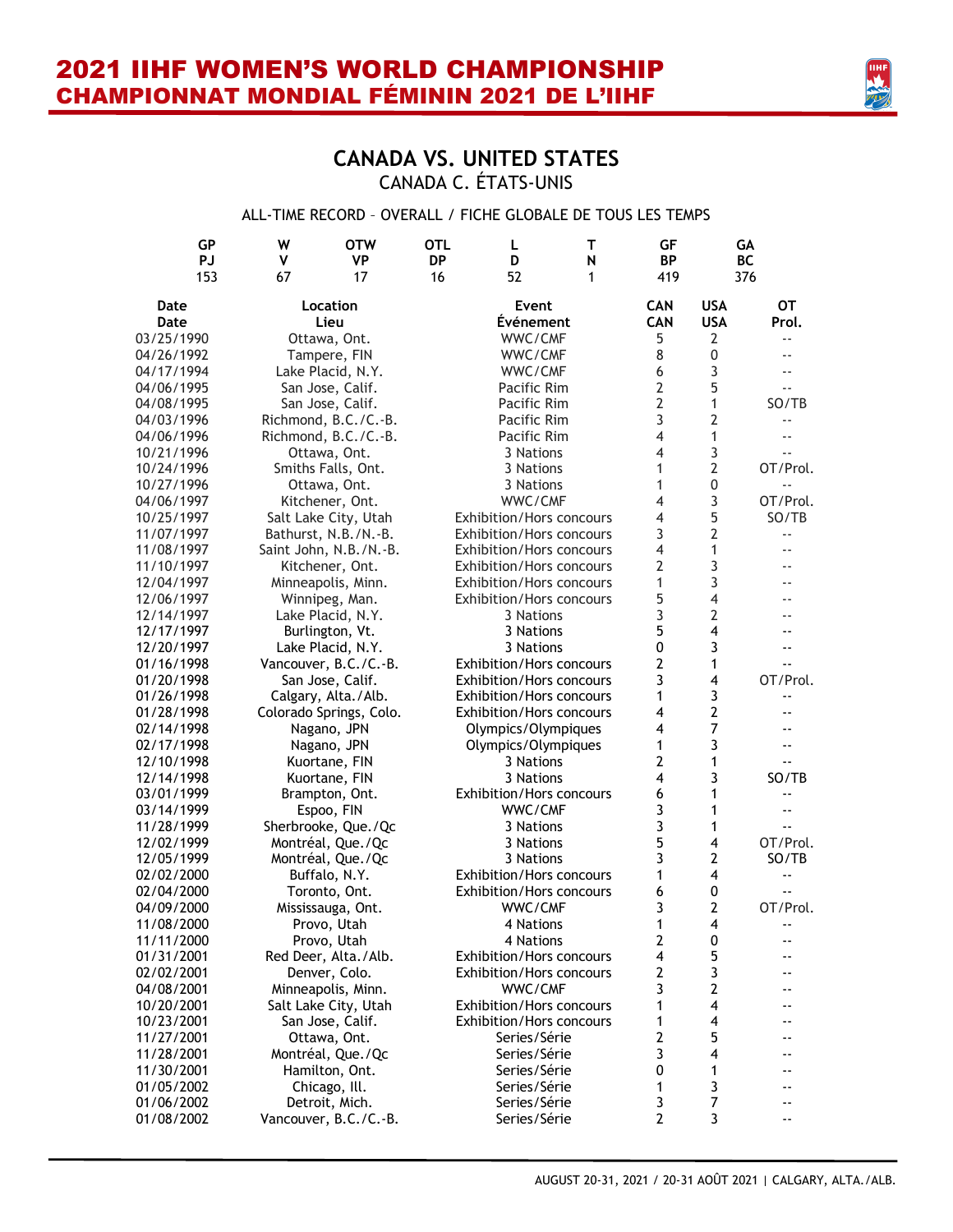

### **CANADA VS. UNITED STATES** CANADA C. ÉTATS-UNIS

#### ALL-TIME RECORD – OVERALL / FICHE GLOBALE DE TOUS LES TEMPS

| <b>GP</b><br><b>PJ</b><br>153 | W<br><b>OTW</b><br>v<br><b>VP</b><br>67<br>17 | OTL<br>L<br>т<br><b>DP</b><br>D<br>N<br>52<br>16<br>1 | GF<br><b>BP</b><br>419 |                         | GА<br>BC<br>376            |
|-------------------------------|-----------------------------------------------|-------------------------------------------------------|------------------------|-------------------------|----------------------------|
| Date                          | Location                                      | Event                                                 | <b>CAN</b>             | <b>USA</b>              | <b>OT</b>                  |
| Date                          | Lieu                                          | Événement                                             | <b>CAN</b>             | <b>USA</b>              | Prol.                      |
| 03/25/1990                    | Ottawa, Ont.                                  | WWC/CMF                                               | 5                      | 2                       | $- -$                      |
| 04/26/1992                    | Tampere, FIN                                  | WWC/CMF                                               | 8                      | 0                       |                            |
| 04/17/1994                    | Lake Placid, N.Y.                             | WWC/CMF                                               | 6                      | 3                       |                            |
| 04/06/1995                    | San Jose, Calif.                              | Pacific Rim                                           | $\overline{2}$         | 5                       |                            |
| 04/08/1995                    | San Jose, Calif.                              | Pacific Rim                                           | $\overline{2}$         | 1                       | SO/TB                      |
| 04/03/1996                    | Richmond, B.C./C.-B.                          | Pacific Rim                                           | 3                      | 2                       | $-$                        |
| 04/06/1996                    | Richmond, B.C./C.-B.                          | Pacific Rim                                           | 4                      | 1                       |                            |
| 10/21/1996                    | Ottawa, Ont.                                  | 3 Nations                                             | 4                      | 3                       |                            |
| 10/24/1996                    | Smiths Falls, Ont.                            | 3 Nations                                             | 1                      | $\overline{2}$          | OT/Prol.                   |
| 10/27/1996                    | Ottawa, Ont.                                  | 3 Nations                                             | 1                      | 0                       |                            |
| 04/06/1997                    | Kitchener, Ont.                               | WWC/CMF                                               | 4                      | 3                       | OT/Prol.                   |
| 10/25/1997                    | Salt Lake City, Utah                          | Exhibition/Hors concours                              | 4                      | 5                       | SO/TB                      |
| 11/07/1997                    | Bathurst, N.B./N.-B.                          | Exhibition/Hors concours                              | 3                      | 2                       |                            |
| 11/08/1997                    | Saint John, N.B./N.-B.                        | <b>Exhibition/Hors concours</b>                       | 4                      | 1                       |                            |
| 11/10/1997                    | Kitchener, Ont.                               | Exhibition/Hors concours                              | 2                      | 3                       |                            |
| 12/04/1997                    | Minneapolis, Minn.                            | Exhibition/Hors concours                              | 1                      | 3                       |                            |
| 12/06/1997                    | Winnipeg, Man.                                | Exhibition/Hors concours                              | 5                      | 4                       |                            |
| 12/14/1997                    | Lake Placid, N.Y.                             | 3 Nations                                             | 3                      | 2                       |                            |
| 12/17/1997                    | Burlington, Vt.                               | 3 Nations                                             | 5                      | 4                       |                            |
| 12/20/1997                    | Lake Placid, N.Y.                             | 3 Nations                                             | 0                      | 3                       |                            |
| 01/16/1998                    | Vancouver, B.C./C.-B.                         | Exhibition/Hors concours                              | 2                      | 1                       | --                         |
| 01/20/1998                    | San Jose, Calif.                              | Exhibition/Hors concours                              | 3                      | $\overline{\mathbf{4}}$ | OT/Prol.                   |
| 01/26/1998                    | Calgary, Alta./Alb.                           | Exhibition/Hors concours                              | 1                      | 3                       | $- -$                      |
| 01/28/1998                    | Colorado Springs, Colo.                       | Exhibition/Hors concours                              | 4                      | $\overline{2}$          |                            |
| 02/14/1998                    | Nagano, JPN                                   | Olympics/Olympiques                                   | 4                      | 7                       |                            |
| 02/17/1998                    | Nagano, JPN                                   | Olympics/Olympiques                                   | 1                      | 3                       |                            |
| 12/10/1998                    | Kuortane, FIN                                 | 3 Nations                                             | 2                      | 1                       |                            |
| 12/14/1998                    | Kuortane, FIN                                 | 3 Nations                                             | 4                      | 3                       | SO/TB                      |
| 03/01/1999                    | Brampton, Ont.                                | Exhibition/Hors concours                              | 6                      | 1                       | --                         |
| 03/14/1999                    | Espoo, FIN                                    | WWC/CMF                                               | 3                      | 1                       |                            |
| 11/28/1999                    | Sherbrooke, Que./Qc                           | 3 Nations                                             | 3                      | 1                       |                            |
| 12/02/1999                    | Montréal, Que./Qc                             | 3 Nations                                             | 5                      | 4                       | OT/Prol.                   |
| 12/05/1999                    | Montréal, Que./Qc                             | 3 Nations                                             | 3                      | $\mathbf{2}$            | SO/TB                      |
| 02/02/2000                    | Buffalo, N.Y.                                 | Exhibition/Hors concours                              | 1                      | 4                       |                            |
| 02/04/2000                    | Toronto, Ont.                                 | Exhibition/Hors concours                              | 6                      | 0                       |                            |
| 04/09/2000                    | Mississauga, Ont.                             | WWC/CMF                                               | 3                      | $\mathbf{2}$            | OT/Prol.                   |
| 11/08/2000                    | Provo, Utah                                   | 4 Nations                                             | 1                      | 4                       | $\overline{\phantom{a}}$ . |
| 11/11/2000                    | Provo, Utah                                   | 4 Nations                                             | 2                      | 0                       |                            |
| 01/31/2001                    | Red Deer, Alta./Alb.                          | Exhibition/Hors concours                              | 4                      | 5                       |                            |
| 02/02/2001                    | Denver, Colo.                                 | Exhibition/Hors concours                              | $\overline{2}$         | 3                       |                            |
| 04/08/2001                    | Minneapolis, Minn.                            | WWC/CMF                                               | 3                      | 2                       |                            |
| 10/20/2001                    | Salt Lake City, Utah                          | Exhibition/Hors concours                              | 1                      | 4                       |                            |
| 10/23/2001                    | San Jose, Calif.                              | Exhibition/Hors concours                              | 1                      | 4                       |                            |
| 11/27/2001                    | Ottawa, Ont.                                  | Series/Série                                          | 2                      | 5                       |                            |
| 11/28/2001                    | Montréal, Que./Qc                             | Series/Série                                          | 3                      | 4                       |                            |
| 11/30/2001                    | Hamilton, Ont.                                | Series/Série                                          | 0                      | 1                       |                            |
| 01/05/2002                    | Chicago, Ill.                                 | Series/Série                                          | 1                      | 3                       |                            |
| 01/06/2002                    | Detroit, Mich.                                | Series/Série                                          | 3                      | $\overline{7}$          |                            |
| 01/08/2002                    | Vancouver, B.C./C.-B.                         | Series/Série                                          | $\overline{2}$         | 3                       |                            |
|                               |                                               |                                                       |                        |                         |                            |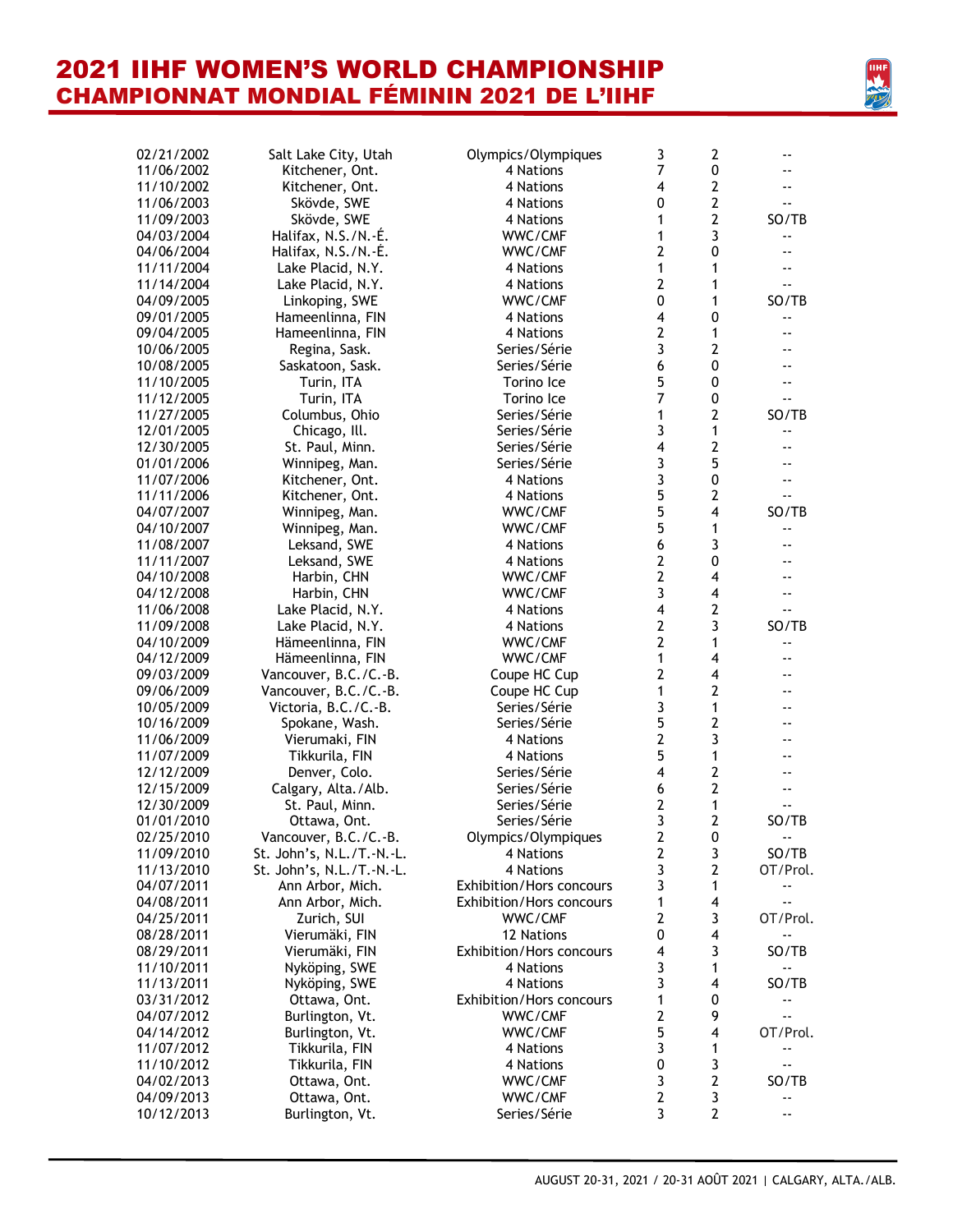

| 02/21/2002 | Salt Lake City, Utah      | Olympics/Olympiques             | 3                       | $\overline{2}$          | $\overline{\phantom{a}}$ . |
|------------|---------------------------|---------------------------------|-------------------------|-------------------------|----------------------------|
| 11/06/2002 | Kitchener, Ont.           | 4 Nations                       | 7                       | 0                       | --                         |
| 11/10/2002 | Kitchener, Ont.           | 4 Nations                       | 4                       | $\overline{2}$          | $ -$                       |
| 11/06/2003 | Skövde, SWE               | 4 Nations                       | 0                       | $\overline{2}$          | --                         |
| 11/09/2003 | Skövde, SWE               | 4 Nations                       | 1                       | $\overline{2}$          | SO/TB                      |
| 04/03/2004 | Halifax, N.S./N.-É.       | WWC/CMF                         | 1                       | 3                       |                            |
| 04/06/2004 | Halifax, N.S./N.-É.       | WWC/CMF                         | 2                       | 0                       | $-$                        |
| 11/11/2004 | Lake Placid, N.Y.         | 4 Nations                       | 1                       | 1                       | $- -$                      |
| 11/14/2004 | Lake Placid, N.Y.         | 4 Nations                       | $\overline{2}$          | 1                       | ۵.                         |
| 04/09/2005 | Linkoping, SWE            | WWC/CMF                         | 0                       | 1                       | SO/TB                      |
| 09/01/2005 | Hameenlinna, FIN          | 4 Nations                       | 4                       | 0                       |                            |
| 09/04/2005 | Hameenlinna, FIN          | 4 Nations                       | $\overline{2}$          | 1                       | --                         |
| 10/06/2005 | Regina, Sask.             | Series/Série                    | 3                       | $\overline{2}$          | --                         |
| 10/08/2005 | Saskatoon, Sask.          | Series/Série                    | 6                       | $\pmb{0}$               | ۰-                         |
| 11/10/2005 | Turin, ITA                | Torino Ice                      | 5                       | 0                       | $\overline{\phantom{a}}$   |
| 11/12/2005 | Turin, ITA                | Torino Ice                      | 7                       | $\pmb{0}$               | --                         |
| 11/27/2005 | Columbus, Ohio            | Series/Série                    | 1                       | $\overline{2}$          | SO/TB                      |
| 12/01/2005 | Chicago, Ill.             | Series/Série                    | 3                       | $\mathbf{1}$            | $\overline{\phantom{a}}$ . |
| 12/30/2005 | St. Paul, Minn.           | Series/Série                    | $\overline{\mathbf{4}}$ | $\overline{2}$          | $\overline{\phantom{a}}$   |
| 01/01/2006 | Winnipeg, Man.            | Series/Série                    | 3                       | 5                       | --                         |
| 11/07/2006 | Kitchener, Ont.           | 4 Nations                       | 3                       | 0                       | --                         |
| 11/11/2006 | Kitchener, Ont.           | 4 Nations                       | 5                       | $\overline{2}$          | ۵.                         |
| 04/07/2007 | Winnipeg, Man.            | WWC/CMF                         | 5                       | $\overline{\mathbf{4}}$ | SO/TB                      |
| 04/10/2007 | Winnipeg, Man.            | WWC/CMF                         | 5                       | $\mathbf{1}$            | $- -$                      |
| 11/08/2007 | Leksand, SWE              | 4 Nations                       | 6                       | 3                       | --                         |
| 11/11/2007 | Leksand, SWE              | 4 Nations                       | 2                       | 0                       | $\overline{\phantom{a}}$   |
| 04/10/2008 | Harbin, CHN               | WWC/CMF                         | $\overline{2}$          | $\overline{\mathbf{4}}$ | $- -$                      |
| 04/12/2008 | Harbin, CHN               | WWC/CMF                         | 3                       | $\overline{\mathbf{4}}$ | $- -$                      |
| 11/06/2008 | Lake Placid, N.Y.         | 4 Nations                       | 4                       | $\mathbf{2}$            | ۵.                         |
| 11/09/2008 | Lake Placid, N.Y.         | 4 Nations                       | $\overline{2}$          | 3                       | SO/TB                      |
| 04/10/2009 | Hämeenlinna, FIN          | WWC/CMF                         | $\overline{2}$          | 1                       |                            |
| 04/12/2009 | Hämeenlinna, FIN          | WWC/CMF                         | 1                       | 4                       | $\overline{\phantom{a}}$   |
| 09/03/2009 | Vancouver, B.C./C.-B.     | Coupe HC Cup                    | 2                       | 4                       | $ -$                       |
| 09/06/2009 | Vancouver, B.C./C.-B.     | Coupe HC Cup                    | 1                       | $\overline{2}$          | $ -$                       |
| 10/05/2009 | Victoria, B.C./C.-B.      | Series/Série                    | 3                       | $\mathbf{1}$            | $ -$                       |
| 10/16/2009 | Spokane, Wash.            | Series/Série                    | 5                       | $\overline{2}$          | $ -$                       |
| 11/06/2009 | Vierumaki, FIN            | 4 Nations                       | 2                       | 3                       | $\overline{\phantom{a}}$   |
| 11/07/2009 | Tikkurila, FIN            | 4 Nations                       | 5                       | 1                       | $ -$                       |
| 12/12/2009 | Denver, Colo.             | Series/Série                    | $\overline{\mathbf{4}}$ | $\overline{2}$          | $ -$                       |
| 12/15/2009 | Calgary, Alta./Alb.       | Series/Série                    | 6                       | $\overline{2}$          | $ -$                       |
| 12/30/2009 | St. Paul, Minn.           | Series/Série                    | 2                       | 1                       | --                         |
| 01/01/2010 | Ottawa, Ont.              | Series/Série                    | 3                       | $\mathbf{2}$            | SO/TB                      |
| 02/25/2010 | Vancouver, B.C./C.-B.     | Olympics/Olympiques             | 2                       | 0                       |                            |
| 11/09/2010 | St. John's, N.L./T.-N.-L. | 4 Nations                       | $\boldsymbol{2}$        | 3                       | SO/TB                      |
| 11/13/2010 | St. John's, N.L./T.-N.-L. | 4 Nations                       | 3                       | $\mathbf{2}$            | OT/Prol.                   |
| 04/07/2011 | Ann Arbor, Mich.          | <b>Exhibition/Hors concours</b> | 3                       | 1                       | --                         |
| 04/08/2011 | Ann Arbor, Mich.          | Exhibition/Hors concours        | 1                       | $\overline{\mathbf{4}}$ | $ -$                       |
| 04/25/2011 | Zurich, SUI               | WWC/CMF                         | $\overline{2}$          | 3                       | OT/Prol.                   |
| 08/28/2011 | Vierumäki, FIN            | 12 Nations                      | 0                       | $\overline{\mathbf{4}}$ | $\overline{\phantom{a}}$   |
| 08/29/2011 | Vierumäki, FIN            | <b>Exhibition/Hors concours</b> | 4                       | 3                       | SO/TB                      |
| 11/10/2011 | Nyköping, SWE             | 4 Nations                       | 3                       | $\mathbf{1}$            |                            |
| 11/13/2011 | Nyköping, SWE             | 4 Nations                       | 3                       | 4                       | SO/TB                      |
| 03/31/2012 | Ottawa, Ont.              | Exhibition/Hors concours        | 1                       | 0                       | $\overline{\phantom{a}}$ . |
| 04/07/2012 | Burlington, Vt.           | WWC/CMF                         | $\overline{2}$          | 9                       | $ -$                       |
| 04/14/2012 | Burlington, Vt.           | WWC/CMF                         | 5                       | $\overline{\mathbf{4}}$ | OT/Prol.                   |
| 11/07/2012 | Tikkurila, FIN            | 4 Nations                       | 3                       | 1                       | ۰.                         |
| 11/10/2012 | Tikkurila, FIN            | 4 Nations                       | 0                       | 3                       | $-$                        |
| 04/02/2013 | Ottawa, Ont.              | WWC/CMF                         | 3                       | $\mathbf{2}$            | SO/TB                      |
| 04/09/2013 | Ottawa, Ont.              | WWC/CMF                         | $\overline{2}$          | 3                       | $\overline{\phantom{a}}$ . |
| 10/12/2013 | Burlington, Vt.           | Series/Série                    | 3                       | $\overline{2}$          | $\overline{\phantom{a}}$   |
|            |                           |                                 |                         |                         |                            |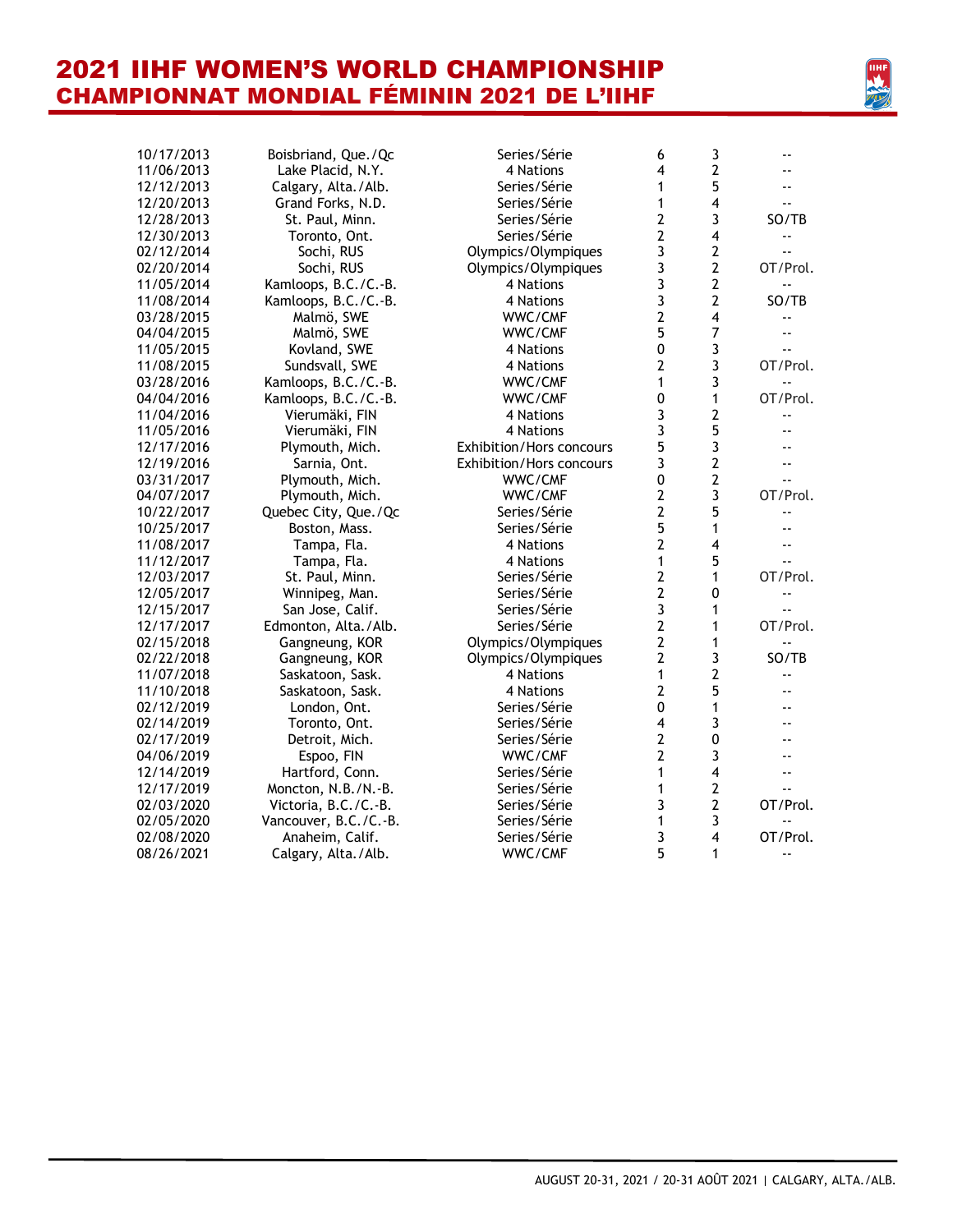

| 10/17/2013 | Boisbriand, Que./Qc   | Series/Série             | 6                       | 3                       | $ -$                     |
|------------|-----------------------|--------------------------|-------------------------|-------------------------|--------------------------|
| 11/06/2013 | Lake Placid, N.Y.     | 4 Nations                | 4                       | $\overline{2}$          |                          |
| 12/12/2013 | Calgary, Alta./Alb.   | Series/Série             | 1                       | 5                       |                          |
| 12/20/2013 | Grand Forks, N.D.     | Series/Série             | 1                       | $\overline{4}$          | $\sim$                   |
| 12/28/2013 | St. Paul, Minn.       | Series/Série             | $\overline{\mathbf{c}}$ | 3                       | SO/TB                    |
| 12/30/2013 | Toronto, Ont.         | Series/Série             | $\overline{2}$          | $\overline{\mathbf{4}}$ | $\sim$ $\sim$            |
| 02/12/2014 | Sochi, RUS            | Olympics/Olympiques      | 3                       | $\overline{2}$          |                          |
| 02/20/2014 | Sochi, RUS            | Olympics/Olympiques      | 3                       | $\overline{2}$          | OT/Prol.                 |
| 11/05/2014 | Kamloops, B.C./C.-B.  | 4 Nations                | 3                       | $\overline{2}$          |                          |
| 11/08/2014 | Kamloops, B.C./C.-B.  | 4 Nations                | 3                       | $\overline{2}$          | SO/TB                    |
| 03/28/2015 | Malmö, SWE            | WWC/CMF                  | $\overline{\mathbf{c}}$ | $\overline{\mathbf{4}}$ |                          |
| 04/04/2015 | Malmö, SWE            | WWC/CMF                  | 5                       | $\overline{7}$          | $ -$                     |
| 11/05/2015 | Kovland, SWE          | 4 Nations                | 0                       | 3                       | $\sim$                   |
| 11/08/2015 | Sundsvall, SWE        | 4 Nations                | 2                       | 3                       | OT/Prol.                 |
| 03/28/2016 | Kamloops, B.C./C.-B.  | WWC/CMF                  | 1                       | 3                       | $\overline{a}$           |
| 04/04/2016 | Kamloops, B.C./C.-B.  | WWC/CMF                  | $\mathbf 0$             | 1                       | OT/Prol.                 |
| 11/04/2016 | Vierumäki, FIN        | 4 Nations                | 3                       | $\overline{2}$          |                          |
| 11/05/2016 | Vierumäki, FIN        | 4 Nations                | 3                       | 5                       |                          |
| 12/17/2016 | Plymouth, Mich.       | Exhibition/Hors concours | 5                       | 3                       |                          |
| 12/19/2016 | Sarnia, Ont.          | Exhibition/Hors concours | 3                       | $\overline{2}$          | $\sim$ $\sim$            |
| 03/31/2017 | Plymouth, Mich.       | WWC/CMF                  | $\mathbf 0$             | $\overline{2}$          | $\overline{a}$           |
| 04/07/2017 | Plymouth, Mich.       | WWC/CMF                  | 2                       | $\mathbf{3}$            | OT/Prol.                 |
| 10/22/2017 | Quebec City, Que./Qc  | Series/Série             | $\overline{\mathbf{c}}$ | 5                       |                          |
| 10/25/2017 | Boston, Mass.         | Series/Série             | 5                       | $\mathbf{1}$            |                          |
| 11/08/2017 | Tampa, Fla.           | 4 Nations                | $\overline{2}$          | $\overline{4}$          |                          |
| 11/12/2017 | Tampa, Fla.           | 4 Nations                | 1                       | 5                       |                          |
| 12/03/2017 | St. Paul, Minn.       | Series/Série             | 2                       | 1                       | OT/Prol.                 |
| 12/05/2017 | Winnipeg, Man.        | Series/Série             | 2                       | $\mathbf{0}$            | $\sim$ $\sim$            |
| 12/15/2017 | San Jose, Calif.      | Series/Série             | 3                       | 1                       |                          |
| 12/17/2017 | Edmonton, Alta./Alb.  | Series/Série             | $\overline{2}$          | 1                       | OT/Prol.                 |
| 02/15/2018 | Gangneung, KOR        | Olympics/Olympiques      | $\overline{\mathbf{c}}$ | $\mathbf{1}$            |                          |
| 02/22/2018 | Gangneung, KOR        | Olympics/Olympiques      | 2                       | 3                       | SO/TB                    |
| 11/07/2018 | Saskatoon, Sask.      | 4 Nations                | 1                       | $\overline{2}$          |                          |
| 11/10/2018 | Saskatoon, Sask.      | 4 Nations                | $\overline{\mathbf{c}}$ | 5                       |                          |
| 02/12/2019 | London, Ont.          | Series/Série             | 0                       | 1                       |                          |
| 02/14/2019 | Toronto, Ont.         | Series/Série             | 4                       | 3                       |                          |
| 02/17/2019 | Detroit, Mich.        | Series/Série             | 2                       | $\pmb{0}$               |                          |
| 04/06/2019 | Espoo, FIN            | WWC/CMF                  | 2                       | 3                       |                          |
| 12/14/2019 | Hartford, Conn.       | Series/Série             | 1                       | $\overline{4}$          |                          |
| 12/17/2019 | Moncton, N.B./N.-B.   | Series/Série             | 1                       | $\overline{2}$          | $\overline{a}$           |
| 02/03/2020 | Victoria, B.C./C.-B.  | Series/Série             | 3                       | $\overline{2}$          | OT/Prol.                 |
| 02/05/2020 | Vancouver, B.C./C.-B. | Series/Série             | $\mathbf{1}$            | 3                       | $\overline{a}$           |
| 02/08/2020 | Anaheim, Calif.       | Series/Série             | 3                       | 4                       | OT/Prol.                 |
| 08/26/2021 | Calgary, Alta./Alb.   | WWC/CMF                  | 5                       | 1                       | $\overline{\phantom{a}}$ |
|            |                       |                          |                         |                         |                          |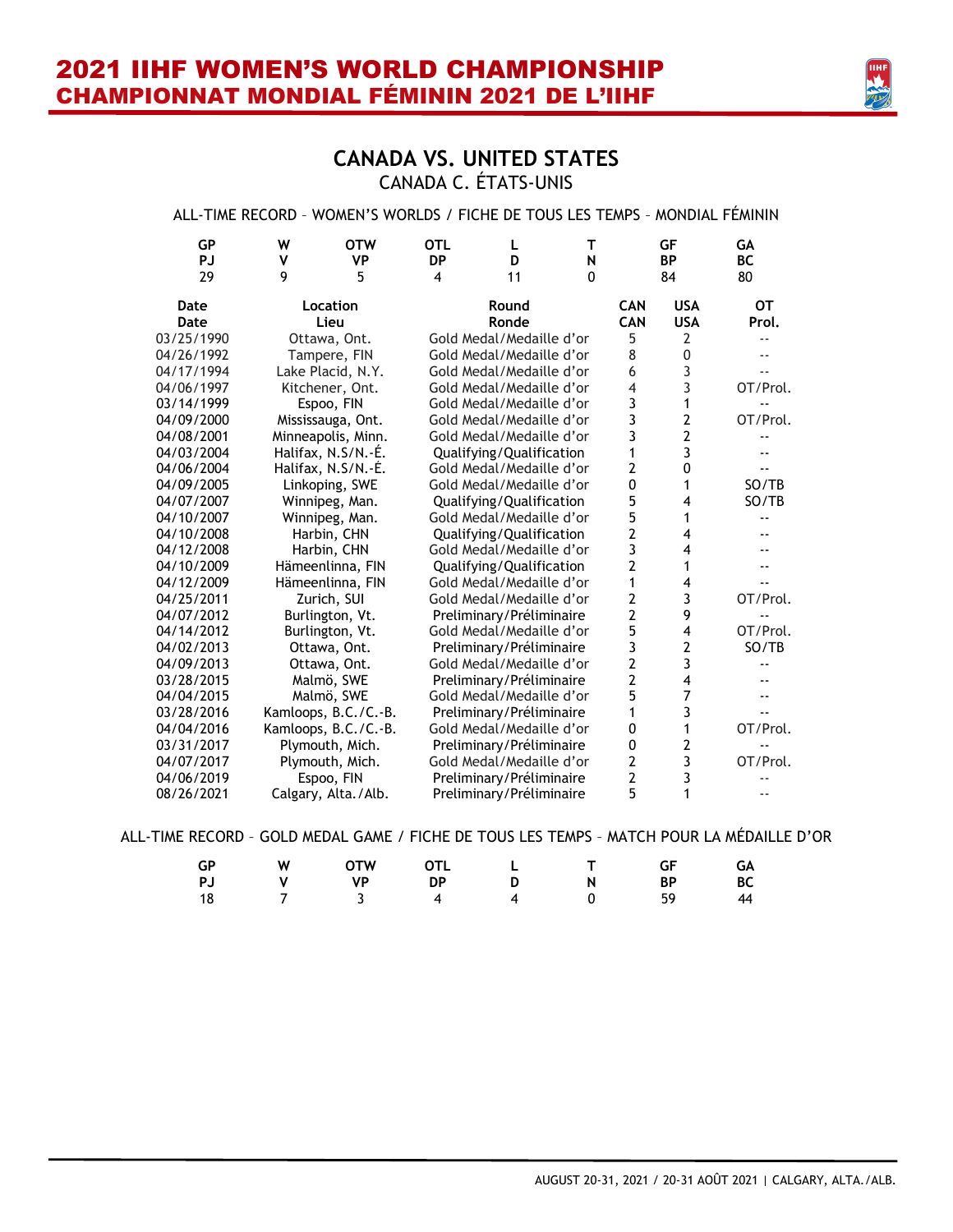

### **CANADA VS. UNITED STATES** CANADA C. ÉTATS-UNIS

#### ALL-TIME RECORD – WOMEN'S WORLDS / FICHE DE TOUS LES TEMPS – MONDIAL FÉMININ

| GP         | W                   | <b>OTW</b>           | <b>OTL</b> | L                        | т        |                | GF             | GА                       |
|------------|---------------------|----------------------|------------|--------------------------|----------|----------------|----------------|--------------------------|
| <b>PJ</b>  | ٧                   | <b>VP</b>            | <b>DP</b>  | D                        | N        |                | <b>BP</b>      | <b>BC</b>                |
| 29         | 9                   | 5                    | 4          | 11                       | $\Omega$ |                | 84             | 80                       |
| Date       |                     | Location             |            | Round                    |          | <b>CAN</b>     | <b>USA</b>     | OТ                       |
| Date       |                     | Lieu                 |            | Ronde                    |          | <b>CAN</b>     | <b>USA</b>     | Prol.                    |
| 03/25/1990 | Ottawa, Ont.        |                      |            | Gold Medal/Medaille d'or |          | 5              | 2              | --                       |
| 04/26/1992 |                     | Tampere, FIN         |            | Gold Medal/Medaille d'or |          | 8              | 0              | $\overline{a}$           |
| 04/17/1994 |                     | Lake Placid, N.Y.    |            | Gold Medal/Medaille d'or |          | 6              | 3              | $\overline{a}$           |
| 04/06/1997 |                     | Kitchener, Ont.      |            | Gold Medal/Medaille d'or |          | 4              | 3              | OT/Prol.                 |
| 03/14/1999 |                     | Espoo, FIN           |            | Gold Medal/Medaille d'or |          | 3              | 1              |                          |
| 04/09/2000 | Mississauga, Ont.   |                      |            | Gold Medal/Medaille d'or |          | 3              | 2              | OT/Prol.                 |
| 04/08/2001 |                     | Minneapolis, Minn.   |            | Gold Medal/Medaille d'or |          | 3              | $\overline{2}$ |                          |
| 04/03/2004 | Halifax, N.S/N.-E.  |                      |            | Qualifying/Qualification |          | 1              | 3              |                          |
| 04/06/2004 | Halifax, N.S/N.-E.  |                      |            | Gold Medal/Medaille d'or |          | 2              | 0              |                          |
| 04/09/2005 |                     | Linkoping, SWE       |            | Gold Medal/Medaille d'or |          | 0              | 1              | SO/TB                    |
| 04/07/2007 | Winnipeg, Man.      |                      |            | Qualifying/Qualification |          | 5              | 4              | SO/TB                    |
| 04/10/2007 |                     | Winnipeg, Man.       |            | Gold Medal/Medaille d'or |          | 5              | 1              |                          |
| 04/10/2008 |                     | Harbin, CHN          |            | Qualifying/Qualification |          | $\overline{2}$ | 4              |                          |
| 04/12/2008 |                     | Harbin, CHN          |            | Gold Medal/Medaille d'or |          | 3              | 4              |                          |
| 04/10/2009 |                     | Hämeenlinna, FIN     |            | Qualifying/Qualification |          | $\overline{2}$ | 1              | --                       |
| 04/12/2009 |                     | Hämeenlinna, FIN     |            | Gold Medal/Medaille d'or |          | 1              | 4              | $\overline{\phantom{a}}$ |
| 04/25/2011 |                     | Zurich, SUI          |            | Gold Medal/Medaille d'or |          | 2              | 3              | OT/Prol.                 |
| 04/07/2012 | Burlington, Vt.     |                      |            | Preliminary/Préliminaire |          | 2              | 9              | --                       |
| 04/14/2012 | Burlington, Vt.     |                      |            | Gold Medal/Medaille d'or |          | 5              | 4              | OT/Prol.                 |
| 04/02/2013 |                     | Ottawa, Ont.         |            | Preliminary/Préliminaire |          | 3              | $\overline{2}$ | SO/TB                    |
| 04/09/2013 | Ottawa, Ont.        |                      |            | Gold Medal/Medaille d'or |          | 2              | 3              |                          |
| 03/28/2015 |                     | Malmö, SWE           |            | Preliminary/Préliminaire |          | $\overline{2}$ | 4              |                          |
| 04/04/2015 |                     | Malmö, SWE           |            | Gold Medal/Medaille d'or |          | 5              | 7              | --                       |
| 03/28/2016 |                     | Kamloops, B.C./C.-B. |            | Preliminary/Préliminaire |          | 1              | 3              | --                       |
| 04/04/2016 |                     | Kamloops, B.C./C.-B. |            | Gold Medal/Medaille d'or |          | 0              | 1              | OT/Prol.                 |
| 03/31/2017 |                     | Plymouth, Mich.      |            | Preliminary/Préliminaire |          | 0              | 2              |                          |
| 04/07/2017 |                     | Plymouth, Mich.      |            | Gold Medal/Medaille d'or |          | 2              | 3              | OT/Prol.                 |
| 04/06/2019 |                     | Espoo, FIN           |            | Preliminary/Préliminaire |          | 2              | 3              |                          |
| 08/26/2021 | Calgary, Alta./Alb. |                      |            | Preliminary/Préliminaire |          | 5              | 1              | ٠.                       |

ALL-TIME RECORD – GOLD MEDAL GAME / FICHE DE TOUS LES TEMPS – MATCH POUR LA MÉDAILLE D'OR

| GP | W OTW OTL L T GF GA  |  |  |  |
|----|----------------------|--|--|--|
|    | PJ V VP DP D N BP BC |  |  |  |
|    | 18 7 3 4 4 0 59 44   |  |  |  |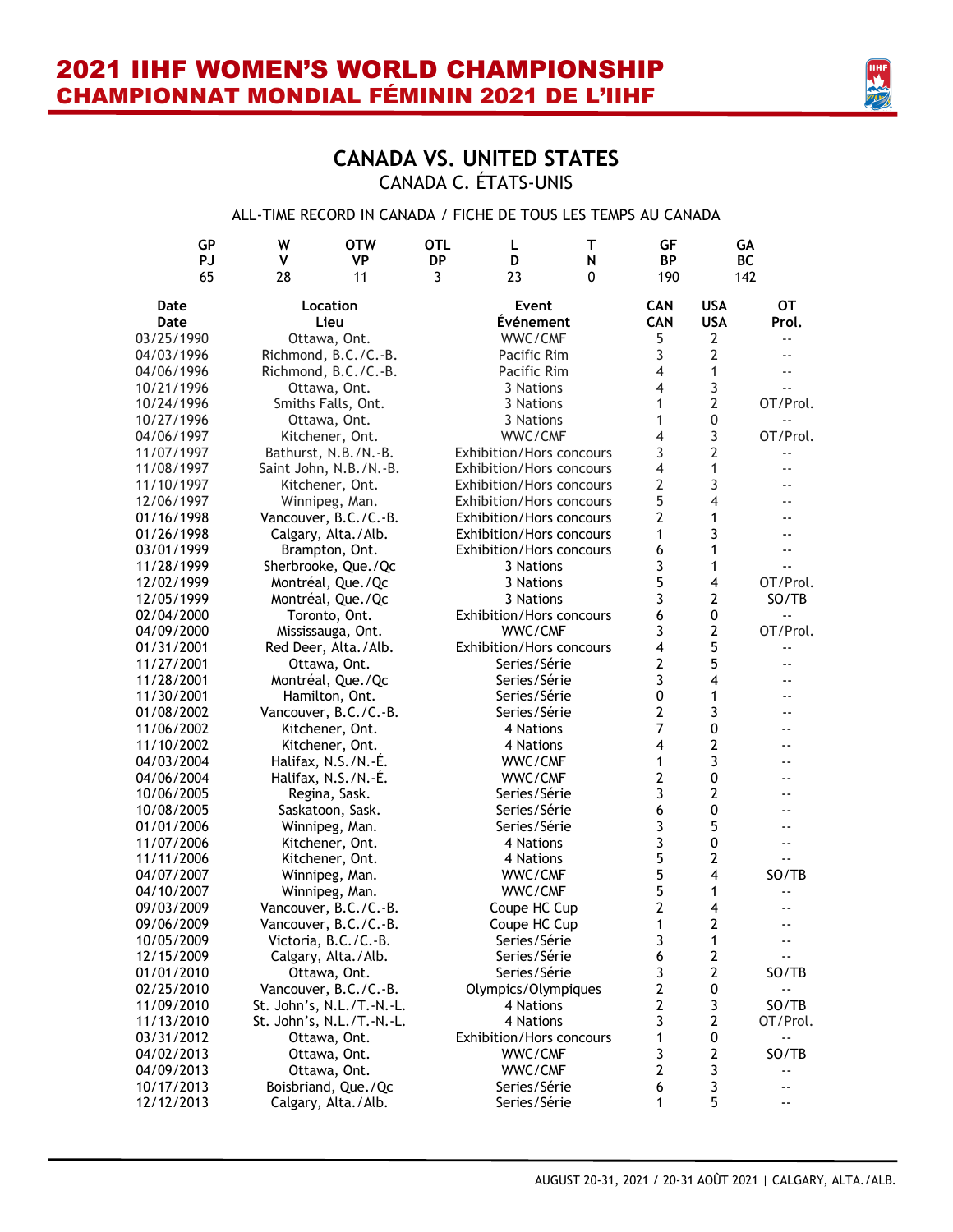

### **CANADA VS. UNITED STATES** CANADA C. ÉTATS-UNIS

#### ALL-TIME RECORD IN CANADA / FICHE DE TOUS LES TEMPS AU CANADA

| GP                       | W<br><b>OTW</b>                             | <b>OTL</b> | L                               | т | GF                      |                         | GA                         |
|--------------------------|---------------------------------------------|------------|---------------------------------|---|-------------------------|-------------------------|----------------------------|
| <b>PJ</b>                | ٧<br>VP                                     | <b>DP</b>  | D                               | N | <b>BP</b>               |                         | <b>BC</b>                  |
| 65                       | 28<br>11                                    | 3          | 23                              | 0 | 190                     |                         | 142                        |
| Date                     | Location                                    |            | Event                           |   | <b>CAN</b>              | <b>USA</b>              | <b>OT</b>                  |
| Date                     | Lieu                                        |            | <b>Événement</b>                |   | <b>CAN</b>              | <b>USA</b>              | Prol.                      |
| 03/25/1990               | Ottawa, Ont.                                |            | WWC/CMF                         |   | 5                       | 2                       | $ -$                       |
| 04/03/1996               | Richmond, B.C./C.-B.                        |            | Pacific Rim                     |   | 3                       | $\overline{2}$          |                            |
| 04/06/1996               | Richmond, B.C./C.-B.                        |            | Pacific Rim                     |   | 4                       | $\mathbf{1}$            |                            |
| 10/21/1996               | Ottawa, Ont.                                |            | 3 Nations                       |   | $\overline{4}$          | 3                       |                            |
| 10/24/1996               | Smiths Falls, Ont.                          |            | 3 Nations                       |   | 1                       | $\overline{2}$          | OT/Prol.                   |
| 10/27/1996               | Ottawa, Ont.                                |            | 3 Nations                       |   | 1                       | $\boldsymbol{0}$        |                            |
| 04/06/1997               | Kitchener, Ont.                             |            | WWC/CMF                         |   | 4                       | 3                       | OT/Prol.                   |
| 11/07/1997               | Bathurst, N.B./N.-B.                        |            | Exhibition/Hors concours        |   | 3                       | $\overline{2}$          | $ -$                       |
| 11/08/1997               | Saint John, N.B./N.-B.                      |            | Exhibition/Hors concours        |   | $\overline{4}$          | 1                       |                            |
| 11/10/1997               | Kitchener, Ont.                             |            | Exhibition/Hors concours        |   | $\overline{2}$          | 3                       |                            |
| 12/06/1997               | Winnipeg, Man.                              |            | Exhibition/Hors concours        |   | 5                       | $\overline{4}$          |                            |
| 01/16/1998               | Vancouver, B.C./C.-B.                       |            | Exhibition/Hors concours        |   | $\overline{2}$          | 1                       |                            |
| 01/26/1998               | Calgary, Alta./Alb.                         |            | Exhibition/Hors concours        |   | 1                       | 3                       |                            |
| 03/01/1999               | Brampton, Ont.                              |            | <b>Exhibition/Hors concours</b> |   | 6                       | 1                       |                            |
| 11/28/1999               | Sherbrooke, Que./Qc                         |            | 3 Nations                       |   | 3                       | 1                       |                            |
| 12/02/1999               | Montréal, Que./Qc                           |            | 3 Nations                       |   | 5                       | 4                       | OT/Prol.                   |
| 12/05/1999               | Montréal, Que./Qc                           |            | 3 Nations                       |   | 3                       | $\overline{2}$          | SO/TB                      |
| 02/04/2000               | Toronto, Ont.                               |            | Exhibition/Hors concours        |   | 6                       | $\pmb{0}$               |                            |
| 04/09/2000               | Mississauga, Ont.                           |            | WWC/CMF                         |   | 3                       | $\overline{2}$          | OT/Prol.                   |
| 01/31/2001               | Red Deer, Alta./Alb.                        |            | Exhibition/Hors concours        |   | $\overline{4}$          | 5                       |                            |
| 11/27/2001               | Ottawa, Ont.                                |            | Series/Série                    |   | $\overline{2}$          | 5<br>4                  |                            |
| 11/28/2001               | Montréal, Que./Qc                           |            | Series/Série<br>Series/Série    |   | 3<br>0                  | 1                       |                            |
| 11/30/2001               | Hamilton, Ont.                              |            | Series/Série                    |   | $\overline{2}$          | 3                       |                            |
| 01/08/2002               | Vancouver, B.C./C.-B.                       |            | 4 Nations                       |   | $\overline{7}$          | 0                       |                            |
| 11/06/2002               | Kitchener, Ont.                             |            | 4 Nations                       |   | $\overline{\mathbf{4}}$ | $\overline{2}$          |                            |
| 11/10/2002<br>04/03/2004 | Kitchener, Ont.                             |            |                                 |   | $\mathbf{1}$            | 3                       |                            |
|                          | Halifax, N.S./N.-É.                         |            | WWC/CMF<br>WWC/CMF              |   | $\overline{2}$          | 0                       |                            |
| 04/06/2004               | Halifax, N.S./N.-É.                         |            | Series/Série                    |   | 3                       | $\overline{\mathbf{c}}$ |                            |
| 10/06/2005<br>10/08/2005 | Regina, Sask.<br>Saskatoon, Sask.           |            | Series/Série                    |   | 6                       | 0                       |                            |
| 01/01/2006               |                                             |            | Series/Série                    |   | 3                       | 5                       |                            |
| 11/07/2006               | Winnipeg, Man.                              |            | 4 Nations                       |   | 3                       | 0                       |                            |
| 11/11/2006               | Kitchener, Ont.<br>Kitchener, Ont.          |            | 4 Nations                       |   | 5                       | $\overline{2}$          | --                         |
| 04/07/2007               | Winnipeg, Man.                              |            | WWC/CMF                         |   | 5                       | 4                       | SO/TB                      |
| 04/10/2007               | Winnipeg, Man.                              |            | WWC/CMF                         |   | 5                       | 1                       |                            |
| 09/03/2009               | Vancouver, B.C./C.-B.                       |            | Coupe HC Cup                    |   | $\overline{2}$          | 4                       |                            |
| 09/06/2009               | Vancouver, B.C./C.-B.                       |            | Coupe HC Cup                    |   | 1                       | $\overline{2}$          | $\overline{\phantom{a}}$ . |
|                          |                                             |            | Series/Série                    |   |                         | 1                       |                            |
| 10/05/2009<br>12/15/2009 | Victoria, B.C./C.-B.<br>Calgary, Alta./Alb. |            | Series/Série                    |   | 3<br>6                  | $\mathbf{2}$            | $\overline{\phantom{a}}$ . |
| 01/01/2010               | Ottawa, Ont.                                |            | Series/Série                    |   | 3                       | $\mathbf{2}$            | SO/TB                      |
| 02/25/2010               | Vancouver, B.C./C.-B.                       |            | Olympics/Olympiques             |   | $\overline{2}$          | $\pmb{0}$               |                            |
| 11/09/2010               | St. John's, N.L./T.-N.-L.                   |            | 4 Nations                       |   | $\overline{2}$          | 3                       | SO/TB                      |
| 11/13/2010               | St. John's, N.L./T.-N.-L.                   |            | 4 Nations                       |   | 3                       | $\overline{2}$          | OT/Prol.                   |
| 03/31/2012               | Ottawa, Ont.                                |            | Exhibition/Hors concours        |   | $\mathbf{1}$            | 0                       | $\overline{\phantom{a}}$ . |
| 04/02/2013               | Ottawa, Ont.                                |            | WWC/CMF                         |   | 3                       | $\overline{2}$          | SO/TB                      |
| 04/09/2013               | Ottawa, Ont.                                |            | WWC/CMF                         |   | $\overline{2}$          | 3                       |                            |
| 10/17/2013               | Boisbriand, Que./Qc                         |            | Series/Série                    |   | 6                       | 3                       |                            |
| 12/12/2013               | Calgary, Alta./Alb.                         |            | Series/Série                    |   | $\mathbf{1}$            | 5                       | --                         |
|                          |                                             |            |                                 |   |                         |                         |                            |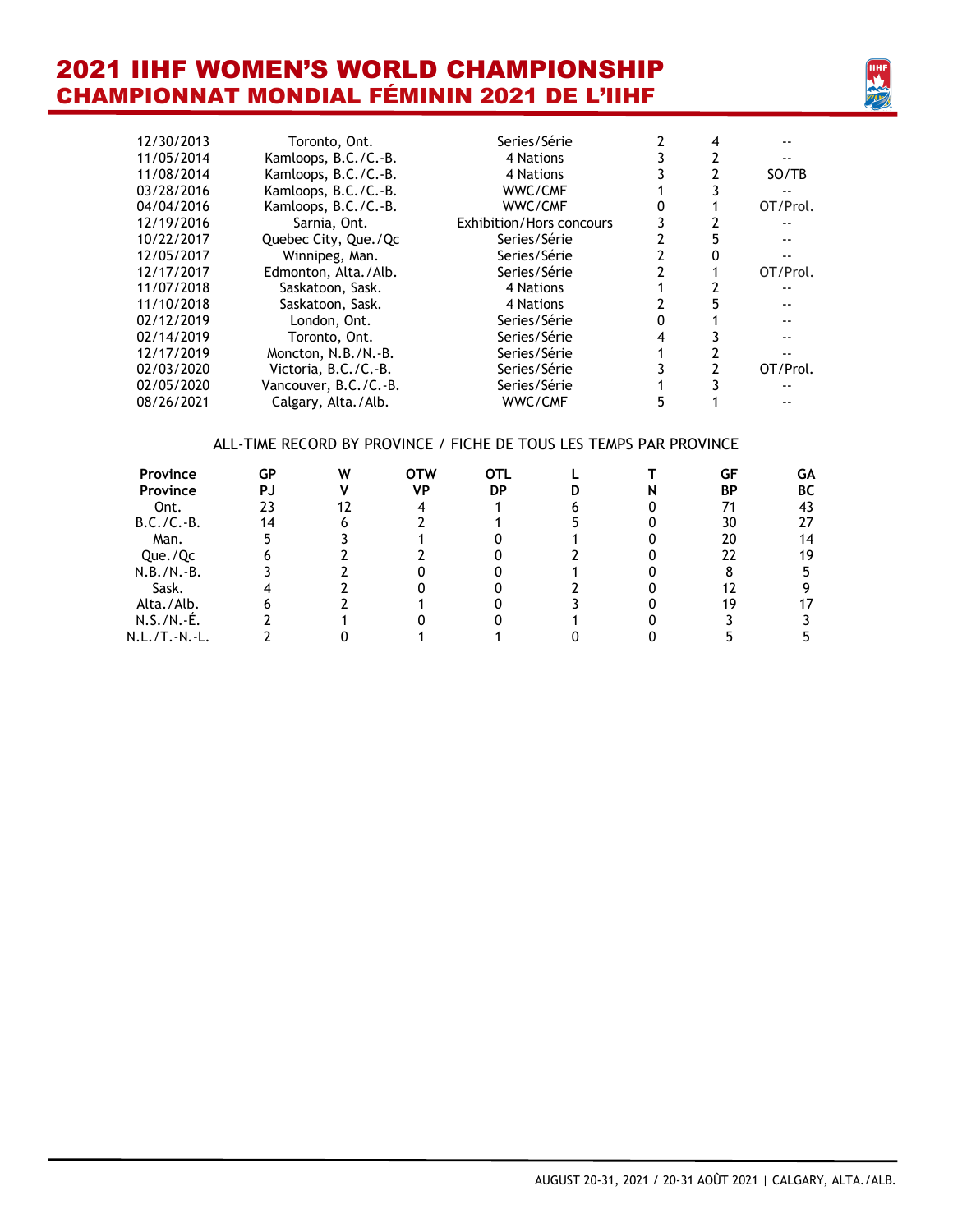

| 12/30/2013 | Toronto, Ont.         | Series/Série                    |                | 4 |          |
|------------|-----------------------|---------------------------------|----------------|---|----------|
| 11/05/2014 | Kamloops, B.C./C.-B.  | 4 Nations                       |                |   |          |
| 11/08/2014 | Kamloops, B.C./C.-B.  | 4 Nations                       |                |   | SO/TB    |
| 03/28/2016 | Kamloops, B.C./C.-B.  | WWC/CMF                         |                |   |          |
| 04/04/2016 | Kamloops, B.C./C.-B.  | WWC/CMF                         | 0              |   | OT/Prol. |
| 12/19/2016 | Sarnia, Ont.          | <b>Exhibition/Hors concours</b> | 3              |   |          |
| 10/22/2017 | Quebec City, Que./Qc  | Series/Série                    | 2              | 5 |          |
| 12/05/2017 | Winnipeg, Man.        | Series/Série                    | $\overline{2}$ |   |          |
| 12/17/2017 | Edmonton, Alta./Alb.  | Series/Série                    | 2              |   | OT/Prol. |
| 11/07/2018 | Saskatoon, Sask.      | 4 Nations                       |                |   |          |
| 11/10/2018 | Saskatoon, Sask.      | 4 Nations                       |                |   |          |
| 02/12/2019 | London, Ont.          | Series/Série                    | 0              |   |          |
| 02/14/2019 | Toronto, Ont.         | Series/Série                    | 4              |   |          |
| 12/17/2019 | Moncton, N.B./N.-B.   | Series/Série                    |                |   |          |
| 02/03/2020 | Victoria, B.C./C.-B.  | Series/Série                    | 3              |   | OT/Prol. |
| 02/05/2020 | Vancouver, B.C./C.-B. | Series/Série                    |                |   |          |
| 08/26/2021 | Calgary, Alta./Alb.   | WWC/CMF                         | 5              |   |          |
|            |                       |                                 |                |   |          |
|            |                       |                                 |                |   |          |

#### ALL-TIME RECORD BY PROVINCE / FICHE DE TOUS LES TEMPS PAR PROVINCE

| <b>Province</b> | GP | W | OTW | OTL |  | GF | GΑ |
|-----------------|----|---|-----|-----|--|----|----|
| <b>Province</b> | PJ |   | ٧P  | DP  |  | ΒP | ВC |
| Ont.            |    |   |     |     |  |    | 43 |
| $B.C./C.-B.$    |    |   |     |     |  | 30 | 27 |
| Man.            |    |   |     |     |  | 20 | 14 |
| Que./Qc         |    |   |     |     |  | 22 | 19 |
| $N.B./N.-B.$    |    |   |     |     |  |    |    |
| Sask.           |    |   |     |     |  |    |    |
| Alta./Alb.      |    |   |     |     |  | 19 |    |
| $N.S./N.-É.$    |    |   |     |     |  |    |    |
| N.L./T.-N.-L.   |    |   |     |     |  |    |    |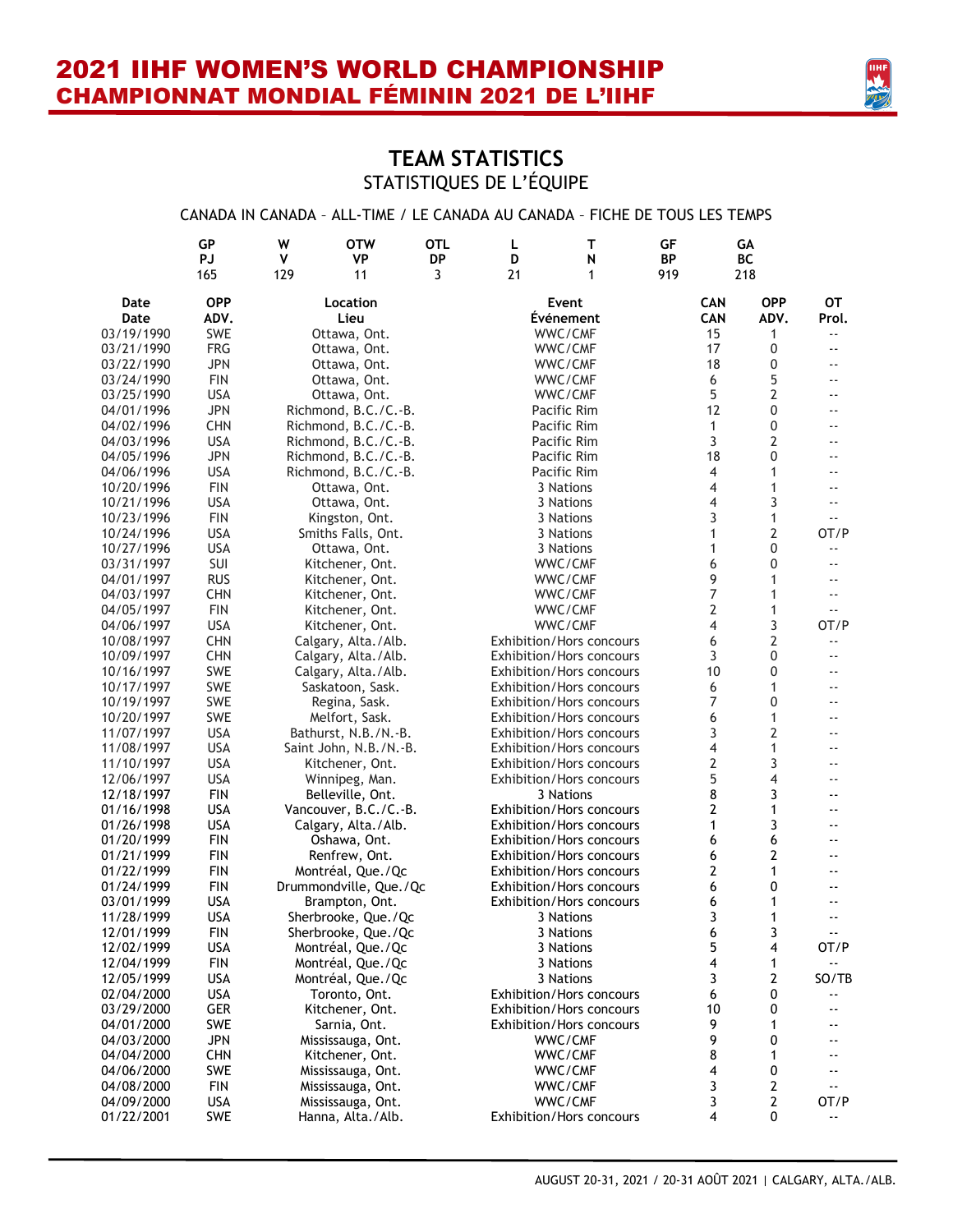

### **TEAM STATISTICS** STATISTIQUES DE L'ÉQUIPE

#### CANADA IN CANADA – ALL-TIME / LE CANADA AU CANADA – FICHE DE TOUS LES TEMPS

|            | GP         | W   | <b>OTW</b>             | <b>OTL</b> | L  | т                               | GF  |            | GA             |                            |
|------------|------------|-----|------------------------|------------|----|---------------------------------|-----|------------|----------------|----------------------------|
|            | <b>PJ</b>  | ٧   | <b>VP</b>              | <b>DP</b>  | D  | N                               | BP  |            | BC             |                            |
|            | 165        | 129 | 11                     | 3          | 21 | 1                               | 919 |            | 218            |                            |
| Date       | <b>OPP</b> |     | Location               |            |    | Event                           |     | <b>CAN</b> | <b>OPP</b>     | OТ                         |
| Date       | ADV.       |     | Lieu                   |            |    | <b>Événement</b>                |     | <b>CAN</b> | ADV.           | Prol.                      |
| 03/19/1990 | <b>SWE</b> |     | Ottawa, Ont.           |            |    | WWC/CMF                         |     | 15         | 1              | $\overline{\phantom{a}}$ . |
| 03/21/1990 | <b>FRG</b> |     | Ottawa, Ont.           |            |    | WWC/CMF                         |     | 17         | 0              | $\overline{\phantom{a}}$ . |
| 03/22/1990 | <b>JPN</b> |     | Ottawa, Ont.           |            |    | WWC/CMF                         |     | 18         | 0              | $-$                        |
| 03/24/1990 | <b>FIN</b> |     | Ottawa, Ont.           |            |    | WWC/CMF                         |     | 6          | 5              | $\overline{a}$             |
| 03/25/1990 | <b>USA</b> |     | Ottawa, Ont.           |            |    | WWC/CMF                         |     | 5          | $\overline{2}$ | --                         |
| 04/01/1996 | <b>JPN</b> |     | Richmond, B.C./C.-B.   |            |    | Pacific Rim                     |     | 12         | 0              | $\overline{\phantom{a}}$   |
| 04/02/1996 | <b>CHN</b> |     | Richmond, B.C./C.-B.   |            |    | Pacific Rim                     |     | 1          | 0              | $\overline{\phantom{a}}$   |
| 04/03/1996 | <b>USA</b> |     | Richmond, B.C./C.-B.   |            |    | Pacific Rim                     |     | 3          | 2              | $-$                        |
| 04/05/1996 | <b>JPN</b> |     | Richmond, B.C./C.-B.   |            |    | Pacific Rim                     |     | 18         | 0              | $\overline{\phantom{a}}$   |
| 04/06/1996 | <b>USA</b> |     | Richmond, B.C./C.-B.   |            |    | Pacific Rim                     |     | 4          | 1              | $- -$                      |
| 10/20/1996 | <b>FIN</b> |     | Ottawa, Ont.           |            |    | 3 Nations                       |     | 4          | 1              | $-$                        |
| 10/21/1996 | <b>USA</b> |     | Ottawa, Ont.           |            |    | 3 Nations                       |     | 4          | 3              | $\overline{\phantom{a}}$   |
| 10/23/1996 | <b>FIN</b> |     | Kingston, Ont.         |            |    | 3 Nations                       |     | 3          | $\mathbf{1}$   |                            |
| 10/24/1996 | <b>USA</b> |     | Smiths Falls, Ont.     |            |    | 3 Nations                       |     | 1          | $\overline{2}$ | OT/P                       |
| 10/27/1996 | <b>USA</b> |     | Ottawa, Ont.           |            |    | 3 Nations                       |     | 1          | 0              | $\overline{\phantom{a}}$ . |
| 03/31/1997 | SUI        |     | Kitchener, Ont.        |            |    | WWC/CMF                         |     | 6          | 0              | $-$                        |
| 04/01/1997 | <b>RUS</b> |     | Kitchener, Ont.        |            |    | WWC/CMF                         |     | 9          | 1              | $-$                        |
| 04/03/1997 | <b>CHN</b> |     | Kitchener, Ont.        |            |    | WWC/CMF                         |     | 7          | 1              | $-$                        |
| 04/05/1997 | <b>FIN</b> |     | Kitchener, Ont.        |            |    | WWC/CMF                         |     | 2          | 1              | $\overline{\phantom{a}}$ . |
| 04/06/1997 | <b>USA</b> |     | Kitchener, Ont.        |            |    | WWC/CMF                         |     | 4          | 3              | OT/P                       |
| 10/08/1997 | <b>CHN</b> |     | Calgary, Alta./Alb.    |            |    | <b>Exhibition/Hors concours</b> |     | 6          | 2              | $\overline{\phantom{a}}$   |
| 10/09/1997 | <b>CHN</b> |     | Calgary, Alta./Alb.    |            |    | <b>Exhibition/Hors concours</b> |     | 3          | 0              | $-$                        |
| 10/16/1997 | <b>SWE</b> |     | Calgary, Alta./Alb.    |            |    | <b>Exhibition/Hors concours</b> |     | 10         | 0              | $-$                        |
| 10/17/1997 | <b>SWE</b> |     | Saskatoon, Sask.       |            |    | <b>Exhibition/Hors concours</b> |     | 6          | 1              | $\overline{\phantom{a}}$   |
| 10/19/1997 | <b>SWE</b> |     | Regina, Sask.          |            |    | <b>Exhibition/Hors concours</b> |     | 7          | 0              | $\overline{\phantom{a}}$ . |
| 10/20/1997 | <b>SWE</b> |     | Melfort, Sask.         |            |    | <b>Exhibition/Hors concours</b> |     | 6          | 1              | $\overline{\phantom{a}}$   |
| 11/07/1997 | <b>USA</b> |     | Bathurst, N.B./N.-B.   |            |    | Exhibition/Hors concours        |     | 3          | $\overline{2}$ | --                         |
| 11/08/1997 | <b>USA</b> |     | Saint John, N.B./N.-B. |            |    | <b>Exhibition/Hors concours</b> |     | 4          | 1              | $\overline{a}$             |
| 11/10/1997 | <b>USA</b> |     | Kitchener, Ont.        |            |    | <b>Exhibition/Hors concours</b> |     | 2          | 3              | $\overline{\phantom{a}}$   |
| 12/06/1997 | <b>USA</b> |     | Winnipeg, Man.         |            |    | <b>Exhibition/Hors concours</b> |     | 5          | $\overline{4}$ | $\overline{\phantom{a}}$   |
| 12/18/1997 | <b>FIN</b> |     | Belleville, Ont.       |            |    | 3 Nations                       |     | 8          | 3              | ۰.                         |
| 01/16/1998 | <b>USA</b> |     | Vancouver, B.C./C.-B.  |            |    | <b>Exhibition/Hors concours</b> |     | 2          | 1              | $\overline{\phantom{a}}$   |
| 01/26/1998 | <b>USA</b> |     | Calgary, Alta./Alb.    |            |    | Exhibition/Hors concours        |     | 1          | 3              | $\overline{\phantom{a}}$   |
| 01/20/1999 | <b>FIN</b> |     | Oshawa, Ont.           |            |    | <b>Exhibition/Hors concours</b> |     | 6          | 6              | --                         |
| 01/21/1999 | <b>FIN</b> |     | Renfrew, Ont.          |            |    | <b>Exhibition/Hors concours</b> |     | 6          | $\overline{2}$ | $\overline{\phantom{a}}$   |
| 01/22/1999 | <b>FIN</b> |     | Montréal, Que./Qc      |            |    | <b>Exhibition/Hors concours</b> |     | 2          | $\mathbf{1}$   | ۰-                         |
| 01/24/1999 | <b>FIN</b> |     | Drummondville, Que./Qc |            |    | <b>Exhibition/Hors concours</b> |     | 6          | 0              | $\overline{\phantom{a}}$   |
| 03/01/1999 | <b>USA</b> |     | Brampton, Ont.         |            |    | Exhibition/Hors concours        |     | 6          | 1              | ۰-                         |
| 11/28/1999 | <b>USA</b> |     | Sherbrooke, Que./Qc    |            |    | 3 Nations                       |     | 3          | 1              | ۰-                         |
| 12/01/1999 | FIN        |     | Sherbrooke, Que./Qc    |            |    | 3 Nations                       |     | 6          | 3              |                            |
| 12/02/1999 | <b>USA</b> |     | Montréal, Que./Qc      |            |    | 3 Nations                       |     | 5          | 4              | OT/P                       |
| 12/04/1999 | <b>FIN</b> |     | Montréal, Que./Qc      |            |    | 3 Nations                       |     | 4          | 1              | ٠.                         |
| 12/05/1999 | <b>USA</b> |     | Montréal, Que./Qc      |            |    | 3 Nations                       |     | 3          | 2              | SO/TB                      |
| 02/04/2000 | <b>USA</b> |     | Toronto, Ont.          |            |    | Exhibition/Hors concours        |     | 6          | 0              |                            |
| 03/29/2000 | GER        |     | Kitchener, Ont.        |            |    | Exhibition/Hors concours        |     | 10         | 0              | ۰-                         |
| 04/01/2000 | <b>SWE</b> |     | Sarnia, Ont.           |            |    | <b>Exhibition/Hors concours</b> |     | 9          | 1              |                            |
| 04/03/2000 | <b>JPN</b> |     | Mississauga, Ont.      |            |    | WWC/CMF                         |     | 9          | 0              |                            |
| 04/04/2000 | <b>CHN</b> |     | Kitchener, Ont.        |            |    | WWC/CMF                         |     | 8          | 1              |                            |
| 04/06/2000 | <b>SWE</b> |     | Mississauga, Ont.      |            |    | WWC/CMF                         |     | 4          | 0              | --                         |
| 04/08/2000 | <b>FIN</b> |     | Mississauga, Ont.      |            |    | WWC/CMF                         |     | 3          | 2              | ۰.                         |
| 04/09/2000 | <b>USA</b> |     | Mississauga, Ont.      |            |    | WWC/CMF                         |     | 3          | $\mathbf{2}$   | OT/P                       |
| 01/22/2001 | <b>SWE</b> |     | Hanna, Alta./Alb.      |            |    | Exhibition/Hors concours        |     | 4          | 0              | $\overline{\phantom{a}}$   |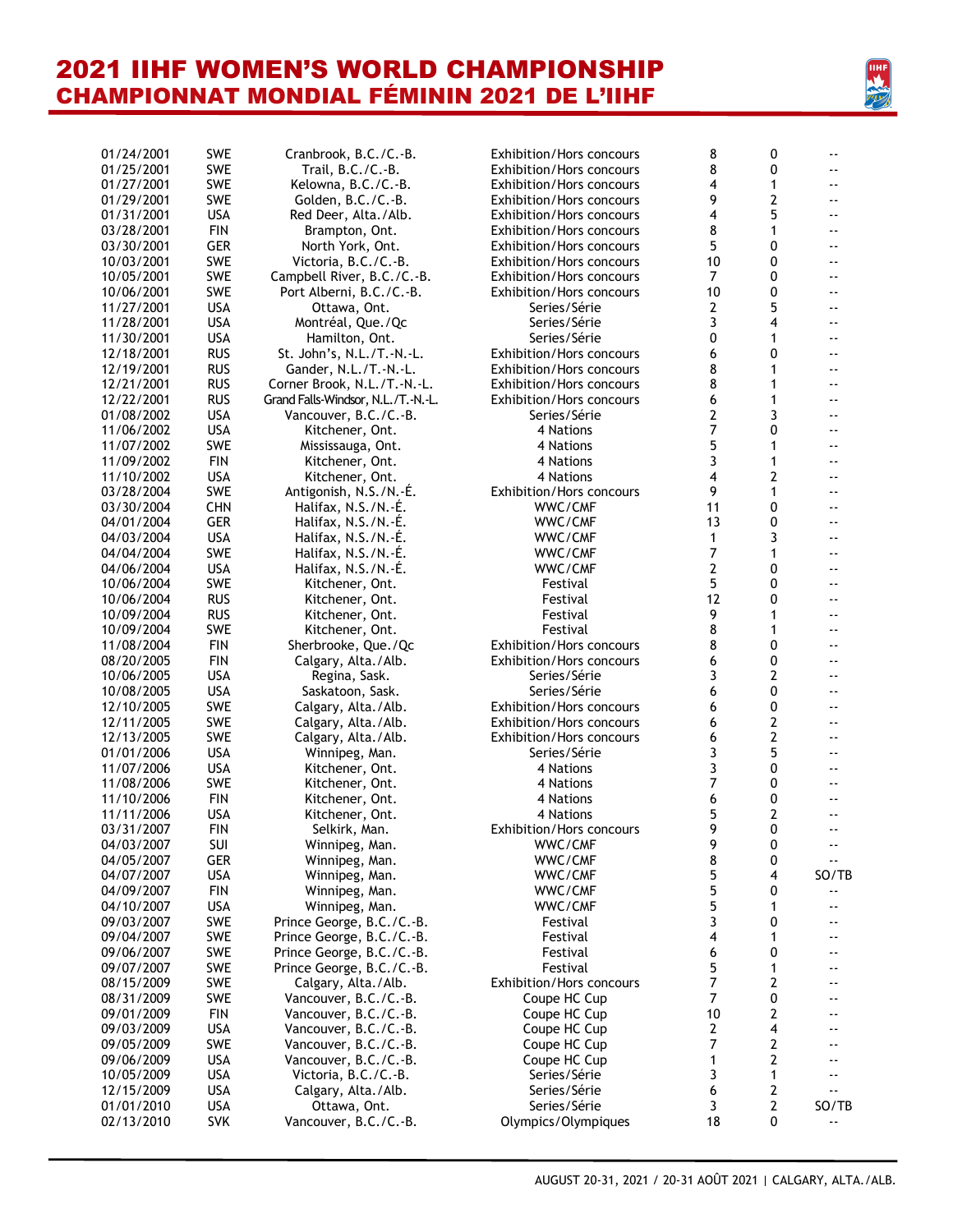

| 01/24/2001 | <b>SWE</b> | Cranbrook, B.C./C.-B.              | <b>Exhibition/Hors concours</b> | 8              | 0                | $\overline{\phantom{a}}$ |
|------------|------------|------------------------------------|---------------------------------|----------------|------------------|--------------------------|
| 01/25/2001 | SWE        | Trail, B.C./C.-B.                  | Exhibition/Hors concours        | 8              | 0                |                          |
| 01/27/2001 | SWE        | Kelowna, B.C./C.-B.                | <b>Exhibition/Hors concours</b> | 4              | $\mathbf{1}$     | $\overline{\phantom{a}}$ |
| 01/29/2001 | <b>SWE</b> | Golden, B.C./C.-B.                 | <b>Exhibition/Hors concours</b> | 9              | $\overline{2}$   | $\overline{\phantom{a}}$ |
| 01/31/2001 | <b>USA</b> | Red Deer, Alta./Alb.               | Exhibition/Hors concours        | 4              | 5                | $-$                      |
| 03/28/2001 | <b>FIN</b> | Brampton, Ont.                     |                                 | 8              | $\mathbf{1}$     | $\overline{\phantom{a}}$ |
|            |            |                                    | <b>Exhibition/Hors concours</b> |                |                  |                          |
| 03/30/2001 | <b>GER</b> | North York, Ont.                   | <b>Exhibition/Hors concours</b> | 5              | $\mathbf{0}$     | --                       |
| 10/03/2001 | SWE        | Victoria, B.C./C.-B.               | Exhibition/Hors concours        | 10             | 0                | $\overline{\phantom{a}}$ |
| 10/05/2001 | SWE        | Campbell River, B.C./C.-B.         | Exhibition/Hors concours        | $\overline{7}$ | 0                |                          |
| 10/06/2001 | <b>SWE</b> | Port Alberni, B.C./C.-B.           | <b>Exhibition/Hors concours</b> | 10             | 0                | ٠.                       |
| 11/27/2001 | <b>USA</b> | Ottawa, Ont.                       | Series/Série                    | 2              | 5                | --                       |
| 11/28/2001 | <b>USA</b> | Montréal, Que./Qc                  | Series/Série                    | 3              | 4                | $\overline{\phantom{a}}$ |
| 11/30/2001 | <b>USA</b> | Hamilton, Ont.                     | Series/Série                    | 0              | 1                | $\overline{\phantom{a}}$ |
| 12/18/2001 | <b>RUS</b> | St. John's, N.L./T.-N.-L.          | Exhibition/Hors concours        | 6              | 0                | --                       |
|            |            |                                    |                                 |                |                  |                          |
| 12/19/2001 | <b>RUS</b> | Gander, N.L./T.-N.-L.              | <b>Exhibition/Hors concours</b> | 8              | 1                | ٠.                       |
| 12/21/2001 | <b>RUS</b> | Corner Brook, N.L./T.-N.-L.        | Exhibition/Hors concours        | 8              | 1                |                          |
| 12/22/2001 | <b>RUS</b> | Grand Falls-Windsor, N.L./T.-N.-L. | <b>Exhibition/Hors concours</b> | 6              | 1                | ۰-                       |
| 01/08/2002 | <b>USA</b> | Vancouver, B.C./C.-B.              | Series/Série                    | 2              | 3                | $\overline{\phantom{a}}$ |
| 11/06/2002 | <b>USA</b> | Kitchener, Ont.                    | 4 Nations                       | 7              | 0                | $\overline{\phantom{a}}$ |
| 11/07/2002 | SWE        | Mississauga, Ont.                  | 4 Nations                       | 5              | 1                | $\overline{\phantom{a}}$ |
| 11/09/2002 | <b>FIN</b> | Kitchener, Ont.                    | 4 Nations                       | 3              | $\mathbf{1}$     | $\overline{\phantom{a}}$ |
| 11/10/2002 | <b>USA</b> | Kitchener, Ont.                    | 4 Nations                       | 4              | $\overline{2}$   | $-$                      |
|            |            |                                    |                                 |                |                  |                          |
| 03/28/2004 | SWE        | Antigonish, N.S./N.-É.             | Exhibition/Hors concours        | 9              | $\mathbf{1}$     | $\overline{\phantom{a}}$ |
| 03/30/2004 | <b>CHN</b> | Halifax, N.S./N.-É.                | WWC/CMF                         | 11             | 0                | --                       |
| 04/01/2004 | <b>GER</b> | Halifax, N.S./N.-É.                | WWC/CMF                         | 13             | 0                | $\overline{\phantom{a}}$ |
| 04/03/2004 | <b>USA</b> | Halifax, N.S./N.-É.                | WWC/CMF                         | 1              | 3                | $\overline{\phantom{a}}$ |
| 04/04/2004 | SWE        | Halifax, N.S./N.-É.                | WWC/CMF                         | $\overline{7}$ | $\mathbf{1}$     | ٠.                       |
| 04/06/2004 | <b>USA</b> | Halifax, N.S./N.-É.                | WWC/CMF                         | 2              | 0                |                          |
| 10/06/2004 | <b>SWE</b> | Kitchener, Ont.                    | Festival                        | 5              | 0                | $\overline{\phantom{a}}$ |
| 10/06/2004 | <b>RUS</b> | Kitchener, Ont.                    | Festival                        | 12             | 0                | $\overline{\phantom{a}}$ |
| 10/09/2004 | <b>RUS</b> |                                    |                                 | 9              | 1                | $\overline{\phantom{a}}$ |
|            |            | Kitchener, Ont.                    | Festival                        |                |                  |                          |
| 10/09/2004 | SWE        | Kitchener, Ont.                    | Festival                        | 8              | 1                | $\overline{\phantom{a}}$ |
| 11/08/2004 | <b>FIN</b> | Sherbrooke, Que./Qc                | Exhibition/Hors concours        | 8              | 0                | $\overline{\phantom{a}}$ |
| 08/20/2005 | <b>FIN</b> | Calgary, Alta./Alb.                | Exhibition/Hors concours        | 6              | 0                | $\overline{\phantom{a}}$ |
| 10/06/2005 | <b>USA</b> | Regina, Sask.                      | Series/Série                    | 3              | $\overline{2}$   | $\overline{\phantom{a}}$ |
| 10/08/2005 | <b>USA</b> | Saskatoon, Sask.                   | Series/Série                    | 6              | 0                | $-$                      |
| 12/10/2005 | SWE        | Calgary, Alta./Alb.                | Exhibition/Hors concours        | 6              | 0                |                          |
| 12/11/2005 | <b>SWE</b> | Calgary, Alta./Alb.                | Exhibition/Hors concours        | 6              | $\overline{2}$   | $\overline{\phantom{a}}$ |
| 12/13/2005 | SWE        | Calgary, Alta./Alb.                | Exhibition/Hors concours        | 6              | $\overline{2}$   | ٠.                       |
|            |            |                                    |                                 |                |                  |                          |
| 01/01/2006 | <b>USA</b> | Winnipeg, Man.                     | Series/Série                    | 3              | 5                | $\overline{\phantom{a}}$ |
| 11/07/2006 | <b>USA</b> | Kitchener, Ont.                    | 4 Nations                       | 3              | 0                | $\overline{\phantom{a}}$ |
| 11/08/2006 | SWE        | Kitchener, Ont.                    | 4 Nations                       | 7              | 0                | $\overline{\phantom{a}}$ |
| 11/10/2006 | <b>FIN</b> | Kitchener, Ont.                    | 4 Nations                       | 6              | 0                | $\overline{\phantom{a}}$ |
| 11/11/2006 | <b>USA</b> | Kitchener, Ont.                    | 4 Nations                       | 5              | 2                | $\overline{\phantom{a}}$ |
| 03/31/2007 | <b>FIN</b> | Selkirk, Man.                      | Exhibition/Hors concours        | 9              | $\mathbf{0}$     | $\overline{\phantom{a}}$ |
| 04/03/2007 | <b>SUI</b> | Winnipeg, Man.                     | WWC/CMF                         | 9              | 0                | $\overline{\phantom{a}}$ |
| 04/05/2007 | <b>GER</b> | Winnipeg, Man.                     | WWC/CMF                         | 8              | 0                |                          |
| 04/07/2007 | <b>USA</b> |                                    | WWC/CMF                         | 5              | 4                | SO/TB                    |
|            |            | Winnipeg, Man.                     |                                 |                |                  |                          |
| 04/09/2007 | <b>FIN</b> | Winnipeg, Man.                     | WWC/CMF                         | 5              | 0                |                          |
| 04/10/2007 | <b>USA</b> | Winnipeg, Man.                     | WWC/CMF                         | 5              | 1                |                          |
| 09/03/2007 | SWE        | Prince George, B.C./C.-B.          | Festival                        | 3              | 0                |                          |
| 09/04/2007 | <b>SWE</b> | Prince George, B.C./C.-B.          | Festival                        | 4              | 1                |                          |
| 09/06/2007 | <b>SWE</b> | Prince George, B.C./C.-B.          | Festival                        | 6              | 0                |                          |
| 09/07/2007 | <b>SWE</b> | Prince George, B.C./C.-B.          | Festival                        | 5              | 1                |                          |
| 08/15/2009 | <b>SWE</b> | Calgary, Alta./Alb.                | Exhibition/Hors concours        | 7              | $\overline{2}$   |                          |
| 08/31/2009 | <b>SWE</b> | Vancouver, B.C./C.-B.              |                                 | $\overline{7}$ | 0                |                          |
|            |            |                                    | Coupe HC Cup                    |                |                  |                          |
| 09/01/2009 | <b>FIN</b> | Vancouver, B.C./C.-B.              | Coupe HC Cup                    | 10             | 2                |                          |
| 09/03/2009 | <b>USA</b> | Vancouver, B.C./C.-B.              | Coupe HC Cup                    | 2              | 4                |                          |
| 09/05/2009 | <b>SWE</b> | Vancouver, B.C./C.-B.              | Coupe HC Cup                    | 7              | 2                |                          |
| 09/06/2009 | <b>USA</b> | Vancouver, B.C./C.-B.              | Coupe HC Cup                    | 1              | $\overline{2}$   |                          |
| 10/05/2009 | <b>USA</b> | Victoria, B.C./C.-B.               | Series/Série                    | 3              | $\mathbf{1}$     |                          |
| 12/15/2009 | <b>USA</b> | Calgary, Alta./Alb.                | Series/Série                    | 6              | $\boldsymbol{2}$ | $\overline{\phantom{a}}$ |
| 01/01/2010 | <b>USA</b> | Ottawa, Ont.                       | Series/Série                    | 3              | $\overline{2}$   | SO/TB                    |
| 02/13/2010 | <b>SVK</b> | Vancouver, B.C./C.-B.              | Olympics/Olympiques             | 18             | 0                | ۰-                       |
|            |            |                                    |                                 |                |                  |                          |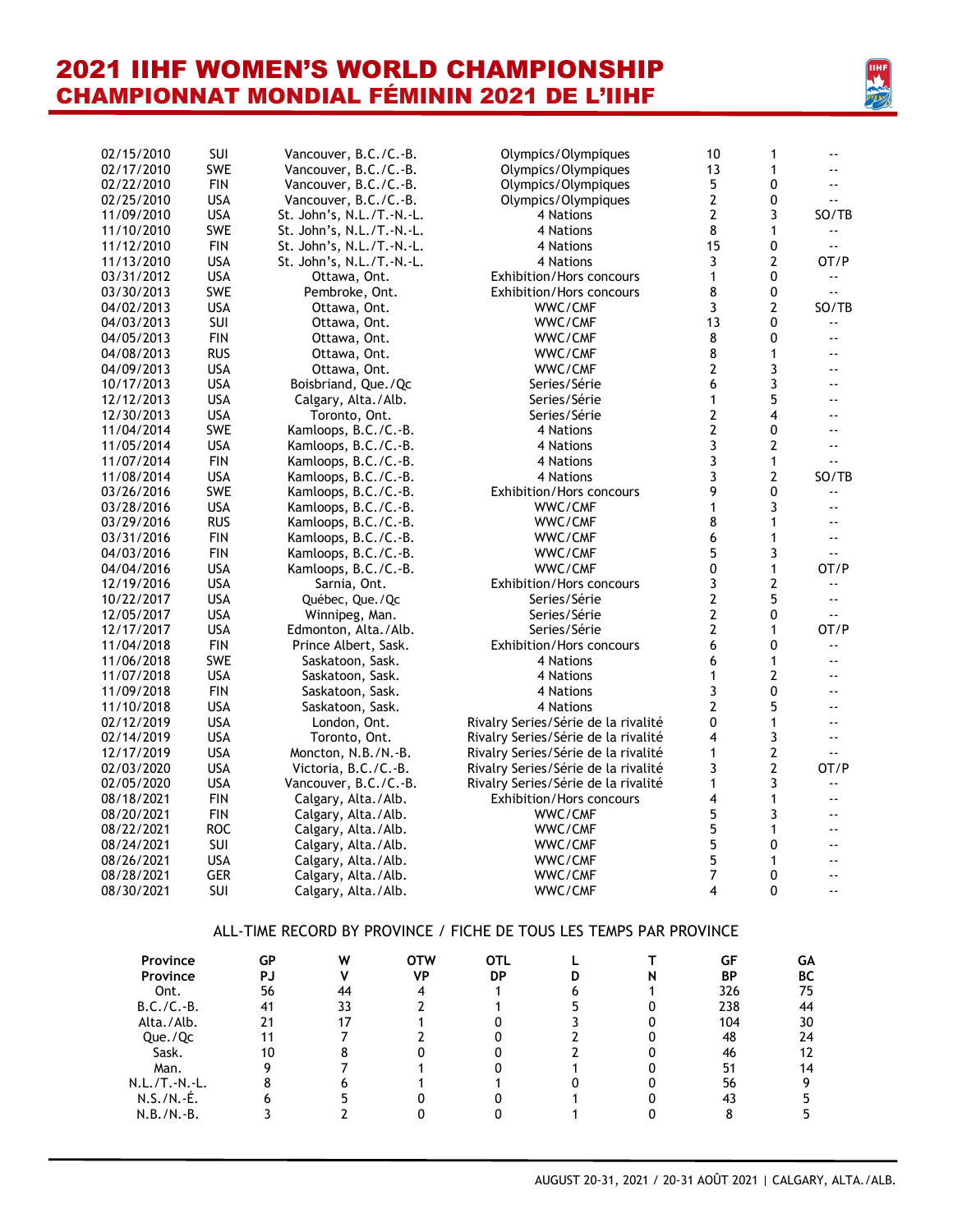

| 02/15/2010 | <b>SUI</b> |    | Vancouver, B.C./C.-B.     |            |                                                                    | Olympics/Olympiques             |   | 10                      | 1            | $\overline{\phantom{a}}$   |
|------------|------------|----|---------------------------|------------|--------------------------------------------------------------------|---------------------------------|---|-------------------------|--------------|----------------------------|
| 02/17/2010 | <b>SWE</b> |    | Vancouver, B.C./C.-B.     |            |                                                                    | Olympics/Olympiques             |   | 13                      | 1            | ۰.                         |
| 02/22/2010 | <b>FIN</b> |    | Vancouver, B.C./C.-B.     |            |                                                                    | Olympics/Olympiques             |   | 5                       | 0            | $-$                        |
| 02/25/2010 | <b>USA</b> |    | Vancouver, B.C./C.-B.     |            |                                                                    | Olympics/Olympiques             |   | 2                       | 0            | $\overline{\phantom{a}}$   |
| 11/09/2010 | <b>USA</b> |    | St. John's, N.L./T.-N.-L. |            |                                                                    | 4 Nations                       |   | 2                       | 3            | SO/TB                      |
| 11/10/2010 | SWE        |    | St. John's, N.L./T.-N.-L. |            |                                                                    | 4 Nations                       |   | 8                       | $\mathbf{1}$ | ۰.                         |
| 11/12/2010 | <b>FIN</b> |    | St. John's, N.L./T.-N.-L. |            |                                                                    | 4 Nations                       |   | 15                      | 0            | $\overline{\phantom{a}}$ . |
| 11/13/2010 | <b>USA</b> |    | St. John's, N.L./T.-N.-L. |            |                                                                    | 4 Nations                       |   | 3                       | 2            | OT/P                       |
| 03/31/2012 | <b>USA</b> |    | Ottawa, Ont.              |            |                                                                    | Exhibition/Hors concours        |   | 1                       | 0            | $\overline{\phantom{a}}$ . |
| 03/30/2013 | SWE        |    | Pembroke, Ont.            |            |                                                                    | Exhibition/Hors concours        |   | 8                       | 0            |                            |
| 04/02/2013 | <b>USA</b> |    | Ottawa, Ont.              |            |                                                                    | WWC/CMF                         |   | 3                       | 2            | SO/TB                      |
| 04/03/2013 | SUI        |    | Ottawa, Ont.              |            |                                                                    | WWC/CMF                         |   | 13                      | 0            | ۰.                         |
| 04/05/2013 | <b>FIN</b> |    | Ottawa, Ont.              |            |                                                                    | WWC/CMF                         |   | 8                       | 0            | $\overline{\phantom{a}}$   |
| 04/08/2013 | <b>RUS</b> |    | Ottawa, Ont.              |            |                                                                    | WWC/CMF                         |   | 8                       | 1            | $\overline{\phantom{a}}$   |
| 04/09/2013 | <b>USA</b> |    | Ottawa, Ont.              |            |                                                                    | WWC/CMF                         |   | 2                       | 3            | $\overline{\phantom{a}}$   |
| 10/17/2013 | <b>USA</b> |    | Boisbriand, Que./Qc       |            |                                                                    | Series/Série                    |   | 6                       | 3            | --                         |
| 12/12/2013 | <b>USA</b> |    | Calgary, Alta./Alb.       |            |                                                                    | Series/Série                    |   | 1                       | 5            | $\overline{\phantom{a}}$   |
| 12/30/2013 | <b>USA</b> |    | Toronto, Ont.             |            |                                                                    | Series/Série                    |   | 2                       | 4            | $\overline{\phantom{a}}$   |
| 11/04/2014 | <b>SWE</b> |    | Kamloops, B.C./C.-B.      |            |                                                                    | 4 Nations                       |   | 2                       | 0            | $\overline{\phantom{a}}$   |
| 11/05/2014 | <b>USA</b> |    | Kamloops, B.C./C.-B.      |            |                                                                    | 4 Nations                       |   | 3                       | 2            | --                         |
| 11/07/2014 | <b>FIN</b> |    | Kamloops, B.C./C.-B.      |            |                                                                    | 4 Nations                       |   | 3                       | 1            | $\overline{\phantom{a}}$   |
| 11/08/2014 | <b>USA</b> |    | Kamloops, B.C./C.-B.      |            |                                                                    | 4 Nations                       |   | 3                       | 2            | SO/TB                      |
| 03/26/2016 | SWE        |    | Kamloops, B.C./C.-B.      |            |                                                                    | Exhibition/Hors concours        |   | 9                       | 0            |                            |
| 03/28/2016 | <b>USA</b> |    | Kamloops, B.C./C.-B.      |            |                                                                    | WWC/CMF                         |   | 1                       | 3            | $\overline{\phantom{a}}$   |
| 03/29/2016 | <b>RUS</b> |    | Kamloops, B.C./C.-B.      |            |                                                                    | WWC/CMF                         |   | 8                       | 1            |                            |
| 03/31/2016 | <b>FIN</b> |    | Kamloops, B.C./C.-B.      |            |                                                                    | WWC/CMF                         |   | 6                       | 1            | $\overline{\phantom{a}}$   |
| 04/03/2016 | <b>FIN</b> |    | Kamloops, B.C./C.-B.      |            |                                                                    | WWC/CMF                         |   | 5                       | 3            | $\overline{\phantom{a}}$ . |
| 04/04/2016 | <b>USA</b> |    | Kamloops, B.C./C.-B.      |            |                                                                    | WWC/CMF                         |   | 0                       | 1            | OT/P                       |
| 12/19/2016 | <b>USA</b> |    | Sarnia, Ont.              |            |                                                                    | <b>Exhibition/Hors concours</b> |   | 3                       | 2            | $\overline{\phantom{a}}$ . |
| 10/22/2017 | <b>USA</b> |    | Québec, Que./Qc           |            |                                                                    | Series/Série                    |   | $\overline{\mathbf{c}}$ | 5            | ٠.                         |
| 12/05/2017 | <b>USA</b> |    | Winnipeg, Man.            |            |                                                                    | Series/Série                    |   | 2                       | 0            | $\overline{\phantom{a}}$ . |
| 12/17/2017 | <b>USA</b> |    | Edmonton, Alta./Alb.      |            |                                                                    | Series/Série                    |   | 2                       | 1            | OT/P                       |
| 11/04/2018 | <b>FIN</b> |    | Prince Albert, Sask.      |            |                                                                    | <b>Exhibition/Hors concours</b> |   | 6                       | 0            | ٠.                         |
| 11/06/2018 | SWE        |    | Saskatoon, Sask.          |            |                                                                    | 4 Nations                       |   | 6                       | 1            | $\overline{\phantom{a}}$   |
| 11/07/2018 | <b>USA</b> |    | Saskatoon, Sask.          |            |                                                                    | 4 Nations                       |   | 1                       | 2            | ۰.                         |
| 11/09/2018 | <b>FIN</b> |    | Saskatoon, Sask.          |            |                                                                    | 4 Nations                       |   | 3                       | 0            | $\overline{\phantom{a}}$   |
| 11/10/2018 | <b>USA</b> |    | Saskatoon, Sask.          |            |                                                                    | 4 Nations                       |   | 2                       | 5            | --                         |
| 02/12/2019 | <b>USA</b> |    | London, Ont.              |            | Rivalry Series/Série de la rivalité                                |                                 |   | 0                       | 1            | $\overline{\phantom{a}}$   |
| 02/14/2019 | <b>USA</b> |    | Toronto, Ont.             |            | Rivalry Series/Série de la rivalité                                |                                 |   | 4                       | 3            | $\overline{\phantom{a}}$   |
| 12/17/2019 | <b>USA</b> |    | Moncton, N.B./N.-B.       |            | Rivalry Series/Série de la rivalité                                |                                 |   | 1                       | 2            | ٠.                         |
| 02/03/2020 | <b>USA</b> |    | Victoria, B.C./C.-B.      |            | Rivalry Series/Série de la rivalité                                |                                 |   | 3                       | 2            | OT/P                       |
| 02/05/2020 | <b>USA</b> |    | Vancouver, B.C./C.-B.     |            | Rivalry Series/Série de la rivalité                                |                                 |   | 1                       | 3            | --                         |
| 08/18/2021 | <b>FIN</b> |    | Calgary, Alta./Alb.       |            |                                                                    | Exhibition/Hors concours        |   | 4                       | 1            | $\overline{\phantom{a}}$   |
| 08/20/2021 | <b>FIN</b> |    | Calgary, Alta./Alb.       |            |                                                                    | WWC/CMF                         |   | 5                       | 3            | --                         |
| 08/22/2021 | <b>ROC</b> |    | Calgary, Alta./Alb.       |            |                                                                    | WWC/CMF                         |   | 5                       | 1            | $-$                        |
| 08/24/2021 | SUI        |    | Calgary, Alta./Alb.       |            |                                                                    | WWC/CMF                         |   | 5                       | 0            |                            |
| 08/26/2021 | <b>USA</b> |    | Calgary, Alta./Alb.       |            |                                                                    | WWC/CMF                         |   | 5                       | 1            |                            |
| 08/28/2021 | <b>GER</b> |    | Calgary, Alta./Alb.       |            |                                                                    | WWC/CMF                         |   | $\overline{7}$          | 0            |                            |
| 08/30/2021 | SUI        |    | Calgary, Alta./Alb.       |            |                                                                    | WWC/CMF                         |   | 4                       | 0            |                            |
|            |            |    |                           |            | ALL-TIME RECORD BY PROVINCE / FICHE DE TOUS LES TEMPS PAR PROVINCE |                                 |   |                         |              |                            |
| Province   |            | GP | W                         | <b>OTW</b> | <b>OTL</b>                                                         | Г                               | т | <b>GF</b>               |              | GA                         |
| Province   |            | PJ | V                         | <b>VP</b>  | <b>DP</b>                                                          | D                               | N | ΒP                      |              | BC                         |

| <b>FIOVING</b>  | uΓ | V٧ | UIW | UIL |  | uг  | uÄ |
|-----------------|----|----|-----|-----|--|-----|----|
| Province        | PJ |    | VP  | DP  |  | ΒP  | BС |
| Ont.            | 56 | 44 |     |     |  | 326 | 75 |
| $B.C./C.-B.$    | 41 | 33 |     |     |  | 238 | 44 |
| Alta./Alb.      |    |    |     |     |  | 104 | 30 |
| Que./Qc         |    |    |     |     |  | 48  | 24 |
| Sask.           |    |    |     |     |  | 46  |    |
| Man.            |    |    |     |     |  | 51  | 14 |
| $N.L./T.-N.-L.$ |    |    |     |     |  | 56  |    |
| $N.S./N.-É.$    |    |    |     |     |  |     |    |
| $N.B./N.-B.$    |    |    |     |     |  |     |    |
|                 |    |    |     |     |  |     |    |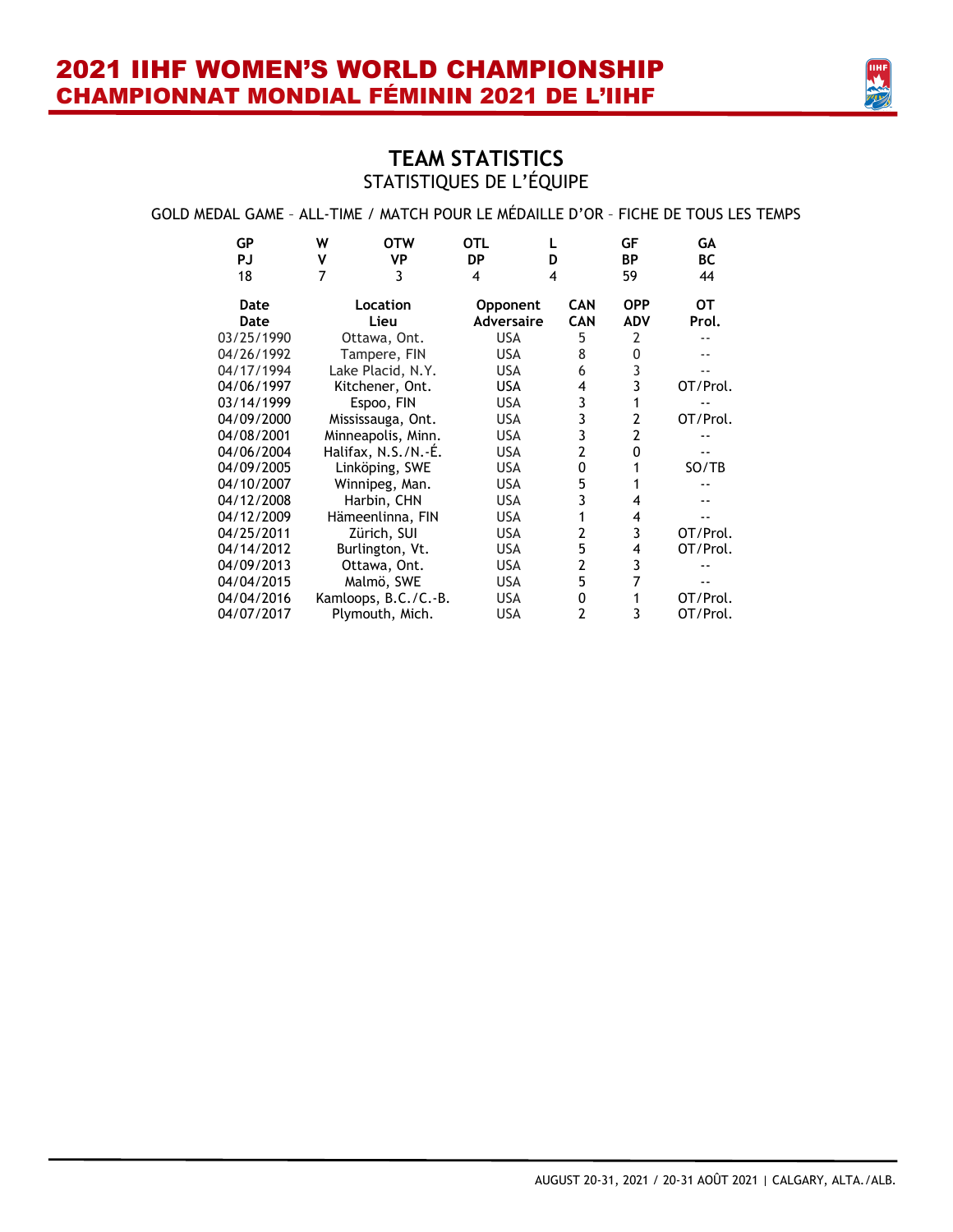

### **TEAM STATISTICS** STATISTIQUES DE L'ÉQUIPE

### GOLD MEDAL GAME – ALL-TIME / MATCH POUR LE MÉDAILLE D'OR – FICHE DE TOUS LES TEMPS

| GP         | W | <b>OTW</b>           | OTL               |   |            | GF             | GА       |
|------------|---|----------------------|-------------------|---|------------|----------------|----------|
| PJ         | ٧ | VP                   | <b>DP</b>         | D |            | <b>BP</b>      | ВC       |
| 18         | 7 | 3                    | 4                 | 4 |            | 59             | 44       |
| Date       |   | Location             | <b>Opponent</b>   |   | <b>CAN</b> | <b>OPP</b>     | OТ       |
| Date       |   | Lieu                 | <b>Adversaire</b> |   | <b>CAN</b> | <b>ADV</b>     | Prol.    |
| 03/25/1990 |   | Ottawa, Ont.         | <b>USA</b>        |   | 5          | 2              |          |
| 04/26/1992 |   | Tampere, FIN         | <b>USA</b>        |   | 8          | 0              |          |
| 04/17/1994 |   | Lake Placid, N.Y.    | <b>USA</b>        |   | 6          | 3              |          |
| 04/06/1997 |   | Kitchener, Ont.      | USA               |   | 4          | 3              | OT/Prol. |
| 03/14/1999 |   | Espoo, FIN           | <b>USA</b>        |   | 3          |                |          |
| 04/09/2000 |   | Mississauga, Ont.    | <b>USA</b>        |   | 3          | 2              | OT/Prol. |
| 04/08/2001 |   | Minneapolis, Minn.   | <b>USA</b>        |   | 3          | $\overline{2}$ |          |
| 04/06/2004 |   | Halifax, N.S./N.-É.  | <b>USA</b>        |   | 2          | 0              |          |
| 04/09/2005 |   | Linköping, SWE       | <b>USA</b>        |   | 0          |                | SO/TB    |
| 04/10/2007 |   | Winnipeg, Man.       | <b>USA</b>        |   | 5          |                |          |
| 04/12/2008 |   | Harbin, CHN          | <b>USA</b>        |   | 3          | 4              |          |
| 04/12/2009 |   | Hämeenlinna, FIN     | <b>USA</b>        |   |            | 4              |          |
| 04/25/2011 |   | Zürich, SUI          | <b>USA</b>        |   | 2          | 3              | OT/Prol. |
| 04/14/2012 |   | Burlington, Vt.      | <b>USA</b>        |   | 5          | 4              | OT/Prol. |
| 04/09/2013 |   | Ottawa, Ont.         | <b>USA</b>        |   | 2          | 3              |          |
| 04/04/2015 |   | Malmö, SWE           | <b>USA</b>        |   | 5          | 7              |          |
| 04/04/2016 |   | Kamloops, B.C./C.-B. | <b>USA</b>        |   | 0          |                | OT/Prol. |
| 04/07/2017 |   | Plymouth, Mich.      | <b>USA</b>        |   | 2          | 3              | OT/Prol. |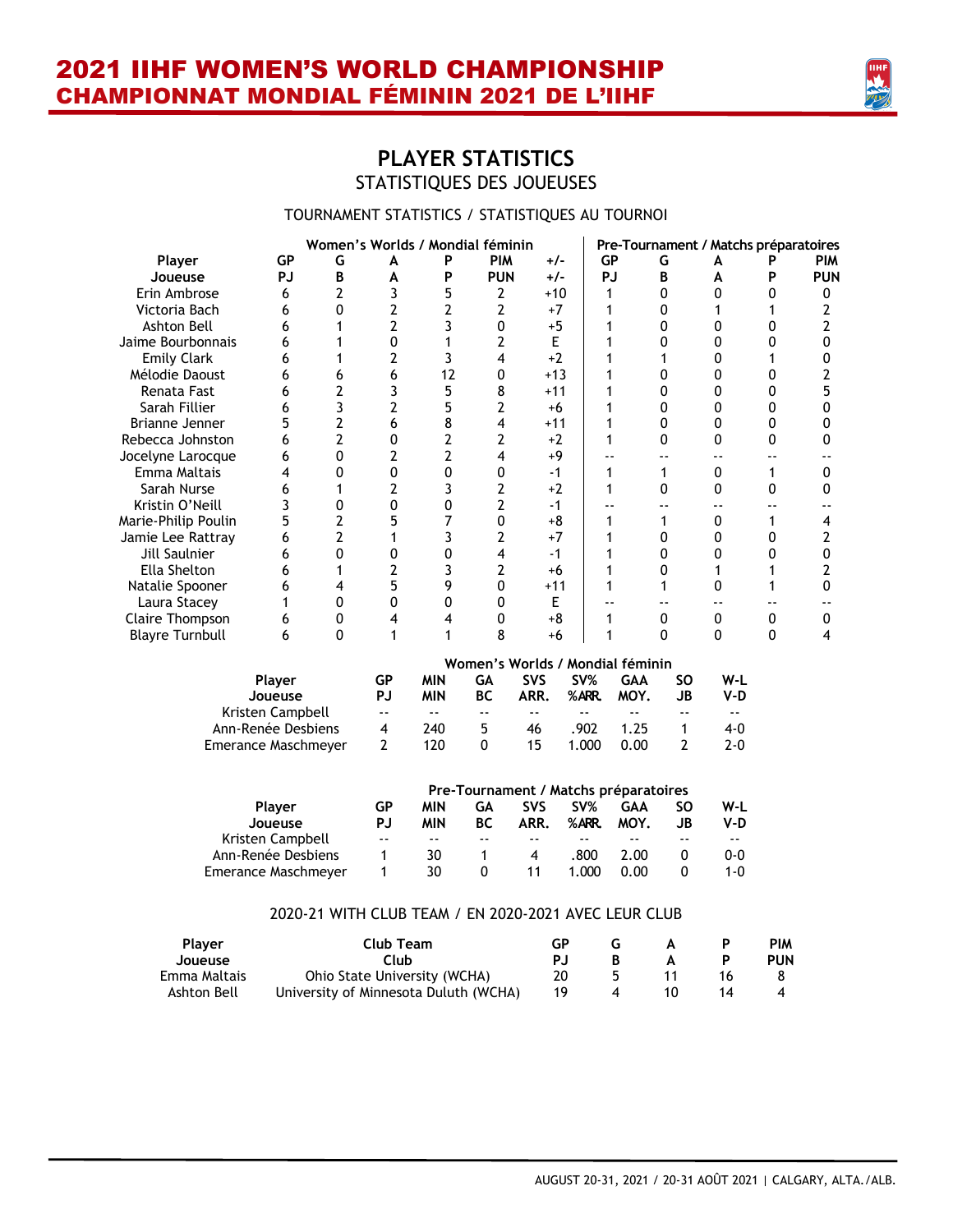

### **PLAYER STATISTICS** STATISTIQUES DES JOUEUSES

#### TOURNAMENT STATISTICS / STATISTIQUES AU TOURNOI

|                        |                     |                |                | Women's Worlds / Mondial féminin |                                             |                            |               |                          |                | Pre-Tournament / Matchs préparatoires |           |             |
|------------------------|---------------------|----------------|----------------|----------------------------------|---------------------------------------------|----------------------------|---------------|--------------------------|----------------|---------------------------------------|-----------|-------------|
| Player                 | <b>GP</b>           | G              | A              | P                                | <b>PIM</b>                                  | $+/-$                      |               | <b>GP</b>                | G              | A                                     | Р         | <b>PIM</b>  |
| Joueuse                | <b>PJ</b>           | B              | A              | P                                | <b>PUN</b>                                  | $+/-$                      |               | PJ                       | В              | A                                     | P         | <b>PUN</b>  |
| Erin Ambrose           | 6                   | 2              | 3              | 5                                | 2                                           | $+10$                      |               | 1                        | 0              | 0                                     | 0         | 0           |
| Victoria Bach          | 6                   | 0              | 2              | 2                                | 2                                           | $+7$                       |               | 1                        | 0              | 1                                     |           | 2           |
| Ashton Bell            | 6                   | 1              | 2              | 3                                | 0                                           | $+5$                       |               | 1                        | 0              | 0                                     | 0         | 2           |
| Jaime Bourbonnais      | 6                   | 1              | $\mathbf{0}$   | 1                                | 2                                           | E                          |               | 1                        | 0              | 0                                     | 0         | 0           |
| <b>Emily Clark</b>     | 6                   | 1              | 2              | 3                                | 4                                           | $+2$                       |               | 1                        | 1              | 0                                     |           | 0           |
| Mélodie Daoust         | 6                   | 6              | 6              | 12                               | 0                                           | $+13$                      |               | 1                        | 0              | 0                                     | 0         | 2           |
| Renata Fast            | 6                   | 2              | 3              | 5                                | 8                                           | $+11$                      |               | 1                        | 0              | 0                                     | 0         | 5           |
| Sarah Fillier          | 6                   | 3              | 2              | 5                                | $\overline{2}$                              | $+6$                       |               | 1                        | 0              | 0                                     | 0         | $\mathbf 0$ |
| Brianne Jenner         | 5                   | 2              | 6              | 8                                | 4                                           | $+11$                      |               | 1                        | 0              | 0                                     | 0         | 0           |
| Rebecca Johnston       | 6                   | $\overline{2}$ | 0              | 2                                | 2                                           | $+2$                       |               | 1                        | 0              | 0                                     | 0         | 0           |
| Jocelyne Larocque      | 6                   | 0              | 2              | 2                                | 4                                           | +9                         |               | --                       | ۰-             | ۰-                                    | ۰.        | --          |
| Emma Maltais           | 4                   | 0              | 0              | 0                                | 0                                           | $-1$                       |               | 1                        | $\mathbf{1}$   | 0                                     | 1         | 0           |
| Sarah Nurse            | 6                   | 1              | 2              | 3                                | 2                                           | $+2$                       |               | 1                        | 0              | 0                                     | 0         | 0           |
| Kristin O'Neill        | 3                   | 0              | 0              | 0                                | 2                                           | $-1$                       |               |                          | $-$            | $-$                                   |           |             |
| Marie-Philip Poulin    | 5                   | 2              | 5              | 7                                | 0                                           | $+8$                       |               | 1                        | 1              | 0                                     | 1         | 4           |
| Jamie Lee Rattray      | 6                   | $\overline{2}$ | 1              | 3                                | 2                                           | $+7$                       |               | 1                        | 0              | 0                                     | 0         | 2           |
| Jill Saulnier          | 6                   | 0              | 0              | 0                                | 4                                           | $-1$                       |               | 1                        | 0              | 0                                     | 0         | 0           |
| Ella Shelton           | 6                   | 1              | 2              | 3                                | 2                                           | $+6$                       |               | 1                        | 0              | 1                                     |           | 2           |
| Natalie Spooner        | 6                   | 4              | 5              | 9                                | 0                                           | $+11$                      |               | 1                        | 1              | 0                                     | 1         | $\pmb{0}$   |
| Laura Stacey           | 1                   | 0              | 0              | $\pmb{0}$                        | 0                                           | E                          |               |                          | $- -$          | $\overline{\phantom{a}}$              |           | ۰-          |
| Claire Thompson        | 6                   | 0              | 4              | 4                                | 0                                           | $+8$                       |               | 1                        | $\pmb{0}$      | 0                                     | $\pmb{0}$ | $\pmb{0}$   |
| <b>Blayre Turnbull</b> | 6                   | 0              | 1              | 1                                | 8                                           | $+6$                       |               | 1                        | 0              | 0                                     | 0         | 4           |
|                        |                     |                |                |                                  | Women's Worlds / Mondial féminin            |                            |               |                          |                |                                       |           |             |
|                        | Player              |                | <b>GP</b>      | <b>MIN</b>                       | <b>GA</b>                                   | <b>SVS</b>                 | SV%           | <b>GAA</b>               | <b>SO</b>      | W-L                                   |           |             |
|                        | Joueuse             |                | PJ             | <b>MIN</b>                       | <b>BC</b>                                   | ARR.                       | %ARR.         | MOY.                     | JB             | $V-D$                                 |           |             |
|                        | Kristen Campbell    |                | $\sim$ $\sim$  | $- -$                            | $ -$                                        | $\overline{\phantom{a}}$ . | $\sim$ $\sim$ | $\overline{\phantom{a}}$ | $ -$           | $\sim$ $\sim$                         |           |             |
|                        | Ann-Renée Desbiens  |                | $\overline{4}$ | 240                              | 5                                           | 46                         | .902          | 1.25                     | $\mathbf{1}$   | $4 - 0$                               |           |             |
|                        | Emerance Maschmeyer |                | $\overline{2}$ | 120                              | $\mathbf{0}$                                | 15                         | 1.000         | 0.00                     | $\overline{2}$ | $2 - 0$                               |           |             |
|                        |                     |                |                |                                  |                                             |                            |               |                          |                |                                       |           |             |
|                        |                     |                | <b>GP</b>      | <b>MIN</b>                       | Pre-Tournament / Matchs préparatoires<br>GA | <b>SVS</b>                 | SV%           | <b>GAA</b>               | <b>SO</b>      | W-L                                   |           |             |
|                        | Player<br>Joueuse   |                | <b>PJ</b>      | <b>MIN</b>                       | <b>BC</b>                                   | ARR.                       | %ARR.         | MOY.                     | <b>JB</b>      | $V-D$                                 |           |             |

#### 2020-21 WITH CLUB TEAM / EN 2020-2021 AVEC LEUR CLUB

Emerance Maschmeyer

Kristen Campbell -- -- -- -- -- -- -- -- Ann-Renée Desbiens 1 30 1 4 .800 2.00 0 0-0

| <b>Plaver</b> | Club Team                             | GP. |   |     | PIM        |
|---------------|---------------------------------------|-----|---|-----|------------|
| Joueuse       | Club                                  | P.I |   |     | <b>PUN</b> |
| Emma Maltais  | Ohio State University (WCHA)          | 20  |   | 16. |            |
| Ashton Bell   | University of Minnesota Duluth (WCHA) | 19  | 4 |     |            |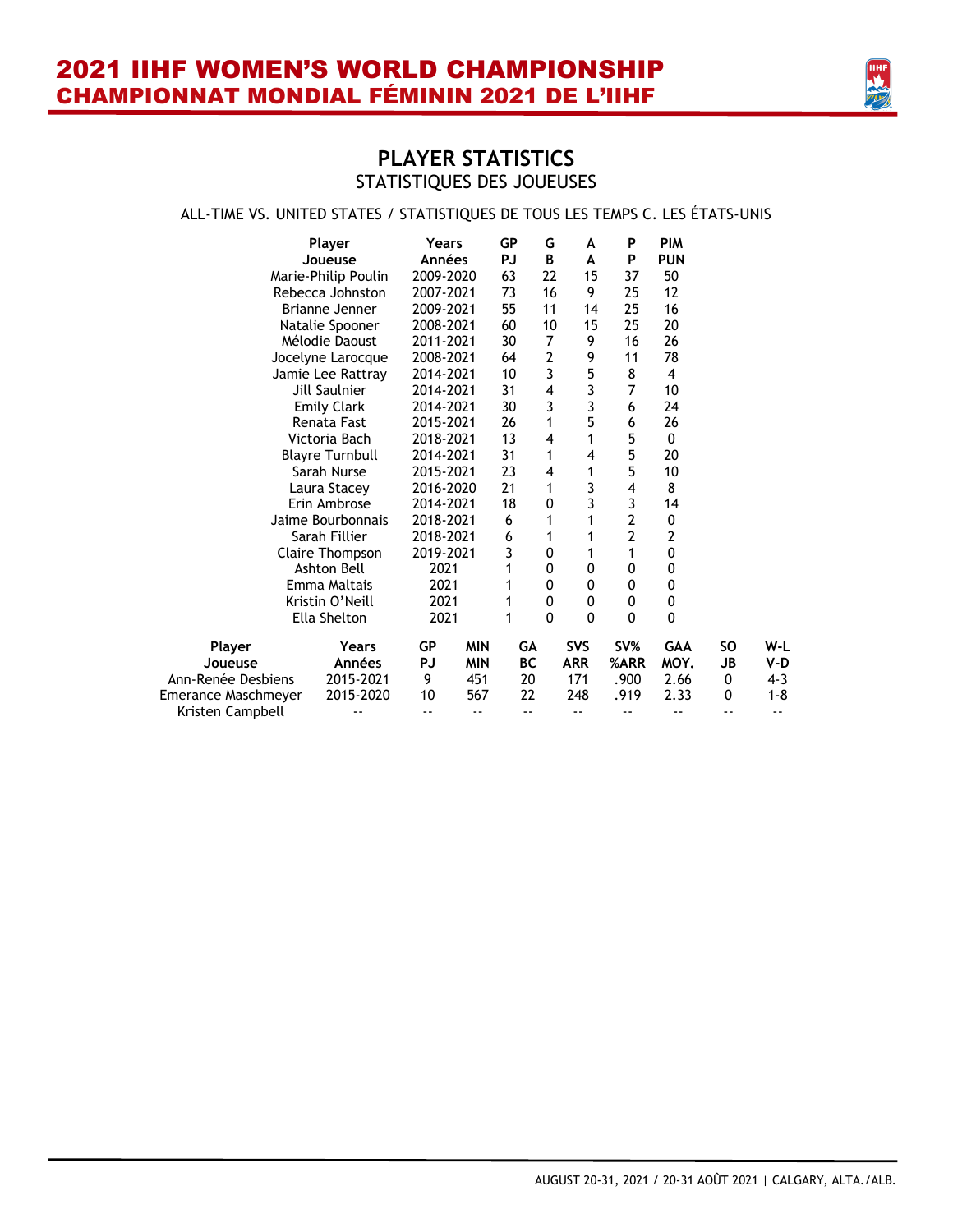

### ALL-TIME VS. UNITED STATES / STATISTIQUES DE TOUS LES TEMPS C. LES ÉTATS-UNIS

|                     | Player                 | Years     |            | GP        | G        | A          | P                       | <b>PIM</b>     |    |            |
|---------------------|------------------------|-----------|------------|-----------|----------|------------|-------------------------|----------------|----|------------|
|                     | Joueuse                | Années    |            | PJ        | B        | A          | P                       | <b>PUN</b>     |    |            |
|                     | Marie-Philip Poulin    | 2009-2020 |            | 63        | 22       | 15         | 37                      | 50             |    |            |
|                     | Rebecca Johnston       | 2007-2021 |            | 73        | 16       | 9          | 25                      | 12             |    |            |
|                     | Brianne Jenner         | 2009-2021 |            | 55        | 11       | 14         | 25                      | 16             |    |            |
|                     | Natalie Spooner        | 2008-2021 |            | 60        | 10       | 15         | 25                      | 20             |    |            |
|                     | Mélodie Daoust         | 2011-2021 |            | 30        | 7        | 9          | 16                      | 26             |    |            |
|                     | Jocelyne Larocque      | 2008-2021 |            | 64        | 2        | 9          | 11                      | 78             |    |            |
|                     | Jamie Lee Rattray      | 2014-2021 |            | 10        | 3        | 5          | 8                       | 4              |    |            |
|                     | <b>Jill Saulnier</b>   | 2014-2021 |            | 31        | 4        | 3          | 7                       | 10             |    |            |
|                     | <b>Emily Clark</b>     | 2014-2021 |            | 30        | 3        | 3          | 6                       | 24             |    |            |
|                     | Renata Fast            | 2015-2021 |            | 26        | 1        | 5          | 6                       | 26             |    |            |
|                     | Victoria Bach          | 2018-2021 |            | 13        | 4        | 1          | 5                       | 0              |    |            |
|                     | <b>Blayre Turnbull</b> | 2014-2021 |            | 31        | 1        | 4          | 5                       | 20             |    |            |
|                     | Sarah Nurse            | 2015-2021 |            | 23        | 4        | 1          | 5                       | 10             |    |            |
|                     | Laura Stacey           | 2016-2020 |            | 21        | 1        | 3          | 4                       | 8              |    |            |
|                     | Erin Ambrose           | 2014-2021 |            | 18        | 0        | 3          | 3                       | 14             |    |            |
|                     | Jaime Bourbonnais      | 2018-2021 |            | 6         | 1        | 1          | $\overline{\mathbf{c}}$ | 0              |    |            |
|                     | Sarah Fillier          | 2018-2021 |            | 6         | 1        | 1          | $\overline{2}$          | $\overline{2}$ |    |            |
|                     | Claire Thompson        | 2019-2021 |            | 3         | 0        | 1          | 1                       | 0              |    |            |
|                     | Ashton Bell            | 2021      |            | 1         | 0        | 0          | 0                       | 0              |    |            |
|                     | Emma Maltais           | 2021      |            | 1         | 0        | 0          | 0                       | 0              |    |            |
|                     | Kristin O'Neill        | 2021      |            | 1         | 0        | 0          | 0                       | 0              |    |            |
|                     | Ella Shelton           | 2021      |            | 1         | $\Omega$ | $\Omega$   | 0                       | $\Omega$       |    |            |
| Player              | Years                  | GP        | <b>MIN</b> | GA        |          | <b>SVS</b> | SV%                     | <b>GAA</b>     | SΟ | W-L        |
| Joueuse             | Années                 | PJ        | <b>MIN</b> | <b>BC</b> |          | <b>ARR</b> | %ARR                    | MOY.           | JB | V-D        |
| Ann-Renée Desbiens  | 2015-2021              | 9         | 451        | 20        |          | 171        | .900                    | 2.66           | 0  | $4 - 3$    |
| Emerance Maschmeyer | 2015-2020              | 10        | 567        | 22        |          | 248        | .919                    | 2.33           | 0  | $1 - 8$    |
| Kristen Campbell    |                        | --        | --         | - -       |          | --         | --                      | - -            | -- | $\sim$ $-$ |
|                     |                        |           |            |           |          |            |                         |                |    |            |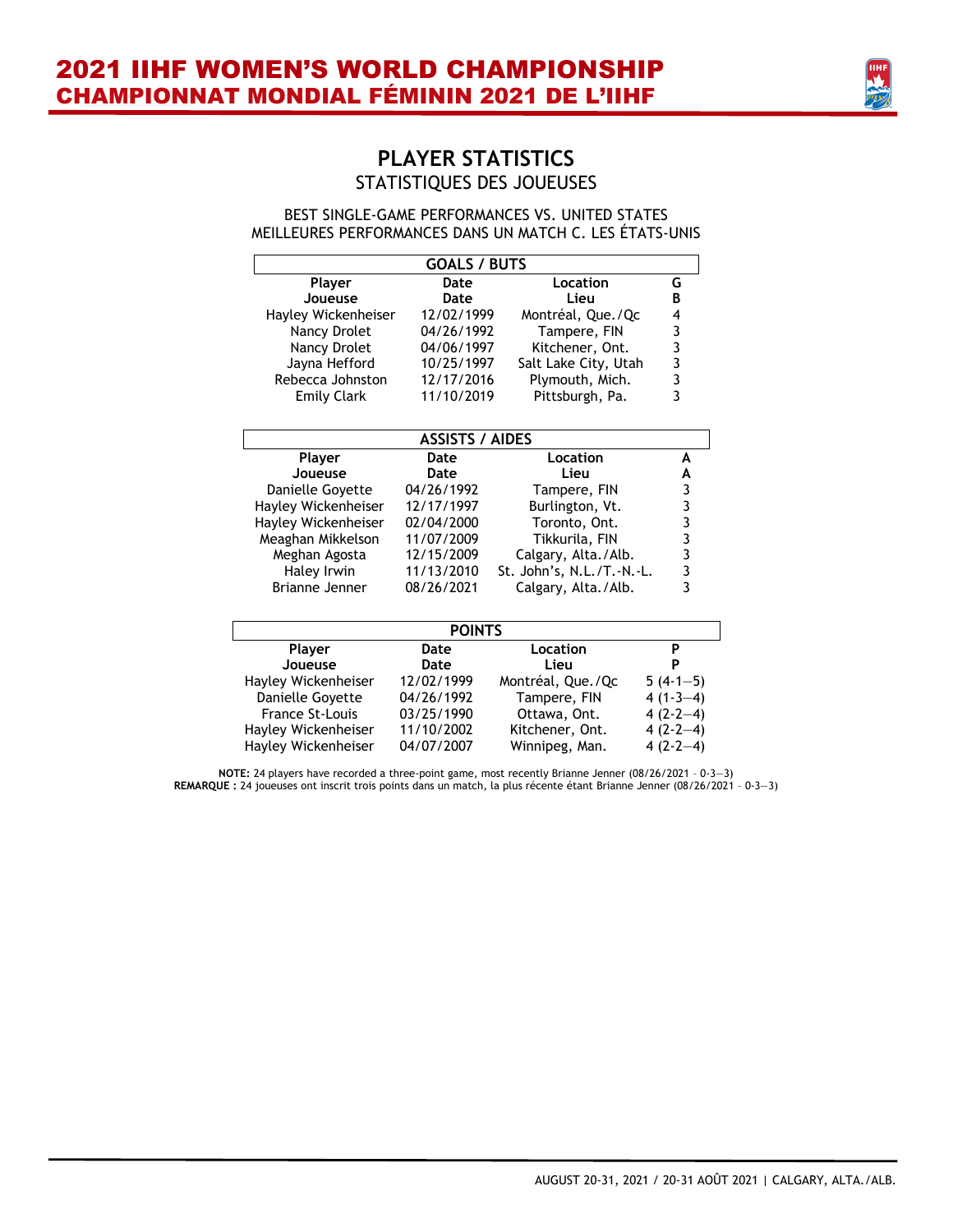

BEST SINGLE-GAME PERFORMANCES VS. UNITED STATES MEILLEURES PERFORMANCES DANS UN MATCH C. LES ÉTATS-UNIS

| <b>GOALS / BUTS</b>        |                        |                           |               |  |  |  |  |  |  |
|----------------------------|------------------------|---------------------------|---------------|--|--|--|--|--|--|
| Player                     | Date                   | Location                  | G             |  |  |  |  |  |  |
| Joueuse                    | Date                   | Lieu                      | B             |  |  |  |  |  |  |
| Hayley Wickenheiser        | 12/02/1999             | Montréal, Que./Qc         |               |  |  |  |  |  |  |
| Nancy Drolet               | 04/26/1992             | Tampere, FIN              | 4 3 3 3 3 3 3 |  |  |  |  |  |  |
| Nancy Drolet               | 04/06/1997             | Kitchener, Ont.           |               |  |  |  |  |  |  |
| Jayna Hefford              | 10/25/1997             | Salt Lake City, Utah      |               |  |  |  |  |  |  |
| Rebecca Johnston           | 12/17/2016             | Plymouth, Mich.           |               |  |  |  |  |  |  |
| <b>Emily Clark</b>         | 11/10/2019             | Pittsburgh, Pa.           |               |  |  |  |  |  |  |
|                            | <b>ASSISTS / AIDES</b> |                           |               |  |  |  |  |  |  |
| Location<br>Player<br>Date |                        |                           |               |  |  |  |  |  |  |
| Joueuse                    | Date                   | Lieu                      | A             |  |  |  |  |  |  |
| Danielle Goyette           | 04/26/1992             | Tampere, FIN              |               |  |  |  |  |  |  |
| Hayley Wickenheiser        | 12/17/1997             | Burlington, Vt.           |               |  |  |  |  |  |  |
| Hayley Wickenheiser        | 02/04/2000             | Toronto, Ont.             |               |  |  |  |  |  |  |
| Meaghan Mikkelson          | 11/07/2009             | Tikkurila, FIN            |               |  |  |  |  |  |  |
| Meghan Agosta              | 12/15/2009             | Calgary, Alta./Alb.       |               |  |  |  |  |  |  |
| Haley Irwin                | 11/13/2010             | St. John's, N.L./T.-N.-L. |               |  |  |  |  |  |  |
| Brianne Jenner             | 08/26/2021             | Calgary, Alta./Alb.       |               |  |  |  |  |  |  |
|                            | <b>POINTS</b>          |                           |               |  |  |  |  |  |  |
| Player                     | Date                   | Location                  | P             |  |  |  |  |  |  |
| Joueuse                    | Date                   | Lieu                      | P             |  |  |  |  |  |  |
| Hayley Wickenheiser        | 12/02/1999             | Montréal, Que./Qc         | $5(4-1-5)$    |  |  |  |  |  |  |
| Danielle Govette           | 04/26/1992             | Tampere, FIN              | $4(1-3-4)$    |  |  |  |  |  |  |
| <b>France St-Louis</b>     | 03/25/1990             | Ottawa, Ont.              | $4(2-2-4)$    |  |  |  |  |  |  |
| Hayley Wickenheiser        | 11/10/2002             | Kitchener, Ont.           | $4(2-2-4)$    |  |  |  |  |  |  |
| Hayley Wickenheiser        | 04/07/2007             | Winnipeg, Man.            | $4(2-2-4)$    |  |  |  |  |  |  |

**NOTE:** 24 players have recorded a three-point game, most recently Brianne Jenner (08/26/2021 – 0-3—3) **REMARQUE :** 24 joueuses ont inscrit trois points dans un match, la plus récente étant Brianne Jenner (08/26/2021 – 0-3—3)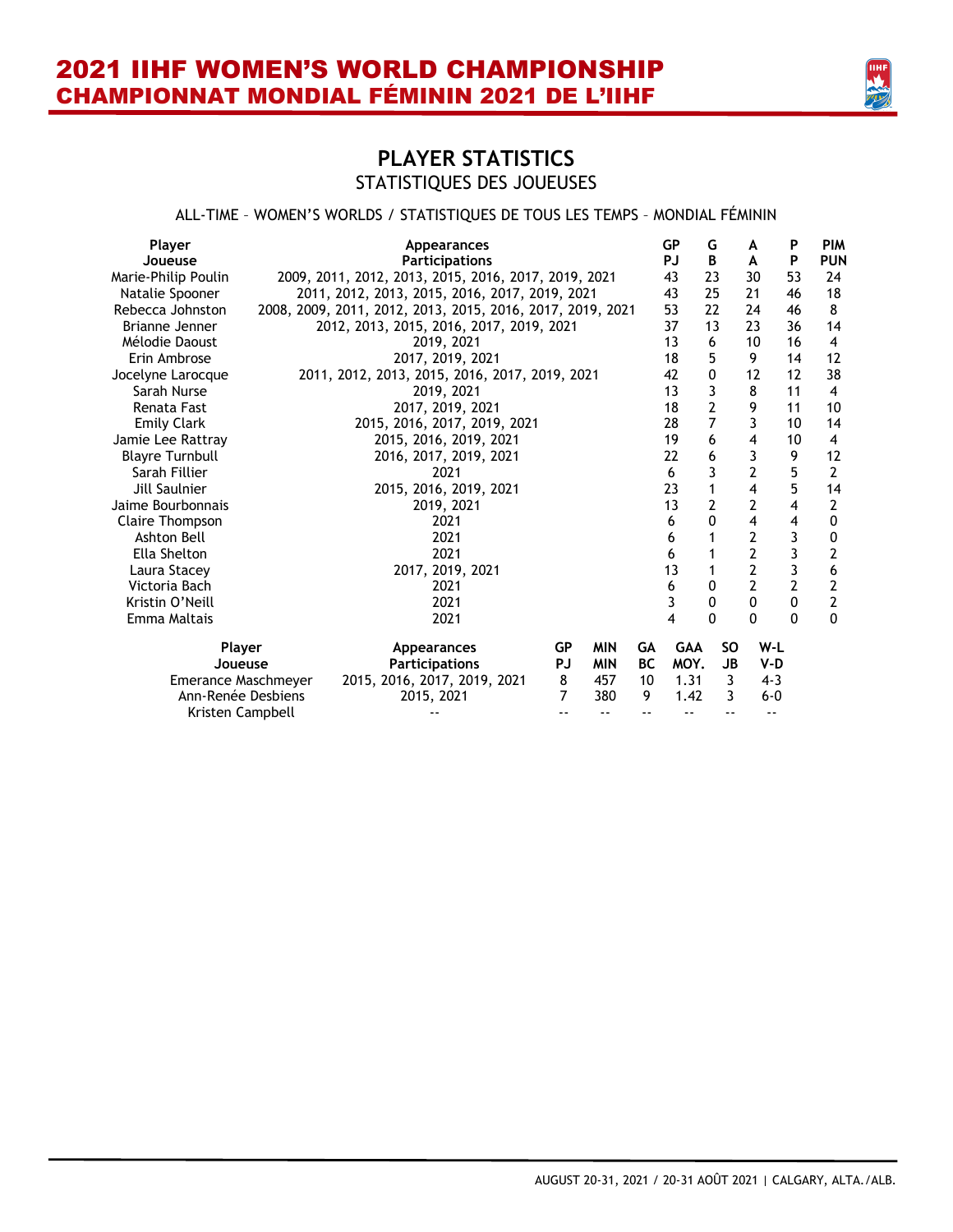

#### ALL-TIME – WOMEN'S WORLDS / STATISTIQUES DE TOUS LES TEMPS – MONDIAL FÉMININ

| Player<br>Joueuse                        | <b>Appearances</b><br><b>Participations</b>                                 |                             |                                 |                       | <b>GP</b><br>PJ            | G<br>B               | A<br>A         | P<br>P                | <b>PIM</b><br><b>PUN</b> |
|------------------------------------------|-----------------------------------------------------------------------------|-----------------------------|---------------------------------|-----------------------|----------------------------|----------------------|----------------|-----------------------|--------------------------|
| Marie-Philip Poulin                      | 2009, 2011, 2012, 2013, 2015, 2016, 2017, 2019, 2021                        |                             | 43                              | 23                    | 30                         | 53                   | 24             |                       |                          |
| Natalie Spooner                          | 2011, 2012, 2013, 2015, 2016, 2017, 2019, 2021                              |                             | 43                              | 25                    | 21                         | 46                   | 18             |                       |                          |
| Rebecca Johnston                         | 2008, 2009, 2011, 2012, 2013, 2015, 2016, 2017, 2019, 2021                  |                             |                                 |                       | 53                         | 22                   | 24             | 46                    | 8                        |
| Brianne Jenner                           | 2012, 2013, 2015, 2016, 2017, 2019, 2021                                    |                             |                                 |                       | 37                         | 13                   | 23             | 36                    | 14                       |
| Mélodie Daoust                           | 2019, 2021                                                                  |                             |                                 |                       | 13                         | 6                    | 10             | 16                    | $\overline{4}$           |
| Erin Ambrose                             | 2017, 2019, 2021                                                            |                             |                                 |                       | 18                         | 5                    | 9              | 14                    | 12                       |
| Jocelyne Larocque                        | 2011, 2012, 2013, 2015, 2016, 2017, 2019, 2021                              |                             |                                 |                       | 42                         | 0                    | 12             | 12                    | 38                       |
| Sarah Nurse                              | 2019, 2021                                                                  |                             |                                 |                       | 13                         | 3                    | 8              | 11                    | 4                        |
| Renata Fast                              | 2017, 2019, 2021                                                            |                             |                                 |                       | 18                         | $\overline{2}$       | 9              | 11                    | 10                       |
| <b>Emily Clark</b>                       | 2015, 2016, 2017, 2019, 2021                                                |                             |                                 |                       | 28                         | 7                    | 3              | 10                    | 14                       |
| Jamie Lee Rattray                        | 2015, 2016, 2019, 2021                                                      |                             |                                 |                       | 19                         | 6                    | 4              | 10                    | $\overline{4}$           |
| <b>Blayre Turnbull</b>                   | 2016, 2017, 2019, 2021                                                      |                             |                                 |                       | 22                         | 6                    | 3              | 9                     | 12                       |
| Sarah Fillier                            | 2021                                                                        |                             |                                 |                       | 6                          | 3                    | $\overline{2}$ | 5                     | $\overline{2}$           |
| Jill Saulnier                            | 2015, 2016, 2019, 2021                                                      |                             |                                 |                       | 23                         |                      | 4              | 5                     | 14                       |
| Jaime Bourbonnais                        | 2019, 2021                                                                  |                             |                                 |                       | 13                         | 2                    | $\overline{2}$ | 4                     | 2                        |
| Claire Thompson                          | 2021                                                                        |                             |                                 |                       | 6                          | 0                    | 4              | 4                     | 0                        |
| Ashton Bell                              | 2021                                                                        |                             |                                 |                       | 6                          |                      | 2              | 3                     | 0                        |
| Ella Shelton                             | 2021                                                                        |                             |                                 |                       | 6                          |                      | 2              | 3                     | 2                        |
| Laura Stacey                             | 2017, 2019, 2021                                                            |                             |                                 |                       | 13                         | 1                    | $\overline{2}$ | 3                     | 6                        |
| Victoria Bach                            | 2021                                                                        |                             |                                 |                       | 6                          | 0                    | 2              | 2                     | 2                        |
| Kristin O'Neill                          | 2021                                                                        |                             |                                 |                       | 3                          | 0                    | $\Omega$       | $\Omega$              | $\overline{\mathbf{c}}$  |
| Emma Maltais                             | 2021                                                                        |                             |                                 |                       | 4                          | U                    | 0              | O                     | $\Omega$                 |
| Player<br>Joueuse<br>Emerance Maschmeyer | <b>Appearances</b><br><b>Participations</b><br>2015, 2016, 2017, 2019, 2021 | <b>GP</b><br><b>PJ</b><br>8 | <b>MIN</b><br><b>MIN</b><br>457 | GA<br><b>BC</b><br>10 | <b>GAA</b><br>MOY.<br>1.31 | <b>SO</b><br>JB<br>3 |                | W-L<br>V-D<br>$4 - 3$ |                          |
| Ann-Renée Desbiens<br>Kristen Campbell   | 2015, 2021                                                                  | 7                           | 380                             | 9                     | 1.42                       | 3                    |                | $6 - 0$               |                          |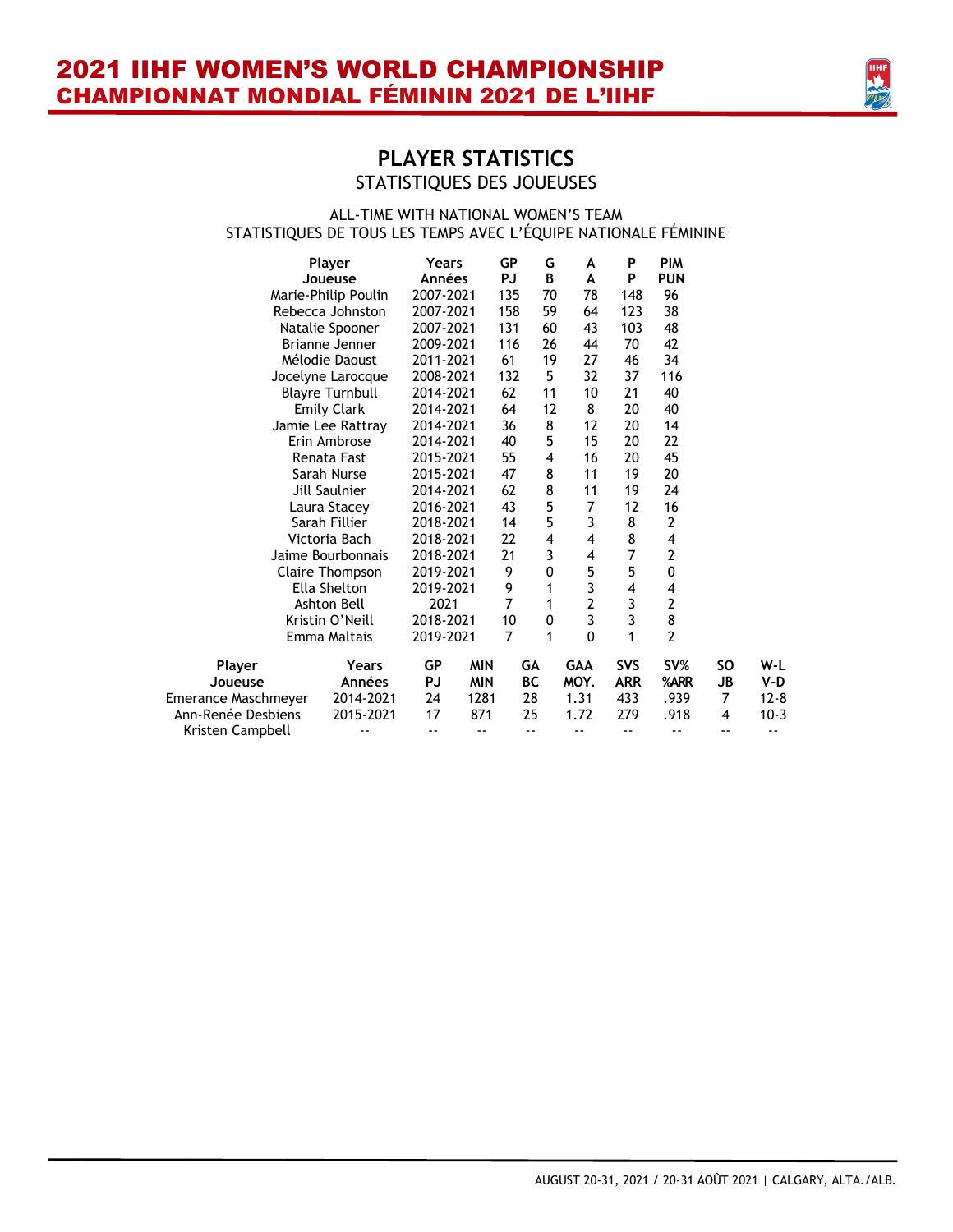

#### ALL-TIME WITH NATIONAL WOMEN'S TEAM STATISTIQUES DE TOUS LES TEMPS AVEC L'ÉQUIPE NATIONALE FÉMININE

|                     | Player                 | Years         |            | GP<br><b>PJ</b> | G         | A              | P<br>P                     | <b>PIM</b>              |                |          |
|---------------------|------------------------|---------------|------------|-----------------|-----------|----------------|----------------------------|-------------------------|----------------|----------|
|                     | Joueuse                | <b>Années</b> |            |                 | B         | A              |                            | <b>PUN</b>              |                |          |
|                     | Marie-Philip Poulin    | 2007-2021     |            | 135             | 70        | 78             | 148                        | 96                      |                |          |
|                     | Rebecca Johnston       | 2007-2021     |            | 158             | 59        | 64             | 123                        | 38                      |                |          |
|                     | Natalie Spooner        | 2007-2021     |            | 131             | 60        | 43             | 103                        | 48                      |                |          |
|                     | Brianne Jenner         | 2009-2021     |            | 116             | 26        | 44             | 70                         | 42                      |                |          |
|                     | Mélodie Daoust         | 2011-2021     |            | 61              | 19        | 27             | 46                         | 34                      |                |          |
|                     | Jocelyne Larocque      | 2008-2021     |            | 132             | 5         | 32             | 37                         | 116                     |                |          |
|                     | <b>Blayre Turnbull</b> | 2014-2021     |            | 62              | 11        | 10             | 21                         | 40                      |                |          |
|                     | <b>Emily Clark</b>     | 2014-2021     |            | 64              | 12        | 8              | 20                         | 40                      |                |          |
|                     | Jamie Lee Rattray      | 2014-2021     |            | 36              | 8         | 12             | 20                         | 14                      |                |          |
|                     | Erin Ambrose           | 2014-2021     |            | 40              | 5         | 15             | 20                         | 22                      |                |          |
|                     | Renata Fast            | 2015-2021     |            | 55              | 4         | 16             | 20                         | 45                      |                |          |
|                     | Sarah Nurse            | 2015-2021     |            | 47              | 8         | 11             | 19                         | 20                      |                |          |
|                     | Jill Saulnier          | 2014-2021     |            | 62              | 8         | 11             | 19                         | 24                      |                |          |
|                     | Laura Stacey           | 2016-2021     |            | 43              | 5         | 7              | 12                         | 16                      |                |          |
|                     | Sarah Fillier          | 2018-2021     |            | 14              | 5         | 3              | 8                          | $\mathbf{2}$            |                |          |
|                     | Victoria Bach          | 2018-2021     |            | 22              | 4         | $\overline{4}$ | 8                          | $\overline{\mathbf{4}}$ |                |          |
|                     | Jaime Bourbonnais      | 2018-2021     |            | 21              | 3         | 4              | 7                          | $\mathbf{2}$            |                |          |
|                     | Claire Thompson        | 2019-2021     |            | 9               | 0         | 5              | 5                          | 0                       |                |          |
|                     | Ella Shelton           | 2019-2021     |            | 9               | 1         | 3              | 4                          | 4                       |                |          |
|                     | Ashton Bell            | 2021          |            | 7               | 1         | $\overline{2}$ |                            | 2                       |                |          |
|                     | Kristin O'Neill        | 2018-2021     |            | 10              | 0         | 3              | 3<br>3                     | 8                       |                |          |
|                     | Emma Maltais           | 2019-2021     |            | 7               | 1         | $\Omega$       | 1                          | $\overline{2}$          |                |          |
| Player              | Years                  | <b>GP</b>     | <b>MIN</b> |                 | GA        | <b>GAA</b>     | SVS                        | SV%                     | <b>SO</b>      | W-L      |
| Joueuse             | Années                 | PJ            | <b>MIN</b> |                 | <b>BC</b> | MOY.           | <b>ARR</b>                 | %ARR                    | <b>JB</b>      | V-D      |
| Emerance Maschmeyer | 2014-2021              | 24            | 1281       |                 | 28        | 1.31           | 433                        | .939                    | $\overline{7}$ | $12 - 8$ |
| Ann-Renée Desbiens  | 2015-2021              | 17            | 871        |                 | 25        | 1.72           | 279                        | .918                    | 4              | $10-3$   |
| Kristen Campbell    | $ -$                   | --            | $ -$       |                 | $ -$      | - -            | $\overline{\phantom{a}}$ . | --                      | --             | ٠.       |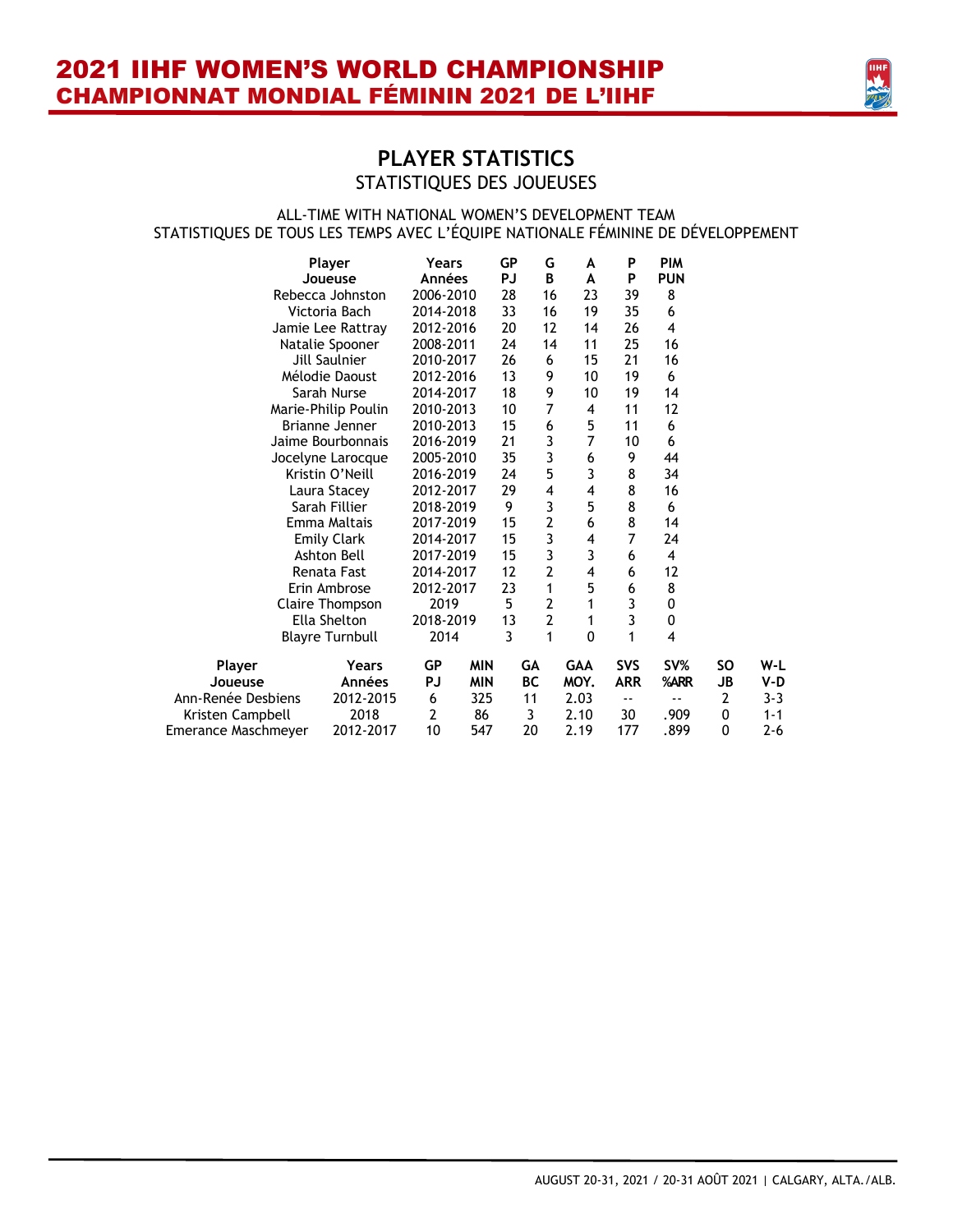

#### ALL-TIME WITH NATIONAL WOMEN'S DEVELOPMENT TEAM STATISTIQUES DE TOUS LES TEMPS AVEC L'ÉQUIPE NATIONALE FÉMININE DE DÉVELOPPEMENT

|                     | Player                 | Years     |            | <b>GP</b> | G              | A              | P          | <b>PIM</b>              |                |         |
|---------------------|------------------------|-----------|------------|-----------|----------------|----------------|------------|-------------------------|----------------|---------|
|                     | Joueuse                | Années    |            | PJ        | B              | A              | P          | <b>PUN</b>              |                |         |
|                     | Rebecca Johnston       | 2006-2010 |            | 28        | 16             | 23             | 39         | 8                       |                |         |
|                     | Victoria Bach          | 2014-2018 |            | 33        | 16             | 19             | 35         | 6                       |                |         |
|                     | Jamie Lee Rattray      | 2012-2016 |            | 20        | 12             | 14             | 26         | $\overline{\mathbf{4}}$ |                |         |
|                     | Natalie Spooner        | 2008-2011 |            | 24        | 14             | 11             | 25         | 16                      |                |         |
|                     | Jill Saulnier          | 2010-2017 |            | 26        | 6              | 15             | 21         | 16                      |                |         |
|                     | Mélodie Daoust         | 2012-2016 |            | 13        | 9              | 10             | 19         | 6                       |                |         |
|                     | Sarah Nurse            | 2014-2017 |            | 18        | 9              | 10             | 19         | 14                      |                |         |
|                     | Marie-Philip Poulin    | 2010-2013 |            | 10        | 7              | 4              | 11         | 12                      |                |         |
|                     | Brianne Jenner         | 2010-2013 |            | 15        | 6              | 5              | 11         | 6                       |                |         |
|                     | Jaime Bourbonnais      | 2016-2019 |            | 21        | 3              | $\overline{7}$ | 10         | 6                       |                |         |
|                     | Jocelyne Larocque      | 2005-2010 |            | 35        | 3              | 6              | 9          | 44                      |                |         |
|                     | Kristin O'Neill        | 2016-2019 |            | 24        | 5              | 3              | 8          | 34                      |                |         |
|                     | Laura Stacey           | 2012-2017 |            | 29        | 4              | 4              | 8          | 16                      |                |         |
|                     | Sarah Fillier          | 2018-2019 |            | 9         | 3              | 5              | 8          | 6                       |                |         |
|                     | Emma Maltais           | 2017-2019 |            | 15        | $\overline{2}$ | 6              | 8          | 14                      |                |         |
|                     | <b>Emily Clark</b>     | 2014-2017 |            | 15        | 3              | 4              | 7          | 24                      |                |         |
|                     | Ashton Bell            | 2017-2019 |            | 15        | 3              | 3              | 6          | 4                       |                |         |
|                     | Renata Fast            | 2014-2017 |            | 12        | $\overline{2}$ | 4              | 6          | 12                      |                |         |
|                     | Erin Ambrose           | 2012-2017 |            | 23        | 1              | 5              | 6          | 8                       |                |         |
|                     | Claire Thompson        | 2019      |            | 5         | 2              | 1              | 3          | 0                       |                |         |
|                     | Ella Shelton           | 2018-2019 |            | 13        | 2              | 1              | 3          | 0                       |                |         |
|                     | <b>Blayre Turnbull</b> | 2014      |            | 3         | 1              | 0              | 1          | $\overline{\mathbf{4}}$ |                |         |
| Player              | Years                  | <b>GP</b> | <b>MIN</b> |           | GА             | <b>GAA</b>     | SVS        | SV%                     | <b>SO</b>      | W-L     |
| Joueuse             | Années                 | PJ        | <b>MIN</b> |           | ВC             | MOY.           | <b>ARR</b> | %ARR                    | <b>JB</b>      | V-D     |
| Ann-Renée Desbiens  | 2012-2015              | 6         | 325        |           | 11             | 2.03           | --         |                         | $\overline{2}$ | $3 - 3$ |
| Kristen Campbell    | 2018                   | 2         | 86         |           | 3              | 2.10           | 30         | .909                    | 0              | $1 - 1$ |
| Emerance Maschmeyer | 2012-2017              | 10        | 547        |           | 20             | 2.19           | 177        | .899                    | 0              | $2 - 6$ |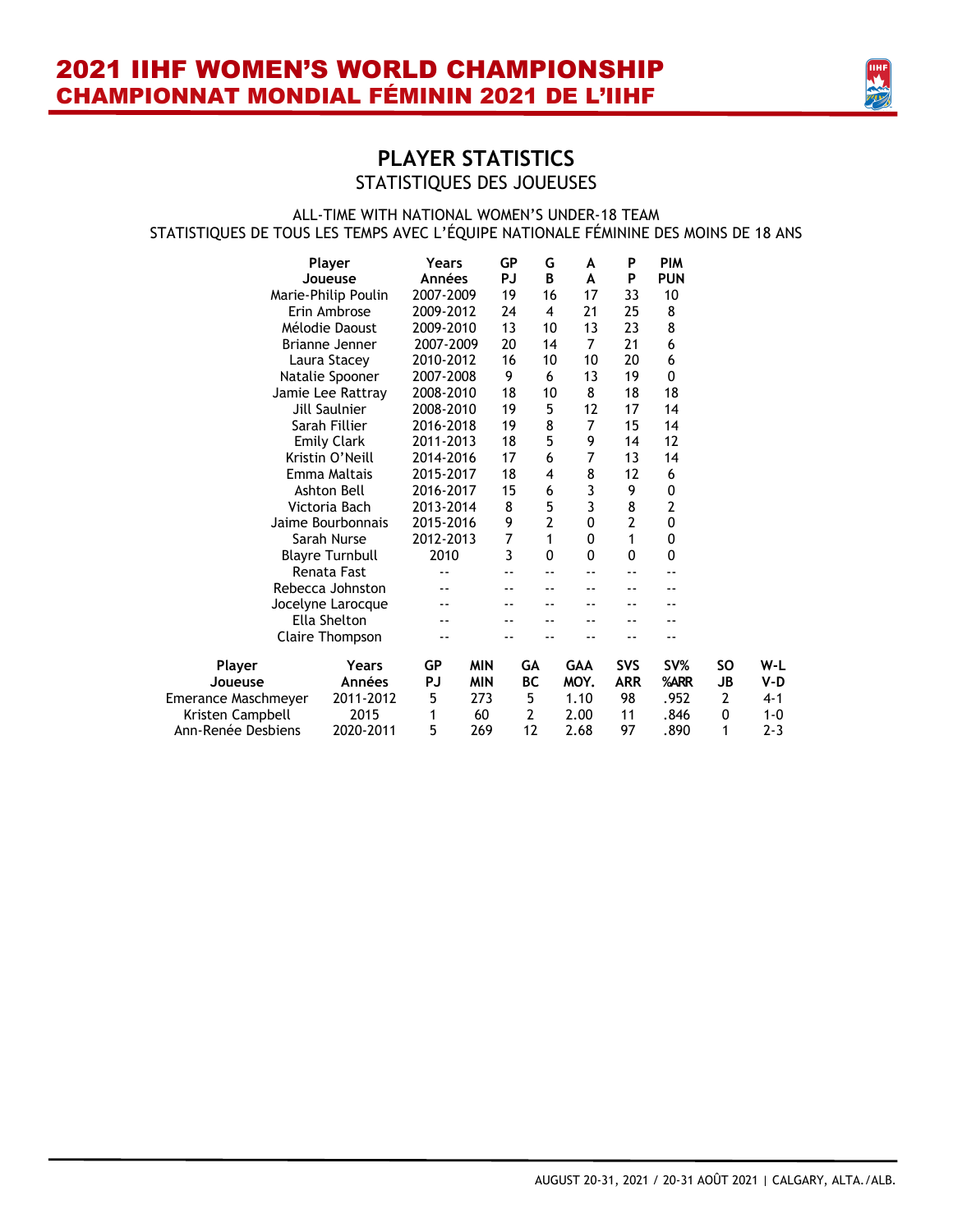

#### ALL-TIME WITH NATIONAL WOMEN'S UNDER-18 TEAM STATISTIQUES DE TOUS LES TEMPS AVEC L'ÉQUIPE NATIONALE FÉMININE DES MOINS DE 18 ANS

|                     | Player<br>Joueuse                         | Years<br><b>Années</b> |            | <b>GP</b><br>PJ | G<br>B         | A<br>A     | P<br>P         | <b>PIM</b><br><b>PUN</b> |                |         |
|---------------------|-------------------------------------------|------------------------|------------|-----------------|----------------|------------|----------------|--------------------------|----------------|---------|
|                     | Marie-Philip Poulin                       | 2007-2009              |            | 19              | 16             | 17         | 33             | 10                       |                |         |
|                     | Erin Ambrose                              | 2009-2012              |            | 24              | 4              | 21         | 25             | 8                        |                |         |
|                     | Mélodie Daoust                            | 2009-2010              |            | 13              | 10             | 13         | 23             | 8                        |                |         |
|                     | Brianne Jenner                            | 2007-2009              |            | 20              | 14             | 7          | 21             | 6                        |                |         |
|                     | Laura Stacey                              | 2010-2012              |            | 16              | 10             | 10         | 20             | 6                        |                |         |
|                     |                                           | 2007-2008              |            | 9               | 6              | 13         | 19             | 0                        |                |         |
|                     | Natalie Spooner                           | 2008-2010              |            | 18              | 10             | 8          | 18             | 18                       |                |         |
|                     | Jamie Lee Rattray<br><b>Jill Saulnier</b> | 2008-2010              |            | 19              | 5              | 12         | 17             | 14                       |                |         |
|                     |                                           |                        |            |                 |                |            |                |                          |                |         |
|                     | Sarah Fillier                             | 2016-2018              |            | 19              | 8              | 7          | 15             | 14                       |                |         |
|                     | <b>Emily Clark</b>                        | 2011-2013              |            | 18              | 5              | 9          | 14             | 12                       |                |         |
|                     | Kristin O'Neill                           | 2014-2016              |            | 17              | 6              | 7          | 13             | 14                       |                |         |
|                     | Emma Maltais                              | 2015-2017              |            | 18              | 4              | 8          | 12             | 6                        |                |         |
|                     | Ashton Bell                               | 2016-2017              |            | 15              | 6              | 3          | 9              | 0                        |                |         |
|                     | Victoria Bach                             | 2013-2014              |            | 8               | 5              | 3          | 8              | $\overline{2}$           |                |         |
|                     | Jaime Bourbonnais                         | 2015-2016              |            | 9               | $\overline{2}$ | 0          | $\overline{2}$ | 0                        |                |         |
|                     | Sarah Nurse                               | 2012-2013              |            | 7               | 1              | 0          | 1              | 0                        |                |         |
|                     | <b>Blayre Turnbull</b>                    | 2010                   |            | 3               | 0              | 0          | $\mathbf{0}$   | 0                        |                |         |
|                     | Renata Fast                               |                        |            |                 |                |            |                |                          |                |         |
|                     | Rebecca Johnston                          |                        |            |                 |                |            |                |                          |                |         |
|                     | Jocelyne Larocque                         |                        |            |                 |                |            |                |                          |                |         |
|                     | Ella Shelton                              |                        |            |                 |                |            |                |                          |                |         |
|                     | Claire Thompson                           |                        |            |                 |                |            |                |                          |                |         |
| Player              | Years                                     | GP                     | <b>MIN</b> |                 | GA             | <b>GAA</b> | <b>SVS</b>     | SV%                      | SO.            | W-L     |
| Joueuse             | Années                                    | PJ                     | <b>MIN</b> |                 | ВC             | MOY.       | <b>ARR</b>     | %ARR                     | <b>JB</b>      | V-D     |
| Emerance Maschmeyer | 2011-2012                                 | 5                      | 273        |                 | 5              | 1.10       | 98             | .952                     | $\overline{2}$ | $4 - 1$ |
| Kristen Campbell    | 2015                                      | 1                      | 60         |                 | 2              | 2.00       | 11             | .846                     | 0              | $1 - 0$ |
| Ann-Renée Desbiens  | 2020-2011                                 | 5                      | 269        |                 | 12             | 2.68       | 97             | .890                     | 1              | $2 - 3$ |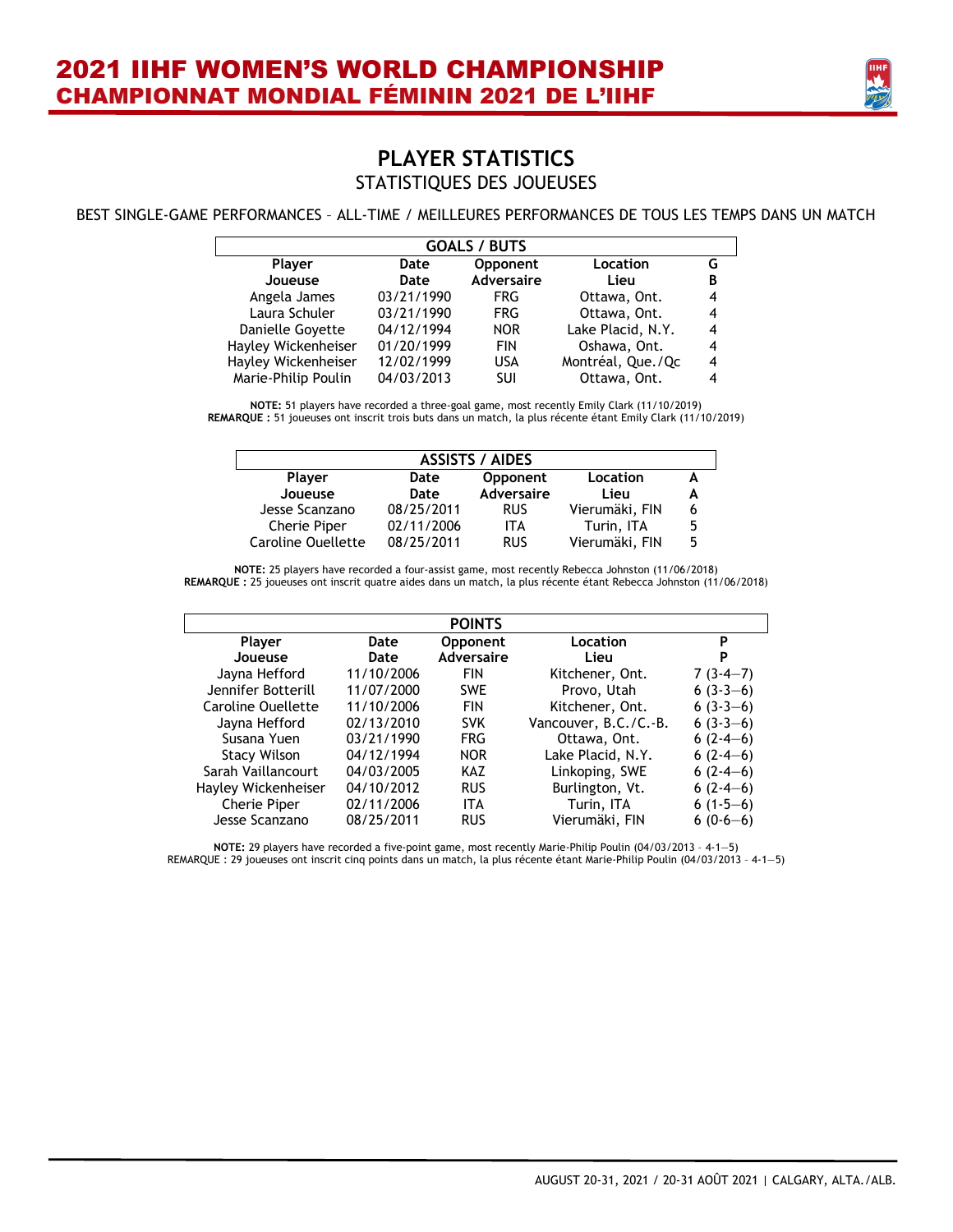

#### BEST SINGLE-GAME PERFORMANCES – ALL-TIME / MEILLEURES PERFORMANCES DE TOUS LES TEMPS DANS UN MATCH

| <b>GOALS / BUTS</b> |            |                   |                   |   |  |  |  |  |  |  |  |
|---------------------|------------|-------------------|-------------------|---|--|--|--|--|--|--|--|
| <b>Player</b>       | Date       | Opponent          | Location          | G |  |  |  |  |  |  |  |
| Joueuse             | Date       | <b>Adversaire</b> | Lieu              | B |  |  |  |  |  |  |  |
| Angela James        | 03/21/1990 | <b>FRG</b>        | Ottawa, Ont.      | 4 |  |  |  |  |  |  |  |
| Laura Schuler       | 03/21/1990 | FRG.              | Ottawa, Ont.      | 4 |  |  |  |  |  |  |  |
| Danielle Govette    | 04/12/1994 | <b>NOR</b>        | Lake Placid, N.Y. | 4 |  |  |  |  |  |  |  |
| Hayley Wickenheiser | 01/20/1999 | FIN               | Oshawa, Ont.      | 4 |  |  |  |  |  |  |  |
| Hayley Wickenheiser | 12/02/1999 | USA               | Montréal, Que./Qc | 4 |  |  |  |  |  |  |  |
| Marie-Philip Poulin | 04/03/2013 | SUI               | Ottawa, Ont.      | 4 |  |  |  |  |  |  |  |

**NOTE:** 51 players have recorded a three-goal game, most recently Emily Clark (11/10/2019) **REMARQUE :** 51 joueuses ont inscrit trois buts dans un match, la plus récente étant Emily Clark (11/10/2019)

| <b>ASSISTS / AIDES</b>    |            |            |                |   |  |
|---------------------------|------------|------------|----------------|---|--|
| <b>Player</b>             | Date       | Opponent   | Location       |   |  |
| Joueuse                   | Date       | Adversaire | Lieu           |   |  |
| Jesse Scanzano            | 08/25/2011 | <b>RUS</b> | Vierumäki, FIN | b |  |
| Cherie Piper              | 02/11/2006 | ITA        | Turin, ITA     | 5 |  |
| <b>Caroline Ouellette</b> | 08/25/2011 | <b>RUS</b> | Vierumäki, FIN | 5 |  |

**NOTE:** 25 players have recorded a four-assist game, most recently Rebecca Johnston (11/06/2018) **REMARQUE :** 25 joueuses ont inscrit quatre aides dans un match, la plus récente étant Rebecca Johnston (11/06/2018)

|                     |            | <b>POINTS</b>     |                       |            |
|---------------------|------------|-------------------|-----------------------|------------|
| <b>Player</b>       | Date       | Opponent          | Location              | P          |
| Joueuse             | Date       | <b>Adversaire</b> | Lieu                  | P          |
| Jayna Hefford       | 11/10/2006 | <b>FIN</b>        | Kitchener, Ont.       | $7(3-4-7)$ |
| Jennifer Botterill  | 11/07/2000 | <b>SWE</b>        | Provo, Utah           | $6(3-3-6)$ |
| Caroline Ouellette  | 11/10/2006 | <b>FIN</b>        | Kitchener, Ont.       | $6(3-3-6)$ |
| Jayna Hefford       | 02/13/2010 | <b>SVK</b>        | Vancouver, B.C./C.-B. | $6(3-3-6)$ |
| Susana Yuen         | 03/21/1990 | <b>FRG</b>        | Ottawa, Ont.          | $6(2-4-6)$ |
| <b>Stacy Wilson</b> | 04/12/1994 | <b>NOR</b>        | Lake Placid, N.Y.     | $6(2-4-6)$ |
| Sarah Vaillancourt  | 04/03/2005 | <b>KAZ</b>        | Linkoping, SWE        | $6(2-4-6)$ |
| Hayley Wickenheiser | 04/10/2012 | <b>RUS</b>        | Burlington, Vt.       | $6(2-4-6)$ |
| <b>Cherie Piper</b> | 02/11/2006 | <b>ITA</b>        | Turin, ITA            | $6(1-5-6)$ |
| Jesse Scanzano      | 08/25/2011 | <b>RUS</b>        | Vierumäki, FIN        | $6(0-6-6)$ |

**NOTE:** 29 players have recorded a five-point game, most recently Marie-Philip Poulin (04/03/2013 – 4-1—5) REMARQUE : 29 joueuses ont inscrit cinq points dans un match, la plus récente étant Marie-Philip Poulin (04/03/2013 – 4-1—5)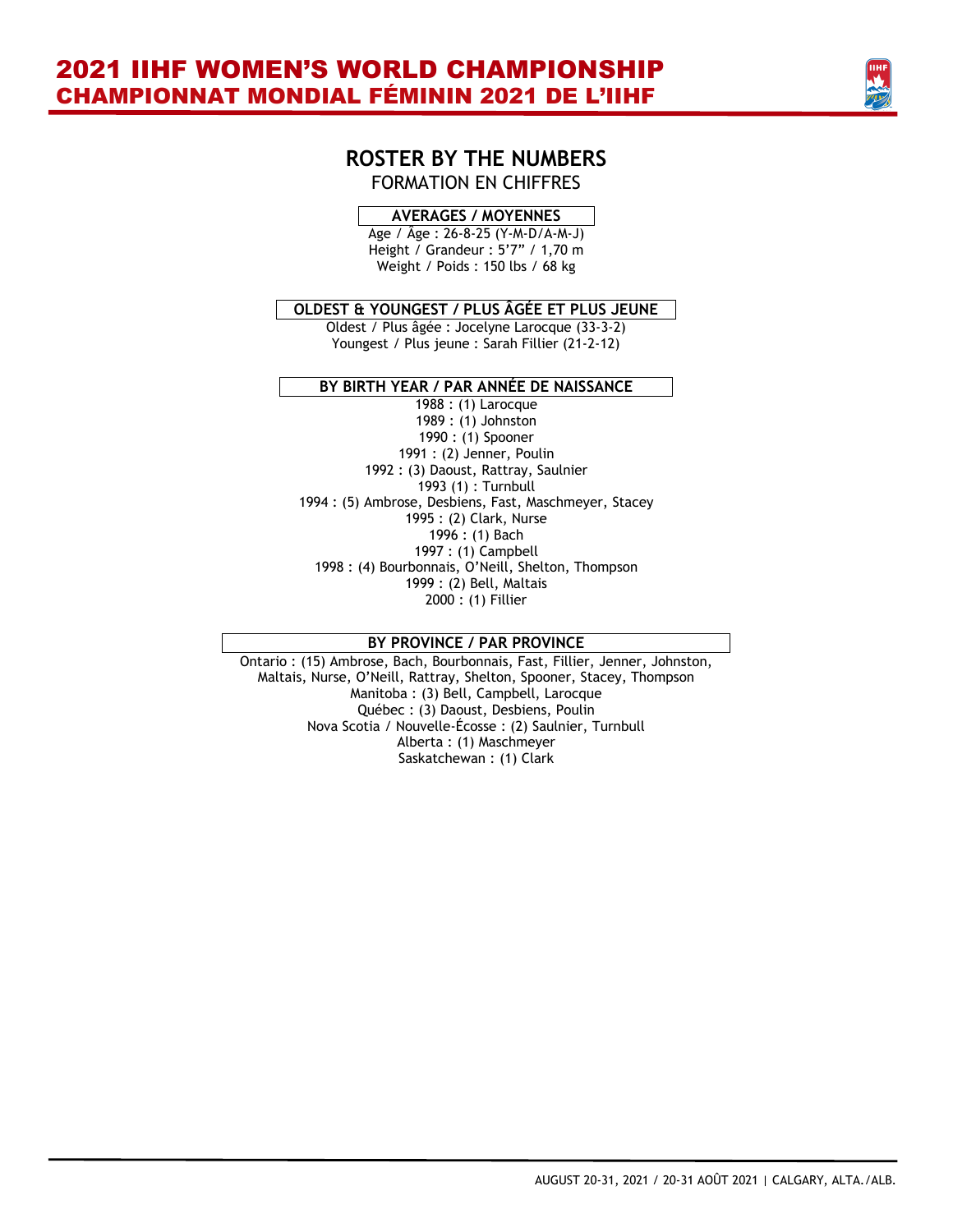

### **ROSTER BY THE NUMBERS** FORMATION EN CHIFFRES

#### **AVERAGES / MOYENNES**

Age / Âge : 26-8-25 (Y-M-D/A-M-J) Height / Grandeur : 5'7" / 1,70 m Weight / Poids : 150 lbs / 68 kg

#### **OLDEST & YOUNGEST / PLUS ÂGÉE ET PLUS JEUNE**

Oldest / Plus âgée : Jocelyne Larocque (33-3-2) Youngest / Plus jeune : Sarah Fillier (21-2-12)

#### **BY BIRTH YEAR / PAR ANNÉE DE NAISSANCE**

 : (1) Larocque : (1) Johnston : (1) Spooner : (2) Jenner, Poulin : (3) Daoust, Rattray, Saulnier 1993 (1) : Turnbull : (5) Ambrose, Desbiens, Fast, Maschmeyer, Stacey : (2) Clark, Nurse : (1) Bach : (1) Campbell : (4) Bourbonnais, O'Neill, Shelton, Thompson : (2) Bell, Maltais : (1) Fillier

#### **BY PROVINCE / PAR PROVINCE**

Ontario : (15) Ambrose, Bach, Bourbonnais, Fast, Fillier, Jenner, Johnston, Maltais, Nurse, O'Neill, Rattray, Shelton, Spooner, Stacey, Thompson Manitoba : (3) Bell, Campbell, Larocque Québec : (3) Daoust, Desbiens, Poulin Nova Scotia / Nouvelle-Écosse : (2) Saulnier, Turnbull Alberta : (1) Maschmeyer Saskatchewan : (1) Clark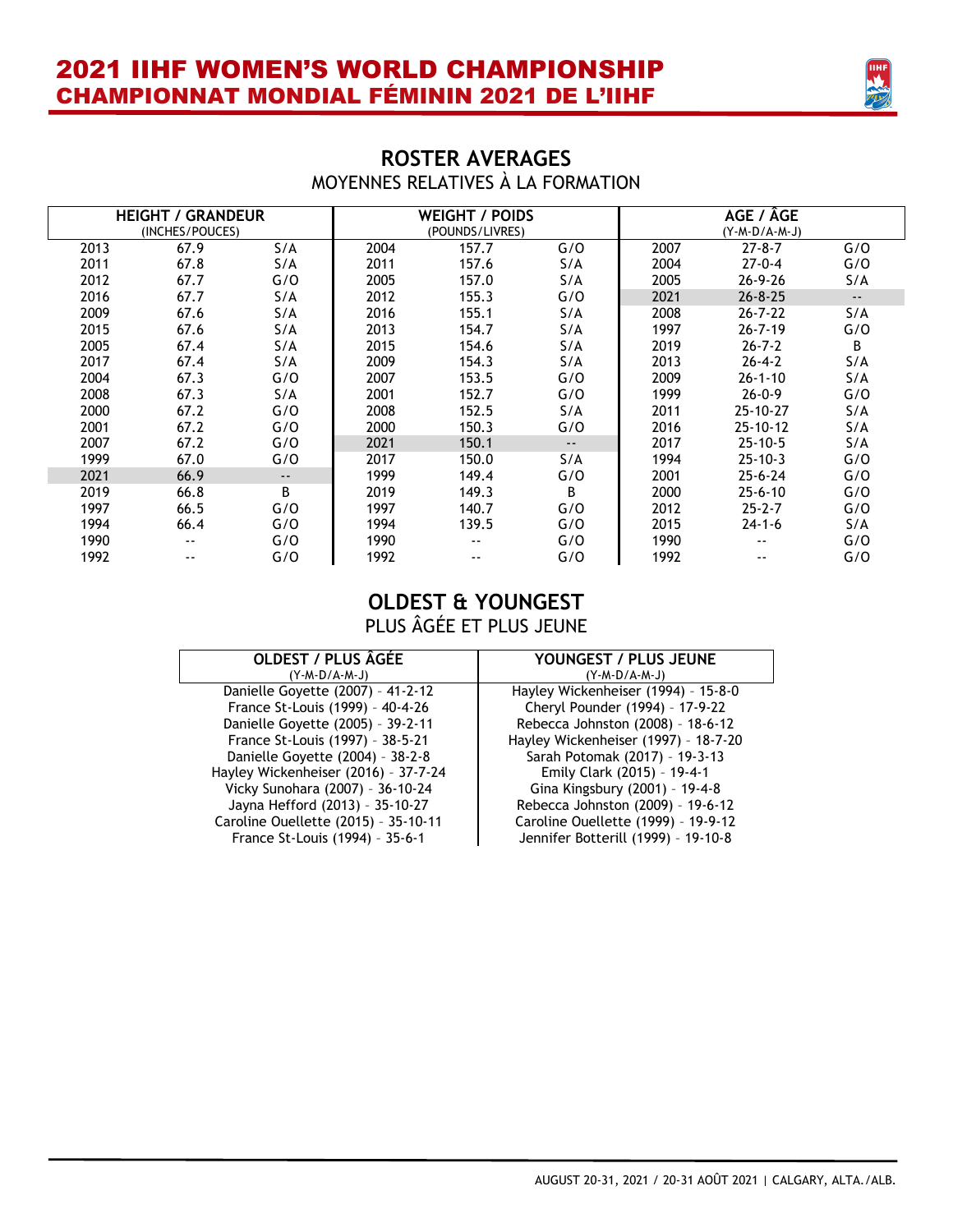

### **ROSTER AVERAGES** MOYENNES RELATIVES À LA FORMATION

| <b>HEIGHT / GRANDEUR</b> |                 |                            | <b>WEIGHT / POIDS</b> |            |                         | AGE / ÂGE |                |               |
|--------------------------|-----------------|----------------------------|-----------------------|------------|-------------------------|-----------|----------------|---------------|
|                          | (INCHES/POUCES) |                            | (POUNDS/LIVRES)       |            | $(Y - M - D/A - M - J)$ |           |                |               |
| 2013                     | 67.9            | S/A                        | 2004                  | 157.7      | G/O                     | 2007      | $27 - 8 - 7$   | G/O           |
| 2011                     | 67.8            | S/A                        | 2011                  | 157.6      | S/A                     | 2004      | $27 - 0 - 4$   | G/O           |
| 2012                     | 67.7            | G/O                        | 2005                  | 157.0      | S/A                     | 2005      | $26 - 9 - 26$  | S/A           |
| 2016                     | 67.7            | S/A                        | 2012                  | 155.3      | G/O                     | 2021      | $26 - 8 - 25$  | $\sim$ $\sim$ |
| 2009                     | 67.6            | S/A                        | 2016                  | 155.1      | S/A                     | 2008      | $26 - 7 - 22$  | S/A           |
| 2015                     | 67.6            | S/A                        | 2013                  | 154.7      | S/A                     | 1997      | $26 - 7 - 19$  | G/O           |
| 2005                     | 67.4            | S/A                        | 2015                  | 154.6      | S/A                     | 2019      | $26 - 7 - 2$   | B             |
| 2017                     | 67.4            | S/A                        | 2009                  | 154.3      | S/A                     | 2013      | $26 - 4 - 2$   | S/A           |
| 2004                     | 67.3            | G/O                        | 2007                  | 153.5      | G/O                     | 2009      | $26 - 1 - 10$  | S/A           |
| 2008                     | 67.3            | S/A                        | 2001                  | 152.7      | G/O                     | 1999      | $26 - 0 - 9$   | G/O           |
| 2000                     | 67.2            | G/O                        | 2008                  | 152.5      | S/A                     | 2011      | 25-10-27       | S/A           |
| 2001                     | 67.2            | G/O                        | 2000                  | 150.3      | G/O                     | 2016      | $25 - 10 - 12$ | S/A           |
| 2007                     | 67.2            | G/O                        | 2021                  | 150.1      | $\sim$ $\sim$           | 2017      | $25 - 10 - 5$  | S/A           |
| 1999                     | 67.0            | G/O                        | 2017                  | 150.0      | S/A                     | 1994      | $25 - 10 - 3$  | G/O           |
| 2021                     | 66.9            | $\overline{\phantom{a}}$ . | 1999                  | 149.4      | G/O                     | 2001      | $25 - 6 - 24$  | G/O           |
| 2019                     | 66.8            | B                          | 2019                  | 149.3      | B                       | 2000      | $25 - 6 - 10$  | G/O           |
| 1997                     | 66.5            | G/O                        | 1997                  | 140.7      | G/O                     | 2012      | $25 - 2 - 7$   | G/O           |
| 1994                     | 66.4            | G/O                        | 1994                  | 139.5      | G/O                     | 2015      | $24 - 1 - 6$   | S/A           |
| 1990                     | ۰.              | G/O                        | 1990                  | --         | G/O                     | 1990      | --             | G/O           |
| 1992                     | --              | G/O                        | 1992                  | $\sim$ $-$ | G/O                     | 1992      | --             | G/O           |

### **OLDEST & YOUNGEST** PLUS ÂGÉE ET PLUS JEUNE

| <b>OLDEST / PLUS ÂGÉE</b>            | YOUNGEST / PLUS JEUNE                |
|--------------------------------------|--------------------------------------|
| $(Y - M - D/A - M - J)$              | $(Y - M - D/A - M - J)$              |
| Danielle Goyette (2007) - 41-2-12    | Hayley Wickenheiser (1994) - 15-8-0  |
| France St-Louis (1999) - 40-4-26     | Cheryl Pounder (1994) - 17-9-22      |
| Danielle Goyette (2005) - 39-2-11    | Rebecca Johnston (2008) - 18-6-12    |
| France St-Louis (1997) - 38-5-21     | Hayley Wickenheiser (1997) - 18-7-20 |
| Danielle Goyette (2004) - 38-2-8     | Sarah Potomak (2017) - 19-3-13       |
| Hayley Wickenheiser (2016) - 37-7-24 | Emily Clark (2015) - 19-4-1          |
| Vicky Sunohara (2007) - 36-10-24     | Gina Kingsbury (2001) - 19-4-8       |
| Jayna Hefford (2013) - 35-10-27      | Rebecca Johnston (2009) - 19-6-12    |
| Caroline Ouellette (2015) - 35-10-11 | Caroline Ouellette (1999) - 19-9-12  |
| France St-Louis (1994) - 35-6-1      | Jennifer Botterill (1999) - 19-10-8  |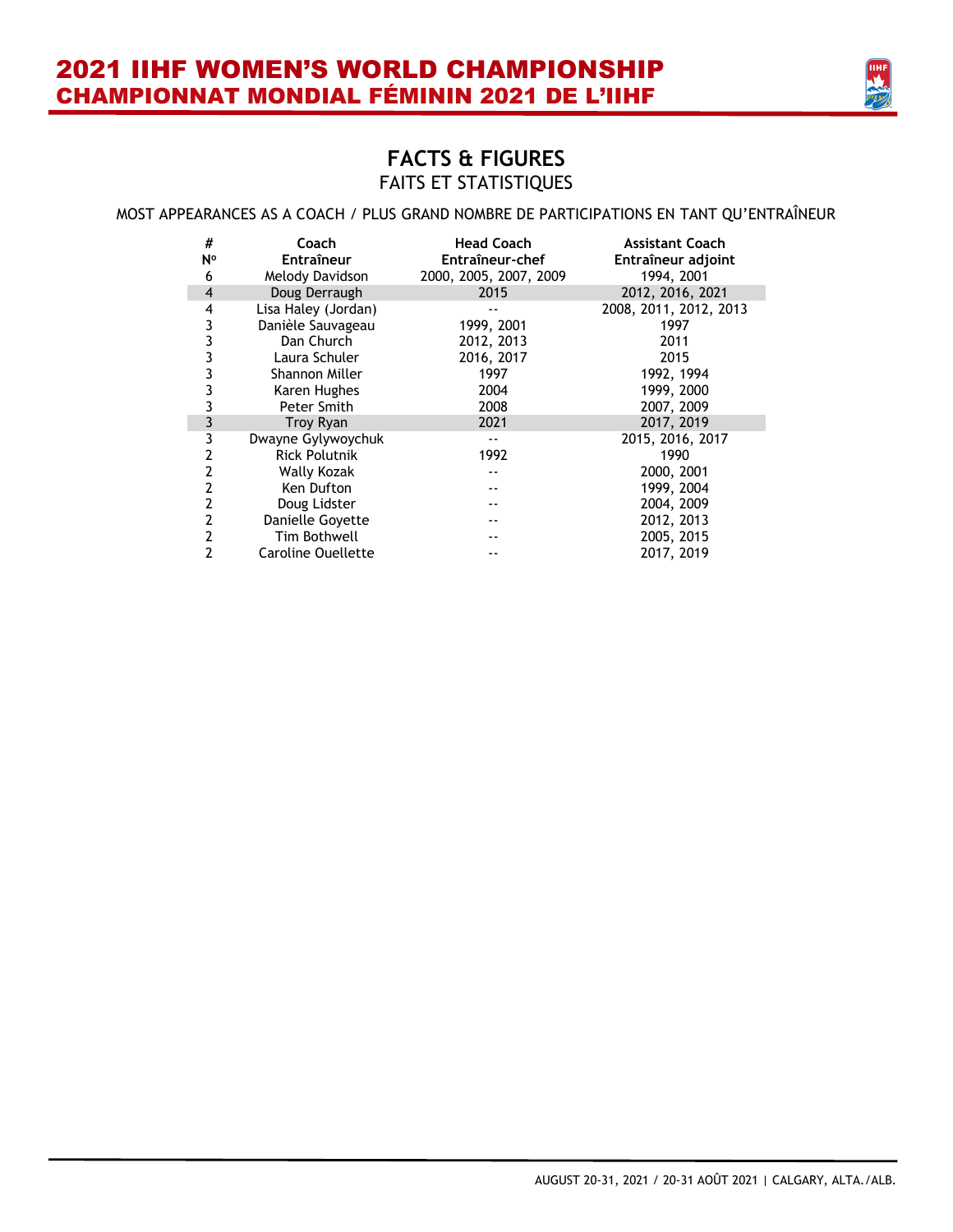

### **FACTS & FIGURES** FAITS ET STATISTIQUES

#### MOST APPEARANCES AS A COACH / PLUS GRAND NOMBRE DE PARTICIPATIONS EN TANT QU'ENTRAÎNEUR

| #<br>N°             | Coach<br><b>Entraîneur</b> | <b>Head Coach</b><br>Entraîneur-chef | <b>Assistant Coach</b><br>Entraîneur adjoint |
|---------------------|----------------------------|--------------------------------------|----------------------------------------------|
| 6<br>$\overline{4}$ | Melody Davidson            | 2000, 2005, 2007, 2009<br>2015       | 1994, 2001<br>2012, 2016, 2021               |
|                     | Doug Derraugh              |                                      |                                              |
| 4                   | Lisa Haley (Jordan)        |                                      | 2008, 2011, 2012, 2013                       |
| 3                   | Danièle Sauvageau          | 1999, 2001                           | 1997                                         |
| 3                   | Dan Church                 | 2012, 2013                           | 2011                                         |
| 3                   | Laura Schuler              | 2016, 2017                           | 2015                                         |
| 3                   | Shannon Miller             | 1997                                 | 1992, 1994                                   |
| 3                   | Karen Hughes               | 2004                                 | 1999, 2000                                   |
| 3                   | Peter Smith                | 2008                                 | 2007, 2009                                   |
| 3                   | <b>Troy Ryan</b>           | 2021                                 | 2017, 2019                                   |
| 3                   | Dwayne Gylywoychuk         |                                      | 2015, 2016, 2017                             |
| 2                   | <b>Rick Polutnik</b>       | 1992                                 | 1990                                         |
| 2                   | Wally Kozak                | --                                   | 2000, 2001                                   |
| 2                   | Ken Dufton                 |                                      | 1999, 2004                                   |
| 2                   | Doug Lidster               |                                      | 2004, 2009                                   |
| $\overline{2}$      | Danielle Govette           |                                      | 2012, 2013                                   |
| 2                   | Tim Bothwell               |                                      | 2005, 2015                                   |
| 2                   | <b>Caroline Ouellette</b>  |                                      | 2017, 2019                                   |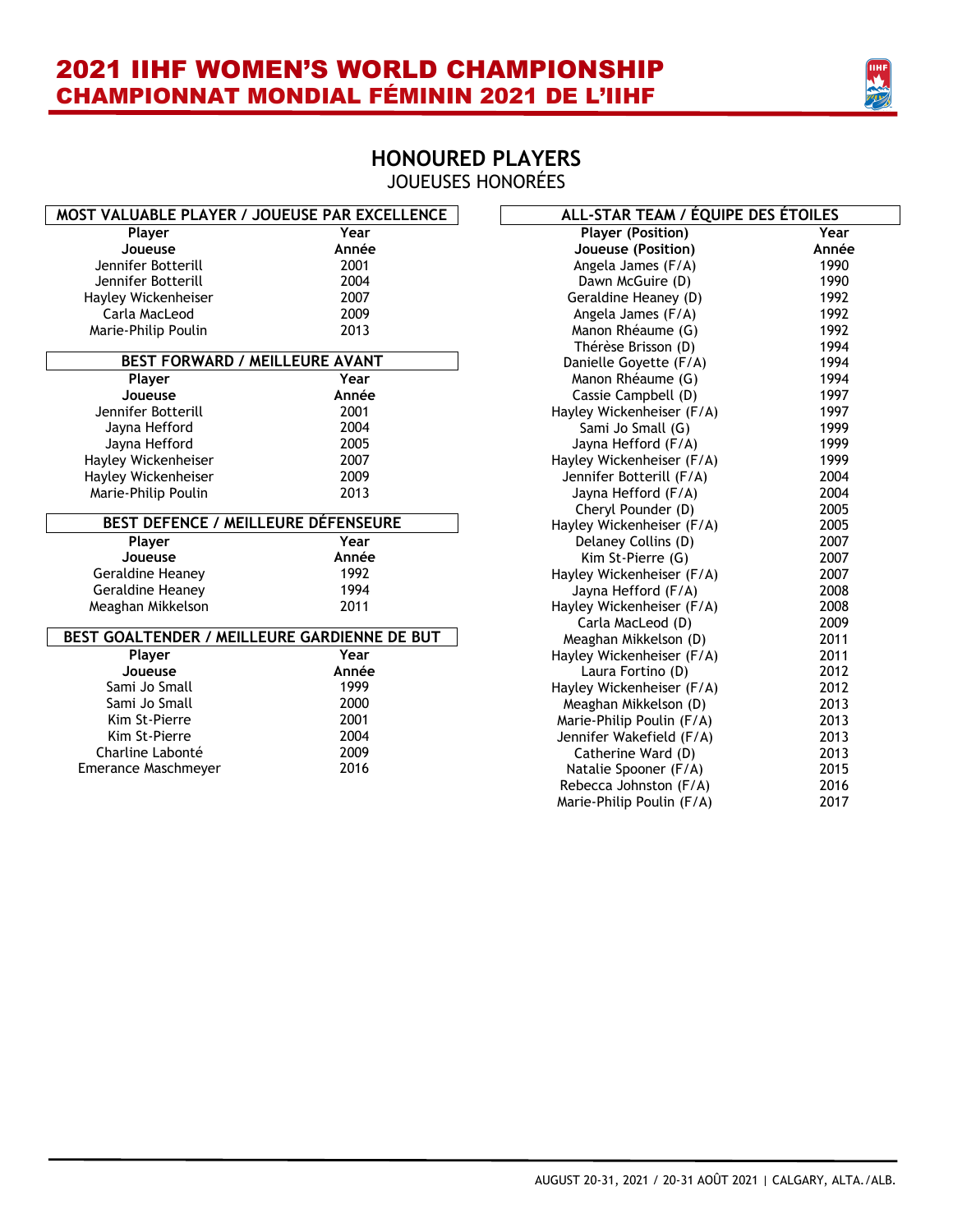

### **HONOURED PLAYERS** JOUEUSES HONORÉES

| MOST VALUABLE PLAYER / JOUEUSE PAR EXCELLENCE |       | ALL-STAR TEAM / ÉQUIPE DES ÉTOILES |       |
|-----------------------------------------------|-------|------------------------------------|-------|
| Player                                        | Year  | <b>Player (Position)</b>           | Year  |
| Joueuse                                       | Année | Joueuse (Position)                 | Année |
| Jennifer Botterill                            | 2001  | Angela James (F/A)                 | 1990  |
| Jennifer Botterill                            | 2004  | Dawn McGuire (D)                   | 1990  |
| Hayley Wickenheiser                           | 2007  | Geraldine Heaney (D)               | 1992  |
| Carla MacLeod                                 | 2009  | Angela James (F/A)                 | 1992  |
| Marie-Philip Poulin                           | 2013  | Manon Rhéaume (G)                  | 1992  |
|                                               |       | Thérèse Brisson (D)                | 1994  |
| BEST FORWARD / MEILLEURE AVANT                |       | Danielle Goyette (F/A)             | 1994  |
| Player                                        | Year  | Manon Rhéaume (G)                  | 1994  |
| Joueuse                                       | Année | Cassie Campbell (D)                | 1997  |
| Jennifer Botterill                            | 2001  | Hayley Wickenheiser (F/A)          | 1997  |
| Jayna Hefford                                 | 2004  | Sami Jo Small (G)                  | 1999  |
| Jayna Hefford                                 | 2005  | Jayna Hefford (F/A)                | 1999  |
| Hayley Wickenheiser                           | 2007  | Hayley Wickenheiser (F/A)          | 1999  |
| Hayley Wickenheiser                           | 2009  | Jennifer Botterill (F/A)           | 2004  |
| Marie-Philip Poulin                           | 2013  | Jayna Hefford (F/A)                | 2004  |
|                                               |       | Cheryl Pounder (D)                 | 2005  |
| BEST DEFENCE / MEILLEURE DÉFENSEURE           |       | Hayley Wickenheiser (F/A)          | 2005  |
| Player                                        | Year  | Delaney Collins (D)                | 2007  |
| Joueuse                                       | Année | Kim St-Pierre (G)                  | 2007  |
| Geraldine Heaney                              | 1992  | Hayley Wickenheiser (F/A)          | 2007  |
| Geraldine Heaney                              | 1994  | Jayna Hefford (F/A)                | 2008  |
| Meaghan Mikkelson                             | 2011  | Hayley Wickenheiser (F/A)          | 2008  |
|                                               |       | Carla MacLeod (D)                  | 2009  |
| BEST GOALTENDER / MEILLEURE GARDIENNE DE BUT  |       | Meaghan Mikkelson (D)              | 2011  |
| Player                                        | Year  | Hayley Wickenheiser (F/A)          | 2011  |
| Joueuse                                       | Année | Laura Fortino (D)                  | 2012  |
| Sami Jo Small                                 | 1999  | Hayley Wickenheiser (F/A)          | 2012  |
| Sami Jo Small                                 | 2000  | Meaghan Mikkelson (D)              | 2013  |
| Kim St-Pierre                                 | 2001  | Marie-Philip Poulin (F/A)          | 2013  |
| Kim St-Pierre                                 | 2004  | Jennifer Wakefield (F/A)           | 2013  |
| Charline Labonté                              | 2009  | Catherine Ward (D)                 | 2013  |
| Emerance Maschmeyer                           | 2016  | Natalie Spooner (F/A)              | 2015  |
|                                               |       | Rebecca Johnston (F/A)             | 2016  |
|                                               |       | Marie-Philip Poulin (F/A)          | 2017  |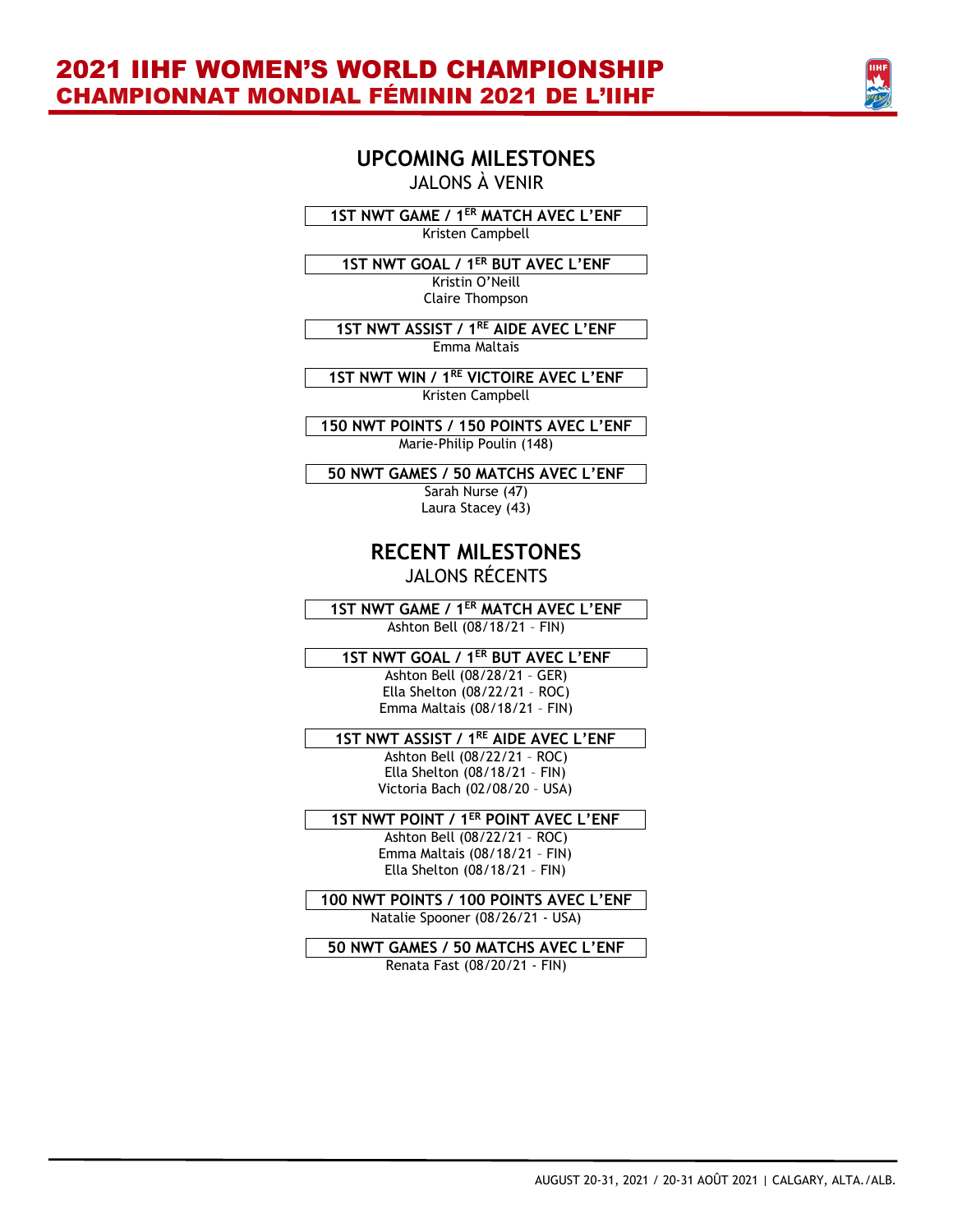

### **UPCOMING MILESTONES** JALONS À VENIR

**1ST NWT GAME / 1ER MATCH AVEC L'ENF** Kristen Campbell

**1ST NWT GOAL / 1ER BUT AVEC L'ENF**

Kristin O'Neill Claire Thompson

**1ST NWT ASSIST / 1RE AIDE AVEC L'ENF** Emma Maltais

**1ST NWT WIN / 1 RE VICTOIRE AVEC L'ENF** Kristen Campbell

**150 NWT POINTS / 150 POINTS AVEC L'ENF** Marie-Philip Poulin (148)

**50 NWT GAMES / 50 MATCHS AVEC L'ENF** Sarah Nurse (47)

Laura Stacey (43)

### **RECENT MILESTONES** JALONS RÉCENTS

**1ST NWT GAME / 1ER MATCH AVEC L'ENF** Ashton Bell (08/18/21 – FIN)

**1ST NWT GOAL / 1ER BUT AVEC L'ENF**

Ashton Bell (08/28/21 – GER) Ella Shelton (08/22/21 – ROC) Emma Maltais (08/18/21 – FIN)

**1ST NWT ASSIST / 1 RE AIDE AVEC L'ENF**

Ashton Bell (08/22/21 – ROC) Ella Shelton (08/18/21 – FIN) Victoria Bach (02/08/20 – USA)

### **1ST NWT POINT / 1ER POINT AVEC L'ENF**

Ashton Bell (08/22/21 – ROC) Emma Maltais (08/18/21 – FIN) Ella Shelton (08/18/21 – FIN)

**100 NWT POINTS / 100 POINTS AVEC L'ENF** Natalie Spooner (08/26/21 - USA)

**50 NWT GAMES / 50 MATCHS AVEC L'ENF** Renata Fast (08/20/21 - FIN)